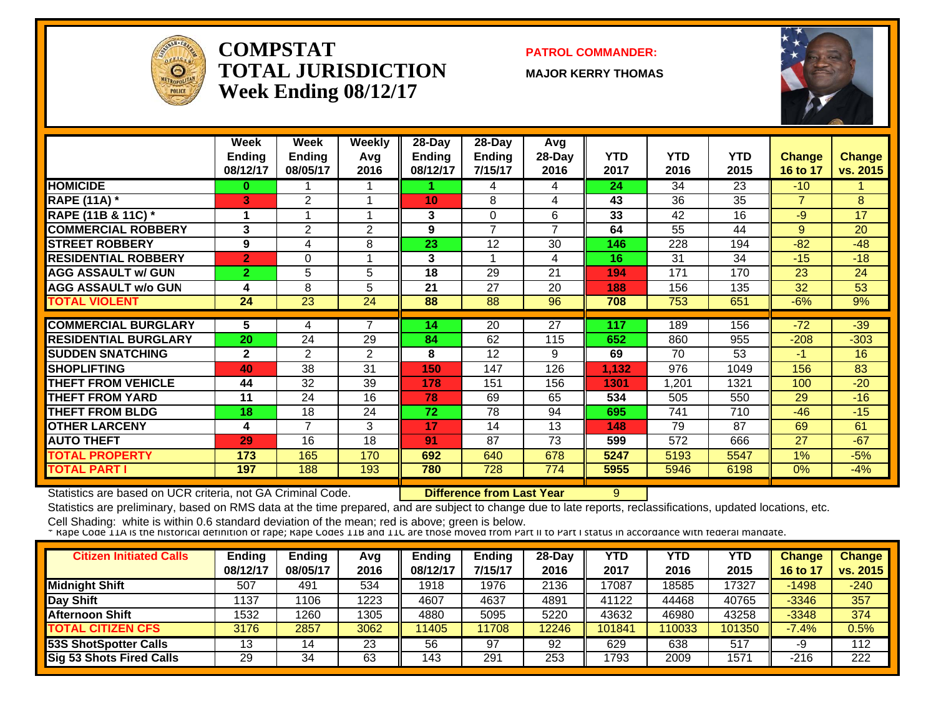

#### **COMPSTATTOTAL JURISDICTIONWeek Ending 08/12/17**

**PATROL COMMANDER:**

**MAJOR KERRY THOMAS**



|                             | Week           | Week            | <b>Weekly</b>  | 28-Day   | 28-Day          | Avg    |            |            |            |                |               |
|-----------------------------|----------------|-----------------|----------------|----------|-----------------|--------|------------|------------|------------|----------------|---------------|
|                             | <b>Ending</b>  | <b>Ending</b>   | Avg            | Ending   | <b>Ending</b>   | 28-Day | <b>YTD</b> | <b>YTD</b> | <b>YTD</b> | Change         | <b>Change</b> |
|                             | 08/12/17       | 08/05/17        | 2016           | 08/12/17 | 7/15/17         | 2016   | 2017       | 2016       | 2015       | 16 to 17       | vs. 2015      |
| <b>HOMICIDE</b>             | 0              |                 |                |          | 4               | 4      | 24         | 34         | 23         | $-10$          |               |
| <b>RAPE (11A) *</b>         | 3              | 2               |                | 10       | 8               | 4      | 43         | 36         | 35         | $\overline{7}$ | 8             |
| RAPE (11B & 11C) *          |                |                 |                | 3        | $\Omega$        | 6      | 33         | 42         | 16         | $-9$           | 17            |
| <b>COMMERCIAL ROBBERY</b>   | 3              | 2               | $\overline{2}$ | 9        | $\overline{7}$  | 7      | 64         | 55         | 44         | 9              | 20            |
| <b>STREET ROBBERY</b>       | 9              | 4               | 8              | 23       | 12              | 30     | 146        | 228        | 194        | $-82$          | $-48$         |
| <b>RESIDENTIAL ROBBERY</b>  | $\overline{2}$ | $\Omega$        |                | 3        |                 | 4      | 16         | 31         | 34         | $-15$          | $-18$         |
| <b>AGG ASSAULT w/ GUN</b>   | $\overline{2}$ | 5               | 5              | 18       | 29              | 21     | 194        | 171        | 170        | 23             | 24            |
| <b>AGG ASSAULT w/o GUN</b>  | 4              | 8               | 5              | 21       | 27              | 20     | 188        | 156        | 135        | 32             | 53            |
| <b>TOTAL VIOLENT</b>        | 24             | $\overline{23}$ | 24             | 88       | 88              | 96     | 708        | 753        | 651        | $-6%$          | 9%            |
|                             |                |                 |                |          |                 |        |            |            |            |                |               |
| <b>COMMERCIAL BURGLARY</b>  | 5              | 4               | 7              | 14       | $\overline{20}$ | 27     | 117        | 189        | 156        | $-72$          | $-39$         |
| <b>RESIDENTIAL BURGLARY</b> | 20             | 24              | 29             | 84       | 62              | 115    | 652        | 860        | 955        | $-208$         | $-303$        |
| <b>SUDDEN SNATCHING</b>     | $\mathbf{2}$   | 2               | $\overline{2}$ | 8        | 12              | 9      | 69         | 70         | 53         | $-1$           | 16            |
| <b>SHOPLIFTING</b>          | 40             | 38              | 31             | 150      | 147             | 126    | 1,132      | 976        | 1049       | 156            | 83            |
| <b>THEFT FROM VEHICLE</b>   | 44             | 32              | 39             | 178      | 151             | 156    | 1301       | ,201       | 1321       | 100            | $-20$         |
| <b>THEFT FROM YARD</b>      | 11             | 24              | 16             | 78       | 69              | 65     | 534        | 505        | 550        | 29             | $-16$         |
| <b>THEFT FROM BLDG</b>      | 18             | 18              | 24             | 72       | 78              | 94     | 695        | 741        | 710        | $-46$          | $-15$         |
| <b>OTHER LARCENY</b>        | 4              | $\overline{7}$  | 3              | 17       | 14              | 13     | 148        | 79         | 87         | 69             | 61            |
| <b>AUTO THEFT</b>           | 29             | 16              | 18             | 91       | 87              | 73     | 599        | 572        | 666        | 27             | $-67$         |
| <b>TOTAL PROPERTY</b>       | 173            | 165             | 170            | 692      | 640             | 678    | 5247       | 5193       | 5547       | 1%             | $-5%$         |
| <b>TOTAL PART I</b>         | 197            | 188             | 193            | 780      | 728             | 774    | 5955       | 5946       | 6198       | $0\%$          | $-4%$         |

Statistics are based on UCR criteria, not GA Criminal Code. **Difference from Last Year** 9

Statistics are preliminary, based on RMS data at the time prepared, and are subject to change due to late reports, reclassifications, updated locations, etc.

| <b>Citizen Initiated Calls</b>  | <b>Ending</b><br>08/12/17 | <b>Ending</b><br>08/05/17 | Avg<br>2016 | <b>Ending</b><br>08/12/17 | Ending<br>7/15/17 | $28-Day$<br>2016 | YTD<br>2017 | YTD<br>2016 | <b>YTD</b><br>2015 | Change<br>16 to 17 | <b>Change</b><br>vs. 2015 |
|---------------------------------|---------------------------|---------------------------|-------------|---------------------------|-------------------|------------------|-------------|-------------|--------------------|--------------------|---------------------------|
| <b>Midnight Shift</b>           | 507                       | 491                       | 534         | 1918                      | 1976              | 2136             | 17087       | 18585       | 17327              | $-1498$            | $-240$                    |
| Day Shift                       | 137                       | 106                       | 1223        | 4607                      | 4637              | 4891             | 41122       | 44468       | 40765              | $-3346$            | 357                       |
| Afternoon Shift                 | 1532                      | 1260                      | 1305        | 4880                      | 5095              | 5220             | 43632       | 46980       | 43258              | $-3348$            | 374                       |
| <b>TOTAL CITIZEN CFS</b>        | 3176                      | 2857                      | 3062        | 11405                     | 1708              | 12246            | 101841      | 110033      | 101350             | $-7.4%$            | 0.5%                      |
| <b>53S ShotSpotter Calls</b>    | 12<br>ن ا                 | 14                        | 23          | 56                        | 97                | 92               | 629         | 638         | 517                | -9                 | 112                       |
| <b>Sig 53 Shots Fired Calls</b> | 29                        | 34                        | 63          | 143                       | 291               | 253              | 1793        | 2009        | 1571               | $-216$             | 222                       |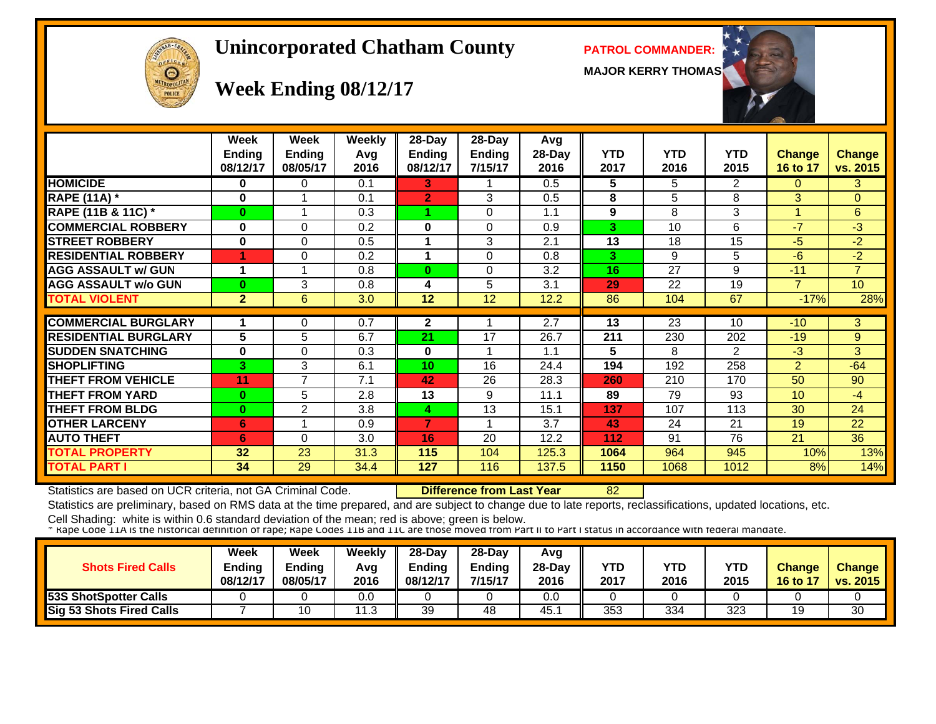# $cF1c$  $\Theta$

#### **Unincorporated Chatham County PATROL COMMANDER:**

**MAJOR KERRY THOMAS**



# **Week Ending 08/12/17**

|                             | <b>Week</b><br><b>Ending</b><br>08/12/17 | Week<br><b>Ending</b><br>08/05/17 | <b>Weekly</b><br>Avg<br>2016 | 28-Day<br>Ending<br>08/12/17 | 28-Day<br><b>Ending</b><br>7/15/17 | Avg<br>28-Day<br>2016 | <b>YTD</b><br>2017 | <b>YTD</b><br>2016 | <b>YTD</b><br>2015 | <b>Change</b><br>16 to 17 | <b>Change</b><br>vs. 2015 |
|-----------------------------|------------------------------------------|-----------------------------------|------------------------------|------------------------------|------------------------------------|-----------------------|--------------------|--------------------|--------------------|---------------------------|---------------------------|
| <b>HOMICIDE</b>             | 0                                        | 0                                 | 0.1                          | 3.                           | 1                                  | 0.5                   | 5                  | 5                  | $\overline{2}$     | 0                         | 3                         |
| <b>RAPE (11A)</b> *         | $\bf{0}$                                 |                                   | 0.1                          | $\overline{2}$               | 3                                  | 0.5                   | 8                  | 5                  | 8                  | 3                         | $\Omega$                  |
| RAPE (11B & 11C) *          | $\bf{0}$                                 |                                   | 0.3                          |                              | $\Omega$                           | 1.1                   | 9                  | 8                  | 3                  |                           | $6^{\circ}$               |
| <b>COMMERCIAL ROBBERY</b>   | $\bf{0}$                                 | $\Omega$                          | 0.2                          | 0                            | $\Omega$                           | 0.9                   | 3                  | 10                 | 6                  | $-7$                      | $-3$                      |
| <b>STREET ROBBERY</b>       | $\bf{0}$                                 | $\Omega$                          | 0.5                          | 1                            | 3                                  | 2.1                   | 13                 | 18                 | 15                 | $-5$                      | $-2$                      |
| <b>RESIDENTIAL ROBBERY</b>  |                                          | 0                                 | 0.2                          | 1                            | $\Omega$                           | 0.8                   | 3                  | 9                  | 5                  | $-6$                      | $-2$                      |
| <b>AGG ASSAULT w/ GUN</b>   | 1                                        |                                   | 0.8                          | $\bf{0}$                     | $\Omega$                           | 3.2                   | 16                 | 27                 | 9                  | $-11$                     | $\overline{7}$            |
| <b>AGG ASSAULT w/o GUN</b>  | $\bf{0}$                                 | 3                                 | 0.8                          | 4                            | 5                                  | 3.1                   | 29                 | 22                 | 19                 | $\overline{7}$            | 10 <sup>°</sup>           |
| <b>TOTAL VIOLENT</b>        | $\overline{2}$                           | 6                                 | 3.0                          | 12                           | $\overline{12}$                    | 12.2                  | 86                 | 104                | 67                 | $-17%$                    | 28%                       |
|                             |                                          |                                   |                              |                              |                                    |                       |                    |                    |                    |                           |                           |
| <b>COMMERCIAL BURGLARY</b>  | 1                                        | 0                                 | 0.7                          | $\mathbf{2}$                 | 1                                  | 2.7                   | 13                 | 23                 | 10                 | $-10$                     | 3                         |
| <b>RESIDENTIAL BURGLARY</b> | 5                                        | 5                                 | 6.7                          | 21                           | 17                                 | 26.7                  | 211                | 230                | 202                | $-19$                     | 9                         |
| <b>SUDDEN SNATCHING</b>     | $\bf{0}$                                 | 0                                 | 0.3                          | 0                            |                                    | 1.1                   | 5                  | 8                  | $\overline{2}$     | $-3$                      | 3                         |
| <b>SHOPLIFTING</b>          | 3                                        | 3                                 | 6.1                          | 10                           | 16                                 | 24.4                  | 194                | 192                | 258                | $\overline{2}$            | $-64$                     |
| <b>THEFT FROM VEHICLE</b>   | 11                                       | 7                                 | 7.1                          | 42                           | 26                                 | 28.3                  | 260                | 210                | 170                | 50                        | 90                        |
| <b>THEFT FROM YARD</b>      | $\bf{0}$                                 | 5                                 | 2.8                          | 13                           | 9                                  | 11.1                  | 89                 | 79                 | 93                 | 10 <sup>°</sup>           | $-4$                      |
| <b>THEFT FROM BLDG</b>      | $\bf{0}$                                 | 2                                 | 3.8                          | 4                            | 13                                 | 15.1                  | 137                | 107                | 113                | 30                        | 24                        |
| <b>OTHER LARCENY</b>        | 6                                        |                                   | 0.9                          | 7                            | 1                                  | 3.7                   | 43                 | 24                 | 21                 | 19                        | 22                        |
| <b>AUTO THEFT</b>           | 6                                        | 0                                 | 3.0                          | 16                           | 20                                 | 12.2                  | 112                | 91                 | 76                 | 21                        | 36                        |
| <b>TOTAL PROPERTY</b>       | 32                                       | 23                                | 31.3                         | 115                          | 104                                | 125.3                 | 1064               | 964                | 945                | 10%                       | 13%                       |
| TOTAL PART I                | 34                                       | 29                                | 34.4                         | 127                          | 116                                | 137.5                 | 1150               | 1068               | 1012               | 8%                        | 14%                       |

Statistics are based on UCR criteria, not GA Criminal Code. **Difference from Last Year** 82

Statistics are preliminary, based on RMS data at the time prepared, and are subject to change due to late reports, reclassifications, updated locations, etc.

| <b>Shots Fired Calls</b>     | Week<br><b>Ending</b><br>08/12/17 | <b>Week</b><br><b>Ending</b><br>08/05/17 | Weekly<br>Avq<br>2016 | $28$ -Dav<br>$-$ nding<br>08/12/17 | 28-Dav<br><b>Ending</b><br>7/15/17 | Avq<br>$28-Dav$<br>2016 | YTD<br>2017 | <b>YTD</b><br>2016 | <b>YTD</b><br>2015 | <b>Change</b><br>16 to 17 | <b>Change</b><br>vs. 2015 |
|------------------------------|-----------------------------------|------------------------------------------|-----------------------|------------------------------------|------------------------------------|-------------------------|-------------|--------------------|--------------------|---------------------------|---------------------------|
| <b>53S ShotSpotter Calls</b> |                                   |                                          | 0.0                   |                                    |                                    | 0.0                     |             |                    |                    |                           |                           |
| Sig 53 Shots Fired Calls     |                                   |                                          | <u>າ</u> ລ            | 39                                 | 48                                 | 45.                     | 353         | 334                | 323                | 19                        | 30                        |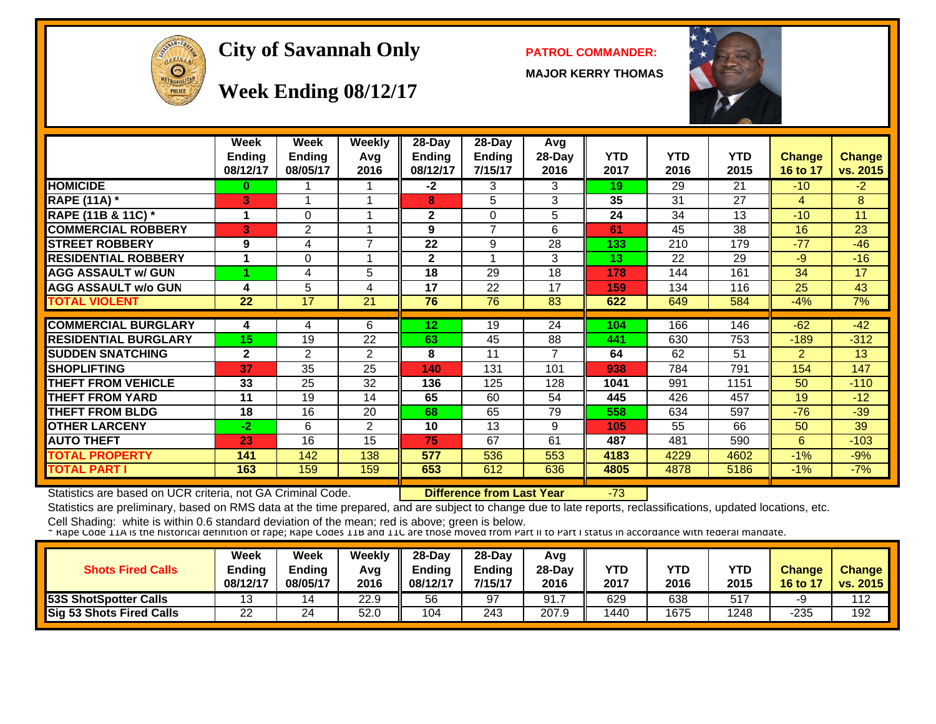

#### **City of Savannah Only PATROL COMMANDER:**

**MAJOR KERRY THOMAS**



#### **Week Ending 08/12/17**

|                             | <b>Week</b>    | <b>Week</b>    | Weekly | 28-Day        | 28-Day          | Avg                      |            |            |                 |                |               |
|-----------------------------|----------------|----------------|--------|---------------|-----------------|--------------------------|------------|------------|-----------------|----------------|---------------|
|                             | <b>Ending</b>  | <b>Ending</b>  | Avg    | <b>Ending</b> | <b>Ending</b>   | 28-Day                   | <b>YTD</b> | <b>YTD</b> | <b>YTD</b>      | <b>Change</b>  | <b>Change</b> |
|                             | 08/12/17       | 08/05/17       | 2016   | 08/12/17      | 7/15/17         | 2016                     | 2017       | 2016       | 2015            | 16 to 17       | vs. 2015      |
| <b>HOMICIDE</b>             | 0              |                |        | $-2$          | 3               | 3                        | 19         | 29         | $\overline{21}$ | $-10$          | $-2$          |
| <b>RAPE (11A)</b> *         | 3              |                |        | 8             | 5               | 3                        | 35         | 31         | 27              | 4              | 8             |
| RAPE (11B & 11C) *          |                | $\Omega$       |        | $\mathbf{2}$  | $\Omega$        | 5                        | 24         | 34         | 13              | $-10$          | 11            |
| <b>COMMERCIAL ROBBERY</b>   | 3              | $\overline{2}$ |        | 9             | 7               | 6                        | 61         | 45         | 38              | 16             | 23            |
| <b>STREET ROBBERY</b>       | 9              | 4              | 7      | 22            | 9               | 28                       | 133        | 210        | 179             | $-77$          | $-46$         |
| <b>RESIDENTIAL ROBBERY</b>  |                | 0              | -1     | $\mathbf{2}$  | 1               | 3                        | 13         | 22         | 29              | $-9$           | $-16$         |
| <b>AGG ASSAULT w/ GUN</b>   |                | 4              | 5      | 18            | 29              | 18                       | 178        | 144        | 161             | 34             | 17            |
| <b>AGG ASSAULT w/o GUN</b>  | 4              | 5              | 4      | 17            | 22              | 17                       | 159        | 134        | 116             | 25             | 43            |
| <b>TOTAL VIOLENT</b>        | 22             | 17             | 21     | 76            | $\overline{76}$ | 83                       | 622        | 649        | 584             | $-4%$          | 7%            |
|                             |                |                |        |               |                 |                          |            |            |                 |                |               |
| <b>COMMERCIAL BURGLARY</b>  | 4              | 4              | 6      | 12            | 19              | $\overline{24}$          | 104        | 166        | 146             | $-62$          | $-42$         |
| <b>RESIDENTIAL BURGLARY</b> | 15             | 19             | 22     | 63            | 45              | 88                       | 441        | 630        | 753             | $-189$         | $-312$        |
| <b>SUDDEN SNATCHING</b>     | $\overline{2}$ | 2              | 2      | 8             | 11              | $\overline{\phantom{a}}$ | 64         | 62         | 51              | $\overline{2}$ | 13            |
| <b>SHOPLIFTING</b>          | 37             | 35             | 25     | 140           | 131             | 101                      | 938        | 784        | 791             | 154            | 147           |
| <b>THEFT FROM VEHICLE</b>   | 33             | 25             | 32     | 136           | 125             | 128                      | 1041       | 991        | 1151            | 50             | $-110$        |
| <b>THEFT FROM YARD</b>      | 11             | 19             | 14     | 65            | 60              | 54                       | 445        | 426        | 457             | 19             | $-12$         |
| <b>THEFT FROM BLDG</b>      | 18             | 16             | 20     | 68            | 65              | 79                       | 558        | 634        | 597             | $-76$          | $-39$         |
| <b>OTHER LARCENY</b>        | $-2$           | 6              | 2      | 10            | 13              | 9                        | 105        | 55         | 66              | 50             | 39            |
| <b>AUTO THEFT</b>           | 23             | 16             | 15     | 75            | 67              | 61                       | 487        | 481        | 590             | 6              | $-103$        |
| <b>TOTAL PROPERTY</b>       | 141            | 142            | 138    | 577           | 536             | 553                      | 4183       | 4229       | 4602            | $-1%$          | $-9%$         |
| TOTAL PART I                | 163            | 159            | 159    | 653           | 612             | 636                      | 4805       | 4878       | 5186            | $-1%$          | $-7%$         |

Statistics are based on UCR criteria, not GA Criminal Code. **Difference from Last Year** -73

Statistics are preliminary, based on RMS data at the time prepared, and are subject to change due to late reports, reclassifications, updated locations, etc.

| <b>Shots Fired Calls</b>     | Week<br>Ending<br>08/12/17 | Week<br><b>Ending</b><br>08/05/17 | Weekly<br>Avg<br>2016 | $28$ -Dav<br><b>Endina</b><br>08/12/17 | $28-Dav$<br><b>Endina</b><br>7/15/17 | Avg<br>$28 - Day$<br>2016 | YTD<br>2017 | <b>YTD</b><br>2016 | YTD<br>2015 | <b>Change</b><br>16 to 17 | <b>Change</b><br>vs. 2015 |
|------------------------------|----------------------------|-----------------------------------|-----------------------|----------------------------------------|--------------------------------------|---------------------------|-------------|--------------------|-------------|---------------------------|---------------------------|
| <b>53S ShotSpotter Calls</b> | 13                         | 14                                | 22.9                  | 56                                     | 97                                   | 91.7                      | 629         | 638                | 517         | -9                        | 112                       |
| Sig 53 Shots Fired Calls     | 22                         | 24                                | 52.0                  | 104                                    | 243                                  | 207.9                     | 1440        | 1675               | 1248        | -235                      | 192                       |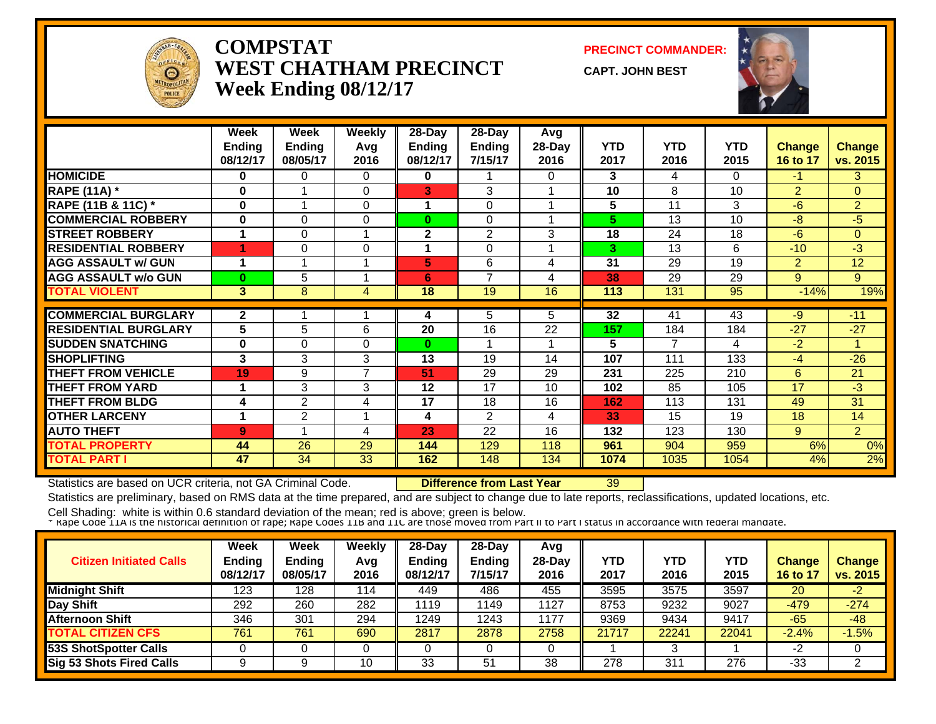

#### **COMPSTATWEST CHATHAM PRECINCTWeek Ending 08/12/17**

**PRECINCT COMMANDER:**

**CAPT. JOHN BEST**



|                             | Week<br><b>Ending</b><br>08/12/17 | Week<br><b>Ending</b><br>08/05/17 | <b>Weekly</b><br>Avg<br>2016 | 28-Day<br><b>Ending</b><br>08/12/17 | 28-Day<br><b>Ending</b><br>7/15/17 | Avg<br>28-Day<br>2016 | <b>YTD</b><br>2017 | <b>YTD</b><br>2016 | <b>YTD</b><br>2015 | <b>Change</b><br>16 to 17 | <b>Change</b><br>vs. 2015 |
|-----------------------------|-----------------------------------|-----------------------------------|------------------------------|-------------------------------------|------------------------------------|-----------------------|--------------------|--------------------|--------------------|---------------------------|---------------------------|
| <b>HOMICIDE</b>             | 0                                 | 0                                 | 0                            | 0                                   |                                    | 0                     | 3                  | 4                  | $\Omega$           | $-1$                      | 3                         |
| <b>RAPE (11A) *</b>         | 0                                 | 1                                 | $\Omega$                     | 3                                   | 3                                  |                       | 10                 | 8                  | 10                 | $\overline{2}$            | $\Omega$                  |
| RAPE (11B & 11C) *          | $\bf{0}$                          | 1                                 | $\Omega$                     |                                     | $\Omega$                           |                       | 5                  | 11                 | 3                  | $-6$                      | $\overline{2}$            |
| <b>COMMERCIAL ROBBERY</b>   | 0                                 | $\Omega$                          | 0                            | 0                                   | $\Omega$                           |                       | 5                  | 13                 | 10                 | $-8$                      | $-5$                      |
| <b>STREET ROBBERY</b>       | 1                                 | $\Omega$                          | 1                            | $\overline{2}$                      | $\overline{2}$                     | 3                     | 18                 | 24                 | 18                 | $-6$                      | $\overline{0}$            |
| <b>RESIDENTIAL ROBBERY</b>  | 4                                 | $\Omega$                          | $\Omega$                     |                                     | $\Omega$                           |                       | 3                  | 13                 | 6                  | $-10$                     | $-3$                      |
| <b>AGG ASSAULT w/ GUN</b>   | 1                                 | 4                                 | 4                            | 5                                   | 6                                  | 4                     | 31                 | 29                 | 19                 | $\overline{2}$            | 12                        |
| <b>AGG ASSAULT w/o GUN</b>  | $\bf{0}$                          | 5                                 | 1                            | 6                                   | 7                                  | 4                     | 38                 | 29                 | 29                 | 9                         | 9                         |
| <b>TOTAL VIOLENT</b>        | 3                                 | 8                                 | 4                            | 18                                  | 19                                 | 16                    | 113                | 131                | 95                 | $-14%$                    | 19%                       |
|                             |                                   |                                   |                              |                                     |                                    |                       |                    |                    |                    |                           |                           |
| <b>COMMERCIAL BURGLARY</b>  | $\mathbf{2}$                      |                                   |                              | 4                                   | 5                                  | 5                     | 32                 | 41                 | 43                 | $-9$                      | $-11$                     |
| <b>RESIDENTIAL BURGLARY</b> | 5                                 | 5                                 | 6                            | 20                                  | 16                                 | 22                    | 157                | 184                | 184                | $-27$                     | $-27$                     |
| <b>SUDDEN SNATCHING</b>     | 0                                 | $\Omega$                          | 0                            | $\bf{0}$                            |                                    |                       | 5                  | 7                  | 4                  | $-2$                      | 1.                        |
| <b>SHOPLIFTING</b>          | 3                                 | 3                                 | 3                            | 13                                  | 19                                 | 14                    | 107                | 111                | 133                | $-4$                      | $-26$                     |
| <b>THEFT FROM VEHICLE</b>   | 19                                | 9                                 | $\overline{7}$               | 51                                  | 29                                 | 29                    | 231                | 225                | 210                | 6                         | 21                        |
| <b>THEFT FROM YARD</b>      | 1                                 | 3                                 | 3                            | 12                                  | 17                                 | 10                    | 102                | 85                 | 105                | 17                        | $-3$                      |
| <b>THEFT FROM BLDG</b>      | 4                                 | 2                                 | 4                            | 17                                  | 18                                 | 16                    | 162                | 113                | 131                | 49                        | 31                        |
| <b>OTHER LARCENY</b>        | 1                                 | 2                                 | $\overline{\mathbf{A}}$      | 4                                   | $\overline{2}$                     | 4                     | 33                 | 15                 | 19                 | 18                        | 14                        |
| <b>AUTO THEFT</b>           | 9                                 |                                   | 4                            | 23                                  | 22                                 | 16                    | 132                | 123                | 130                | 9                         | $\overline{2}$            |
| <b>TOTAL PROPERTY</b>       | 44                                | 26                                | 29                           | 144                                 | 129                                | 118                   | 961                | 904                | 959                | 6%                        | 0%                        |
| <b>TOTAL PART I</b>         | 47                                | 34                                | 33                           | 162                                 | 148                                | 134                   | 1074               | 1035               | 1054               | 4%                        | 2%                        |

Statistics are based on UCR criteria, not GA Criminal Code. **Difference from Last Year** 39

Statistics are preliminary, based on RMS data at the time prepared, and are subject to change due to late reports, reclassifications, updated locations, etc.

| <b>Citizen Initiated Calls</b> | <b>Week</b><br><b>Ending</b><br>08/12/17 | <b>Week</b><br><b>Ending</b><br>08/05/17 | Weekly<br>Avg<br>2016 | $28-Dav$<br>Ending<br>08/12/17 | 28-Day<br><b>Ending</b><br>7/15/17 | Avg<br>$28-Dav$<br>2016 | YTD<br>2017 | YTD<br>2016 | YTD<br>2015 | <b>Change</b><br>16 to 17 | <b>Change</b><br>vs. 2015 |
|--------------------------------|------------------------------------------|------------------------------------------|-----------------------|--------------------------------|------------------------------------|-------------------------|-------------|-------------|-------------|---------------------------|---------------------------|
| <b>Midnight Shift</b>          | 123                                      | 128                                      | 114                   | 449                            | 486                                | 455                     | 3595        | 3575        | 3597        | 20                        | $-2$                      |
| Day Shift                      | 292                                      | 260                                      | 282                   | 1119                           | 1149                               | 1127                    | 8753        | 9232        | 9027        | $-479$                    | $-274$                    |
| <b>Afternoon Shift</b>         | 346                                      | 301                                      | 294                   | 1249                           | 1243                               | 1177                    | 9369        | 9434        | 9417        | $-65$                     | $-48$                     |
| <b>TOTAL CITIZEN CFS</b>       | 761                                      | 761                                      | 690                   | 2817                           | 2878                               | 2758                    | 21717       | 22241       | 22041       | $-2.4%$                   | $-1.5%$                   |
| <b>53S ShotSpotter Calls</b>   |                                          |                                          |                       |                                |                                    |                         |             |             |             | $-2$                      |                           |
| Sig 53 Shots Fired Calls       | 9                                        |                                          | 10                    | 33                             | 51                                 | 38                      | 278         | 311         | 276         | -33                       |                           |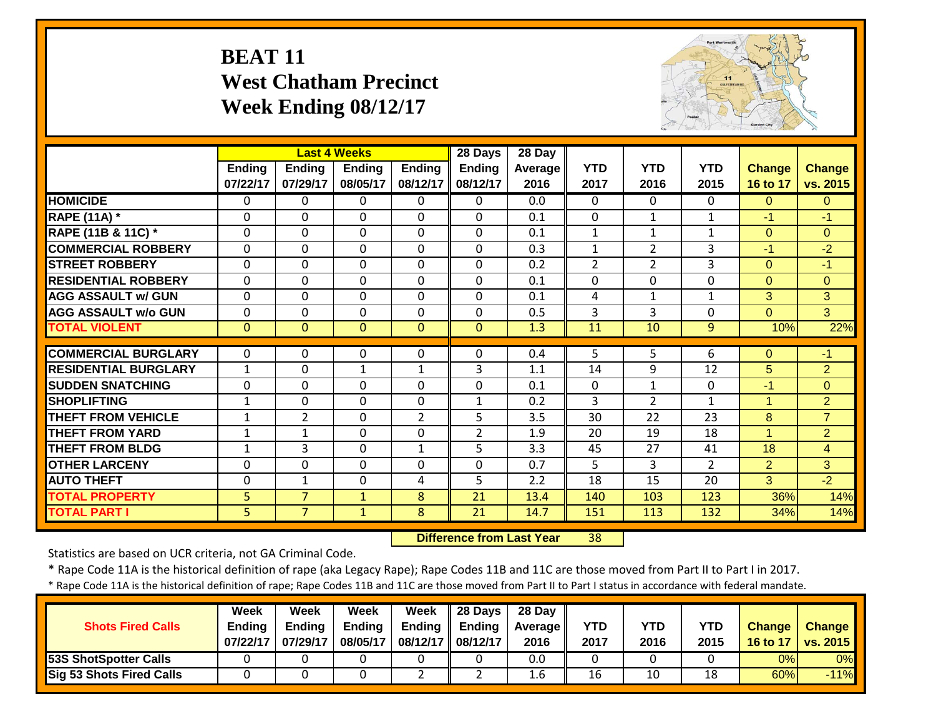#### **BEAT 11 West Chatham PrecinctWeek Ending 08/12/17**



|                             |                |                | <b>Last 4 Weeks</b> |                | 28 Days        | $28$ Day |              |                |                |                |                |
|-----------------------------|----------------|----------------|---------------------|----------------|----------------|----------|--------------|----------------|----------------|----------------|----------------|
|                             | <b>Ending</b>  | <b>Ending</b>  | <b>Ending</b>       | Ending         | <b>Ending</b>  | Average  | <b>YTD</b>   | <b>YTD</b>     | <b>YTD</b>     | <b>Change</b>  | <b>Change</b>  |
|                             | 07/22/17       | 07/29/17       | 08/05/17            | 08/12/17       | 08/12/17       | 2016     | 2017         | 2016           | 2015           | 16 to 17       | vs. 2015       |
| <b>HOMICIDE</b>             | $\Omega$       | 0              | $\Omega$            | $\Omega$       | 0              | 0.0      | 0            | $\Omega$       | $\Omega$       | $\Omega$       | $\Omega$       |
| <b>RAPE (11A) *</b>         | $\Omega$       | 0              | $\Omega$            | $\Omega$       | 0              | 0.1      | $\Omega$     | $\mathbf{1}$   | $\mathbf{1}$   | $-1$           | $-1$           |
| RAPE (11B & 11C) *          | $\Omega$       | 0              | $\Omega$            | $\Omega$       | $\Omega$       | 0.1      | $\mathbf{1}$ | $\mathbf{1}$   | $\mathbf{1}$   | $\Omega$       | $\Omega$       |
| <b>COMMERCIAL ROBBERY</b>   | $\Omega$       | 0              | $\Omega$            | $\Omega$       | $\mathbf 0$    | 0.3      | $\mathbf 1$  | $\overline{2}$ | 3              | $-1$           | $-2$           |
| <b>STREET ROBBERY</b>       | $\Omega$       | 0              | $\Omega$            | $\Omega$       | $\Omega$       | 0.2      | 2            | $\overline{2}$ | 3              | $\Omega$       | $-1$           |
| <b>RESIDENTIAL ROBBERY</b>  | $\mathbf{0}$   | $\Omega$       | $\Omega$            | $\Omega$       | $\mathbf 0$    | 0.1      | $\Omega$     | $\mathbf 0$    | $\mathbf{0}$   | $\Omega$       | $\Omega$       |
| <b>AGG ASSAULT w/ GUN</b>   | $\mathbf 0$    | $\mathbf 0$    | $\mathbf{0}$        | $\mathbf 0$    | $\mathbf 0$    | 0.1      | 4            | $\mathbf{1}$   | $\mathbf{1}$   | 3              | 3              |
| <b>AGG ASSAULT w/o GUN</b>  | $\mathbf 0$    | $\mathbf 0$    | $\mathbf 0$         | $\mathbf 0$    | $\mathbf 0$    | 0.5      | 3            | 3              | $\mathbf{0}$   | $\overline{0}$ | $\overline{3}$ |
| <b>TOTAL VIOLENT</b>        | $\overline{0}$ | $\Omega$       | $\Omega$            | $\mathbf{0}$   | $\overline{0}$ | 1.3      | 11           | 10             | 9              | 10%            | 22%            |
|                             |                |                |                     |                |                |          |              |                |                |                |                |
| <b>COMMERCIAL BURGLARY</b>  | $\Omega$       | $\Omega$       | $\Omega$            | $\Omega$       | $\Omega$       | 0.4      | 5.           | $\overline{5}$ | 6              | $\mathbf{0}$   | $-1$           |
| <b>RESIDENTIAL BURGLARY</b> | $\mathbf{1}$   | 0              | $\mathbf{1}$        | $\mathbf{1}$   | 3              | 1.1      | 14           | 9              | 12             | 5              | $\overline{2}$ |
| <b>SUDDEN SNATCHING</b>     | $\mathbf 0$    | 0              | $\mathbf 0$         | $\mathbf 0$    | 0              | 0.1      | $\mathbf 0$  | $\mathbf{1}$   | 0              | $-1$           | $\mathbf{0}$   |
| <b>SHOPLIFTING</b>          | $\mathbf{1}$   | 0              | $\Omega$            | $\mathbf 0$    | $\mathbf{1}$   | 0.2      | 3            | $\overline{2}$ | $\mathbf{1}$   | $\overline{1}$ | $\overline{2}$ |
| <b>THEFT FROM VEHICLE</b>   | $\mathbf{1}$   | $\overline{2}$ | $\Omega$            | $\overline{2}$ | 5              | 3.5      | 30           | 22             | 23             | 8              | $\overline{7}$ |
| <b>THEFT FROM YARD</b>      | $\mathbf{1}$   | 1              | $\Omega$            | $\Omega$       | $\overline{2}$ | 1.9      | 20           | 19             | 18             | $\overline{1}$ | $\overline{2}$ |
| <b>THEFT FROM BLDG</b>      | $\mathbf{1}$   | 3              | $\mathbf 0$         | $\mathbf{1}$   | 5              | 3.3      | 45           | 27             | 41             | 18             | $\overline{4}$ |
| <b>OTHER LARCENY</b>        | $\mathbf 0$    | 0              | $\mathbf 0$         | $\mathbf 0$    | $\mathbf 0$    | 0.7      | 5            | 3              | $\overline{2}$ | $\overline{2}$ | 3              |
| <b>AUTO THEFT</b>           | $\mathbf 0$    | 1              | $\Omega$            | 4              | 5              | 2.2      | 18           | 15             | 20             | 3              | $-2$           |
| <b>TOTAL PROPERTY</b>       | 5              | $\overline{7}$ | 1                   | 8              | 21             | 13.4     | 140          | 103            | 123            | 36%            | 14%            |
| <b>TOTAL PART I</b>         | 5.             | $\overline{7}$ | $\mathbf{1}$        | 8              | 21             | 14.7     | 151          | 113            | 132            | 34%            | 14%            |

 **Difference from Last Year**38

Statistics are based on UCR criteria, not GA Criminal Code.

\* Rape Code 11A is the historical definition of rape (aka Legacy Rape); Rape Codes 11B and 11C are those moved from Part II to Part I in 2017.

\* Rape Code 11A is the historical definition of rape; Rape Codes 11B and 11C are those moved from Part II to Part I status in accordance with federal mandate.

|                                 | Week          | Week          | Week          | Week              | $\parallel$ 28 Days | 28 Day            |            |            |            |               |               |
|---------------------------------|---------------|---------------|---------------|-------------------|---------------------|-------------------|------------|------------|------------|---------------|---------------|
| <b>Shots Fired Calls</b>        | <b>Ending</b> | <b>Ending</b> | <b>Ending</b> | Endina            | Ending              | <b>Average</b> II | <b>YTD</b> | <b>YTD</b> | <b>YTD</b> | <b>Change</b> | <b>Change</b> |
|                                 | 07/22/17      | 07/29/17      | 08/05/17      | 08/12/17 08/12/17 |                     | 2016              | 2017       | 2016       | 2015       | 16 to 17      | vs. 2015      |
| <b>53S ShotSpotter Calls</b>    |               |               |               |                   |                     | 0.0               |            |            |            | 0%            | 0%            |
| <b>Sig 53 Shots Fired Calls</b> |               |               |               |                   |                     | 1.6               | 16         | 10         | 18         | 60%           | $-11%$        |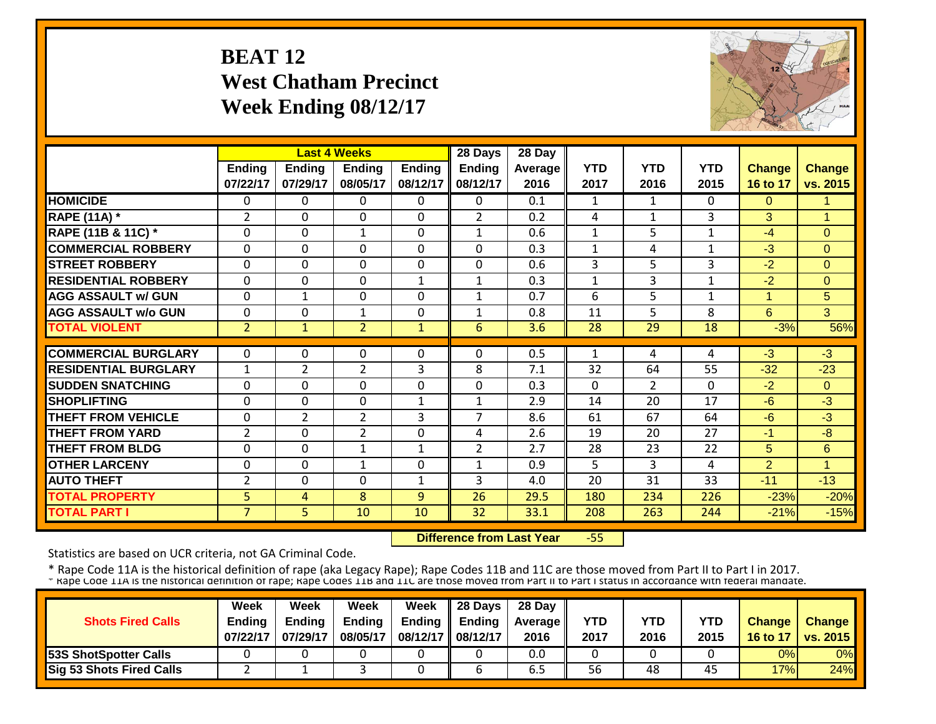#### **BEAT 12 West Chatham Precinct Week Ending 08/12/17**



|                             |                |                | <b>Last 4 Weeks</b> |               | 28 Days        | 28 Day  |                |                |            |                |                |
|-----------------------------|----------------|----------------|---------------------|---------------|----------------|---------|----------------|----------------|------------|----------------|----------------|
|                             | <b>Ending</b>  | <b>Ending</b>  | <b>Ending</b>       | <b>Ending</b> | <b>Ending</b>  | Average | <b>YTD</b>     | <b>YTD</b>     | <b>YTD</b> | <b>Change</b>  | <b>Change</b>  |
|                             | 07/22/17       | 07/29/17       | 08/05/17            | 08/12/17      | 08/12/17       | 2016    | 2017           | 2016           | 2015       | 16 to 17       | vs. 2015       |
| <b>HOMICIDE</b>             | $\Omega$       | 0              | 0                   | $\Omega$      | 0              | 0.1     | 1              | $\mathbf{1}$   | 0          | $\Omega$       | 1              |
| <b>RAPE (11A) *</b>         | 2              | $\Omega$       | 0                   | $\Omega$      | $\overline{2}$ | 0.2     | $\overline{4}$ | $\mathbf{1}$   | 3          | 3              | $\overline{1}$ |
| RAPE (11B & 11C) *          | $\Omega$       | $\Omega$       | $\mathbf{1}$        | 0             | 1              | 0.6     | $\mathbf{1}$   | 5              | 1          | $-4$           | $\Omega$       |
| <b>COMMERCIAL ROBBERY</b>   | $\Omega$       | $\Omega$       | $\Omega$            | 0             | $\Omega$       | 0.3     | $\mathbf{1}$   | 4              | 1          | $-3$           | $\Omega$       |
| <b>STREET ROBBERY</b>       | $\mathbf 0$    | $\mathbf 0$    | $\mathbf 0$         | $\mathbf 0$   | $\Omega$       | 0.6     | 3              | 5              | 3          | $-2$           | $\mathbf{0}$   |
| <b>RESIDENTIAL ROBBERY</b>  | $\mathbf 0$    | $\Omega$       | $\mathbf 0$         | $\mathbf{1}$  | $\mathbf{1}$   | 0.3     | $\mathbf{1}$   | 3              | 1          | $-2$           | $\Omega$       |
| <b>AGG ASSAULT w/ GUN</b>   | $\mathbf 0$    | $\mathbf{1}$   | $\Omega$            | 0             | $\mathbf{1}$   | 0.7     | 6              | 5.             | 1          | 1              | 5              |
| <b>AGG ASSAULT w/o GUN</b>  | $\mathbf 0$    | 0              | 1                   | 0             | 1              | 0.8     | 11             | 5              | 8          | 6              | 3              |
| <b>TOTAL VIOLENT</b>        | $\overline{2}$ | $\mathbf{1}$   | 2                   | $\mathbf{1}$  | 6              | 3.6     | 28             | 29             | 18         | $-3%$          | 56%            |
|                             |                |                |                     |               |                |         |                |                |            |                |                |
| <b>COMMERCIAL BURGLARY</b>  | 0              | 0              | 0                   | 0             | 0              | 0.5     | 1              | 4              | 4          | $-3$           | $-3$           |
| <b>RESIDENTIAL BURGLARY</b> | $\mathbf{1}$   | $\overline{2}$ | $\overline{2}$      | 3             | 8              | 7.1     | 32             | 64             | 55         | $-32$          | $-23$          |
| <b>SUDDEN SNATCHING</b>     | 0              | $\Omega$       | $\Omega$            | 0             | 0              | 0.3     | $\Omega$       | $\overline{2}$ | 0          | $-2$           | $\Omega$       |
| <b>SHOPLIFTING</b>          | $\Omega$       | $\Omega$       | $\Omega$            | 1             | 1              | 2.9     | 14             | 20             | 17         | $-6$           | $-3$           |
| <b>THEFT FROM VEHICLE</b>   | $\Omega$       | 2              | $\overline{2}$      | 3             | 7              | 8.6     | 61             | 67             | 64         | $-6$           | $-3$           |
| <b>THEFT FROM YARD</b>      | $\overline{2}$ | $\Omega$       | $\overline{2}$      | $\Omega$      | 4              | 2.6     | 19             | 20             | 27         | $-1$           | $-8$           |
| <b>THEFT FROM BLDG</b>      | $\Omega$       | $\Omega$       | 1                   | 1             | $\overline{2}$ | 2.7     | 28             | 23             | 22         | 5              | 6              |
| <b>OTHER LARCENY</b>        | $\Omega$       | $\Omega$       | 1                   | 0             | $\mathbf{1}$   | 0.9     | 5              | 3              | 4          | $\overline{2}$ | 1              |
| <b>AUTO THEFT</b>           | $\overline{2}$ | $\Omega$       | $\Omega$            | 1             | 3              | 4.0     | 20             | 31             | 33         | $-11$          | $-13$          |
| <b>TOTAL PROPERTY</b>       | 5              | 4              | 8                   | 9             | 26             | 29.5    | 180            | 234            | 226        | $-23%$         | $-20%$         |
| <b>TOTAL PART I</b>         | $\overline{7}$ | 5              | 10                  | 10            | 32             | 33.1    | 208            | 263            | 244        | $-21%$         | $-15%$         |

 **Difference from Last Year**‐55

Statistics are based on UCR criteria, not GA Criminal Code.

|                                 | Week          | Week          | Week          | Week                | $\parallel$ 28 Days       | 28 Day            |      |      |      |               |                 |
|---------------------------------|---------------|---------------|---------------|---------------------|---------------------------|-------------------|------|------|------|---------------|-----------------|
| <b>Shots Fired Calls</b>        | <b>Endina</b> | <b>Ending</b> | <b>Ending</b> |                     | Ending $\parallel$ Ending | <b>Average</b> II | YTD  | YTD  | YTD  | <b>Change</b> | <b>Change</b>   |
|                                 | 07/22/17      | 07/29/17      | 08/05/17      | 08/12/17   08/12/17 |                           | 2016              | 2017 | 2016 | 2015 | 16 to 17      | <b>vs. 2015</b> |
| <b>53S ShotSpotter Calls</b>    |               |               |               |                     |                           | 0.0               |      |      |      | 0%            | 0%              |
| <b>Sig 53 Shots Fired Calls</b> |               |               |               |                     |                           | ხ.5               | 56   | 48   | 45   | 17%           | 24%             |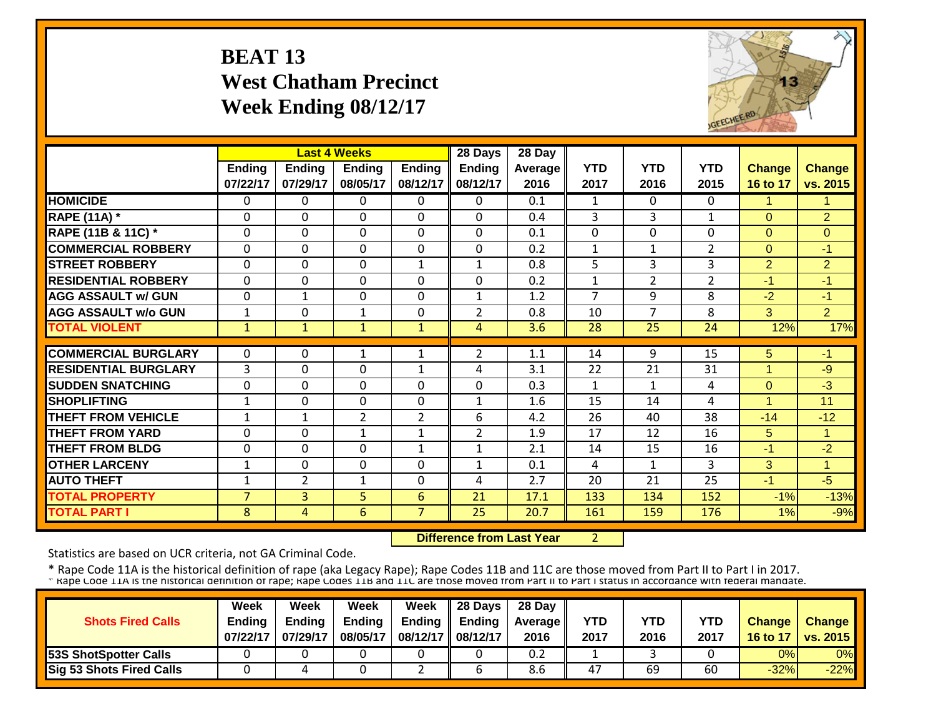## **BEAT 13 West Chatham Precinct Week Ending 08/12/17**



|                             |                | <b>Last 4 Weeks</b> |                |                | 28 Days        | 28 Day  |                |                |                |                |                |
|-----------------------------|----------------|---------------------|----------------|----------------|----------------|---------|----------------|----------------|----------------|----------------|----------------|
|                             | Ending         | <b>Ending</b>       | <b>Ending</b>  | <b>Ending</b>  | <b>Ending</b>  | Average | <b>YTD</b>     | <b>YTD</b>     | <b>YTD</b>     | <b>Change</b>  | <b>Change</b>  |
|                             | 07/22/17       | 07/29/17            | 08/05/17       | 08/12/17       | 08/12/17       | 2016    | 2017           | 2016           | 2015           | 16 to 17       | vs. 2015       |
| <b>HOMICIDE</b>             | $\Omega$       | 0                   | $\Omega$       | $\Omega$       | 0              | 0.1     | $\mathbf{1}$   | $\Omega$       | 0              | 1              | 1              |
| <b>RAPE (11A)</b> *         | $\Omega$       | $\Omega$            | $\Omega$       | $\Omega$       | $\Omega$       | 0.4     | 3              | 3              | 1              | $\Omega$       | $\overline{2}$ |
| RAPE (11B & 11C) *          | $\mathbf 0$    | $\Omega$            | $\Omega$       | $\Omega$       | $\Omega$       | 0.1     | $\Omega$       | $\Omega$       | $\Omega$       | $\Omega$       | $\mathbf{0}$   |
| <b>COMMERCIAL ROBBERY</b>   | $\Omega$       | $\Omega$            | $\mathbf 0$    | $\Omega$       | $\Omega$       | 0.2     | $\mathbf{1}$   | $\mathbf{1}$   | 2              | $\Omega$       | $-1$           |
| <b>STREET ROBBERY</b>       | $\mathbf 0$    | 0                   | $\mathbf 0$    | $\mathbf{1}$   | $\mathbf{1}$   | 0.8     | $\overline{5}$ | 3              | 3              | $\overline{2}$ | $\overline{2}$ |
| <b>RESIDENTIAL ROBBERY</b>  | $\Omega$       | 0                   | 0              | $\Omega$       | 0              | 0.2     | $\mathbf{1}$   | $\overline{2}$ | $\overline{2}$ | $-1$           | $-1$           |
| <b>AGG ASSAULT w/ GUN</b>   | $\Omega$       | $\mathbf{1}$        | 0              | $\Omega$       | $\mathbf{1}$   | 1.2     | $\overline{7}$ | 9              | 8              | $-2$           | $-1$           |
| <b>AGG ASSAULT w/o GUN</b>  | 1              | 0                   | 1              | $\Omega$       | 2              | 0.8     | 10             | 7              | 8              | 3              | $\overline{2}$ |
| <b>TOTAL VIOLENT</b>        | $\mathbf{1}$   | $\mathbf{1}$        | $\mathbf{1}$   | $\mathbf{1}$   | 4              | 3.6     | 28             | 25             | 24             | 12%            | 17%            |
|                             |                |                     |                |                |                |         |                |                |                |                |                |
| <b>COMMERCIAL BURGLARY</b>  | $\Omega$       | 0                   | 1              | 1              | 2              | 1.1     | 14             | 9              | 15             | 5              | $-1$           |
| <b>RESIDENTIAL BURGLARY</b> | 3              | 0                   | $\mathbf 0$    | $\mathbf{1}$   | 4              | 3.1     | 22             | 21             | 31             |                | $-9$           |
| <b>SUDDEN SNATCHING</b>     | $\mathbf 0$    | $\Omega$            | $\mathbf 0$    | $\Omega$       | $\Omega$       | 0.3     | $\mathbf{1}$   | 1              | 4              | $\Omega$       | $-3$           |
| <b>SHOPLIFTING</b>          | $\mathbf{1}$   | $\Omega$            | $\mathbf 0$    | $\Omega$       | $\mathbf{1}$   | 1.6     | 15             | 14             | 4              | 1              | 11             |
| <b>THEFT FROM VEHICLE</b>   | $\mathbf{1}$   | 1                   | $\overline{2}$ | $\overline{2}$ | 6              | 4.2     | 26             | 40             | 38             | $-14$          | $-12$          |
| <b>THEFT FROM YARD</b>      | $\Omega$       | 0                   | $\mathbf{1}$   | 1              | $\overline{2}$ | 1.9     | 17             | 12             | 16             | 5              | 1              |
| <b>THEFT FROM BLDG</b>      | $\Omega$       | 0                   | $\Omega$       | 1              | $\mathbf{1}$   | 2.1     | 14             | 15             | 16             | $-1$           | $-2$           |
| <b>OTHER LARCENY</b>        | 1              | $\Omega$            | $\Omega$       | $\Omega$       | $\mathbf{1}$   | 0.1     | 4              | 1              | 3              | 3              | 1              |
| <b>AUTO THEFT</b>           | $\mathbf{1}$   | 2                   | $\mathbf{1}$   | $\Omega$       | 4              | 2.7     | 20             | 21             | 25             | $-1$           | $-5$           |
| <b>TOTAL PROPERTY</b>       | $\overline{7}$ | 3                   | 5              | 6              | 21             | 17.1    | 133            | 134            | 152            | $-1%$          | $-13%$         |
| <b>TOTAL PART I</b>         | 8              | 4                   | 6              | $\overline{7}$ | 25             | 20.7    | 161            | 159            | 176            | 1%             | $-9%$          |

 **Difference from Last Year**

2

Statistics are based on UCR criteria, not GA Criminal Code.

|                                 | Week          | Week          | Week          | <b>Week</b>         | $\parallel$ 28 Days       | 28 Day            |      |      |      |               |                 |
|---------------------------------|---------------|---------------|---------------|---------------------|---------------------------|-------------------|------|------|------|---------------|-----------------|
| <b>Shots Fired Calls</b>        | <b>Endina</b> | <b>Ending</b> | <b>Ending</b> |                     | Ending $\parallel$ Ending | <b>Average</b> II | YTD  | YTD  | YTD  | <b>Change</b> | <b>Change</b>   |
|                                 | 07/22/17      | 07/29/17      | 08/05/17      | 08/12/17   08/12/17 |                           | 2016              | 2017 | 2016 | 2017 | 16 to 17      | <b>vs. 2015</b> |
| <b>53S ShotSpotter Calls</b>    |               |               |               |                     |                           | 0.2               |      |      |      | 0%            | 0%              |
| <b>Sig 53 Shots Fired Calls</b> |               |               |               |                     |                           | 8.6               | 47   | 69   | 60   | $-32%$        | $-22%$          |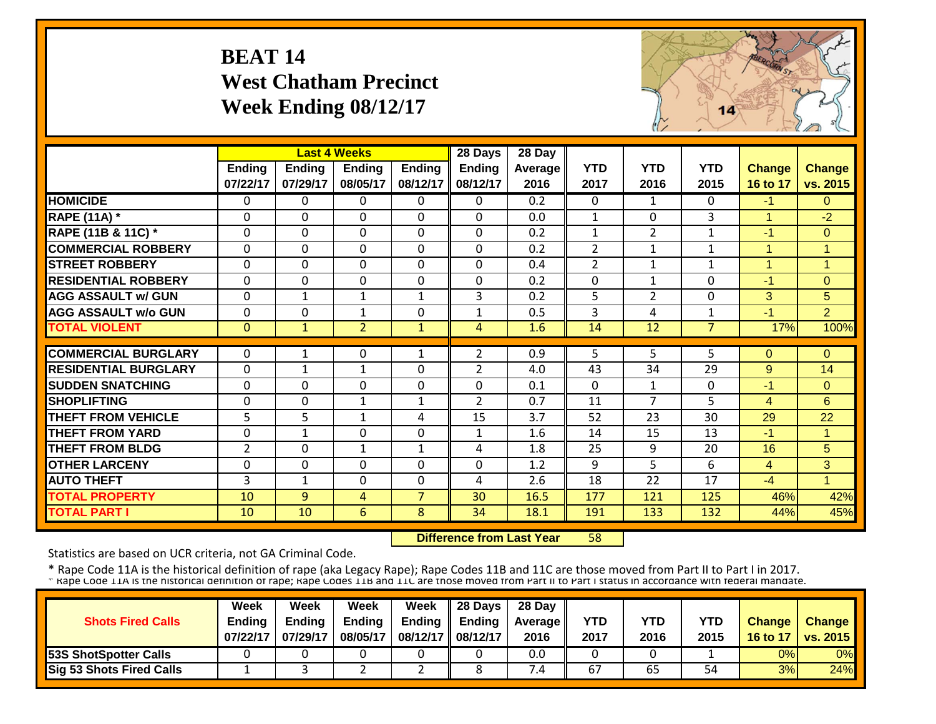#### **BEAT 14 West Chatham Precinct Week Ending 08/12/17**



|                             |                |               | <b>Last 4 Weeks</b> |                | 28 Days       | 28 Day           |                |                |                |                      |                |
|-----------------------------|----------------|---------------|---------------------|----------------|---------------|------------------|----------------|----------------|----------------|----------------------|----------------|
|                             | <b>Ending</b>  | <b>Ending</b> | <b>Ending</b>       | <b>Ending</b>  | <b>Ending</b> | Average          | <b>YTD</b>     | <b>YTD</b>     | <b>YTD</b>     | <b>Change</b>        | <b>Change</b>  |
|                             | 07/22/17       | 07/29/17      | 08/05/17            | 08/12/17       | 08/12/17      | 2016             | 2017           | 2016           | 2015           | 16 to 17             | vs. 2015       |
| <b>HOMICIDE</b>             | $\Omega$       | 0             | $\Omega$            | $\Omega$       | 0             | $\overline{0.2}$ | $\Omega$       | $\mathbf{1}$   | $\Omega$       | $-1$                 | $\Omega$       |
| <b>RAPE (11A) *</b>         | $\Omega$       | 0             | 0                   | $\mathbf 0$    | $\Omega$      | 0.0              | $\mathbf{1}$   | $\Omega$       | $\overline{3}$ | $\blacktriangleleft$ | $-2$           |
| RAPE (11B & 11C) *          | $\Omega$       | 0             | $\Omega$            | $\Omega$       | $\Omega$      | 0.2              | $\mathbf{1}$   | $\overline{2}$ | 1              | $-1$                 | $\overline{0}$ |
| <b>COMMERCIAL ROBBERY</b>   | $\Omega$       | $\Omega$      | $\Omega$            | $\Omega$       | $\Omega$      | 0.2              | $\overline{2}$ | $\mathbf{1}$   | $\mathbf{1}$   | 1                    | 1              |
| <b>STREET ROBBERY</b>       | $\Omega$       | 0             | 0                   | 0              | $\Omega$      | 0.4              | $\overline{2}$ | 1              | $\mathbf{1}$   | $\overline{1}$       | $\overline{1}$ |
| <b>RESIDENTIAL ROBBERY</b>  | $\Omega$       | 0             | 0                   | 0              | 0             | 0.2              | $\Omega$       | $\mathbf{1}$   | $\Omega$       | $-1$                 | $\Omega$       |
| <b>AGG ASSAULT w/ GUN</b>   | $\mathbf 0$    | 1             | $\mathbf{1}$        | $\mathbf{1}$   | 3             | 0.2              | 5              | $\overline{2}$ | $\mathbf 0$    | 3                    | 5 <sup>1</sup> |
| <b>AGG ASSAULT w/o GUN</b>  | $\mathbf{0}$   | 0             | $\mathbf{1}$        | 0              | $\mathbf{1}$  | 0.5              | 3              | 4              | $\mathbf{1}$   | $-1$                 | $\overline{2}$ |
| <b>TOTAL VIOLENT</b>        | $\mathbf{0}$   | $\mathbf{1}$  | $\overline{2}$      | $\mathbf{1}$   | 4             | 1.6              | 14             | 12             | $\overline{7}$ | 17%                  | 100%           |
|                             |                |               |                     |                |               |                  |                |                |                |                      |                |
| <b>COMMERCIAL BURGLARY</b>  | $\Omega$       | 1             | 0                   | 1              | 2             | 0.9              | 5              | 5.             | 5              | $\Omega$             | $\Omega$       |
| <b>RESIDENTIAL BURGLARY</b> | $\mathbf{0}$   | 1             | $\mathbf{1}$        | 0              | 2             | 4.0              | 43             | 34             | 29             | 9                    | 14             |
| <b>SUDDEN SNATCHING</b>     | $\Omega$       | 0             | 0                   | 0              | $\Omega$      | 0.1              | $\Omega$       | $\mathbf{1}$   | $\mathbf 0$    | $-1$                 | $\Omega$       |
| <b>SHOPLIFTING</b>          | $\Omega$       | 0             | $\mathbf{1}$        | 1              | 2             | 0.7              | 11             | 7              | 5              | $\overline{4}$       | 6              |
| <b>THEFT FROM VEHICLE</b>   | 5.             | 5             | $\mathbf{1}$        | 4              | 15            | 3.7              | 52             | 23             | 30             | 29                   | 22             |
| <b>THEFT FROM YARD</b>      | 0              | 1             | 0                   | $\mathbf 0$    | 1             | 1.6              | 14             | 15             | 13             | $-1$                 | $\mathbf{1}$   |
| <b>THEFT FROM BLDG</b>      | $\overline{2}$ | 0             | $\mathbf{1}$        | 1              | 4             | 1.8              | 25             | 9              | 20             | 16                   | 5              |
| <b>OTHER LARCENY</b>        | $\Omega$       | $\Omega$      | $\Omega$            | $\Omega$       | $\Omega$      | 1.2              | 9              | 5.             | 6              | 4                    | 3              |
| <b>AUTO THEFT</b>           | 3              | $\mathbf{1}$  | $\Omega$            | $\Omega$       | 4             | 2.6              | 18             | 22             | 17             | $-4$                 | $\mathbf{1}$   |
| <b>TOTAL PROPERTY</b>       | 10             | 9             | 4                   | $\overline{7}$ | 30            | 16.5             | 177            | 121            | 125            | 46%                  | 42%            |
| <b>TOTAL PART I</b>         | 10             | 10            | 6                   | 8              | 34            | 18.1             | 191            | 133            | 132            | 44%                  | 45%            |

 **Difference from Last Year**58

Statistics are based on UCR criteria, not GA Criminal Code.

|                              | <b>Week</b>   | Week          | Week          | Week              | $\parallel$ 28 Days       | 28 Day            |            |      |      |               |                 |
|------------------------------|---------------|---------------|---------------|-------------------|---------------------------|-------------------|------------|------|------|---------------|-----------------|
| <b>Shots Fired Calls</b>     | <b>Endina</b> | <b>Ending</b> | <b>Ending</b> |                   | Ending $\parallel$ Ending | <b>Average</b> II | <b>YTD</b> | YTD  | YTD  | <b>Change</b> | <b>Change</b>   |
|                              | 07/22/17      | 07/29/17      | 08/05/17      | 08/12/17 08/12/17 |                           | 2016              | 2017       | 2016 | 2015 | 16 to 17      | <b>vs. 2015</b> |
| <b>53S ShotSpotter Calls</b> |               |               |               |                   |                           | 0.0               |            |      |      | 0%            | 0%              |
| Sig 53 Shots Fired Calls     |               |               |               | -                 |                           | $^{\prime}$ .4    | 67         | 65   | 54   | 3%            | 24%             |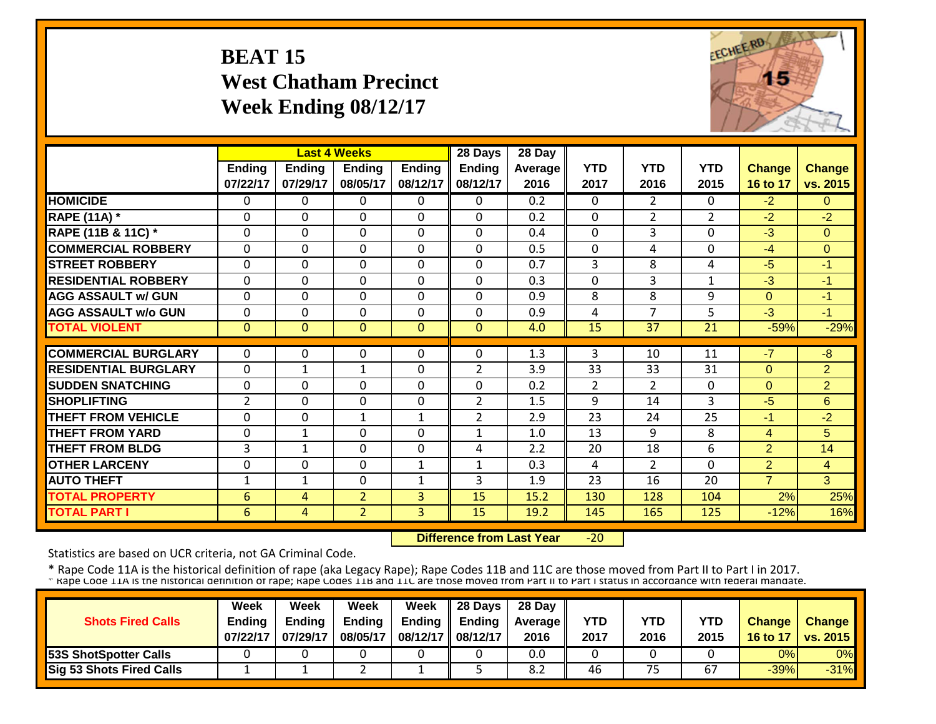# **BEAT 15 West Chatham Precinct Week Ending 08/12/17**



|                             |                |                | <b>Last 4 Weeks</b> |               | 28 Days        | 28 Day           |                |                |                |                |                       |
|-----------------------------|----------------|----------------|---------------------|---------------|----------------|------------------|----------------|----------------|----------------|----------------|-----------------------|
|                             | Ending         | <b>Ending</b>  | <b>Ending</b>       | <b>Ending</b> | <b>Ending</b>  | Average          | <b>YTD</b>     | <b>YTD</b>     | <b>YTD</b>     | <b>Change</b>  | <b>Change</b>         |
|                             | 07/22/17       | 07/29/17       | 08/05/17            | 08/12/17      | 08/12/17       | 2016             | 2017           | 2016           | 2015           | 16 to 17       | vs. 2015              |
| <b>HOMICIDE</b>             | $\overline{0}$ | 0              | $\Omega$            | $\Omega$      | 0              | $\overline{0.2}$ | $\mathbf{0}$   | $\mathbf{2}$   | 0              | $-2$           | $\Omega$              |
| <b>RAPE (11A) *</b>         | $\Omega$       | $\Omega$       | $\Omega$            | $\Omega$      | $\Omega$       | 0.2              | $\mathbf 0$    | $\overline{2}$ | $\overline{2}$ | $-2$           | $-2$                  |
| RAPE (11B & 11C) *          | $\mathbf 0$    | 0              | 0                   | $\mathbf 0$   | 0              | 0.4              | $\mathbf 0$    | 3              | 0              | $-3$           | $\overline{0}$        |
| <b>COMMERCIAL ROBBERY</b>   | $\mathbf 0$    | 0              | $\mathbf 0$         | $\mathbf 0$   | 0              | 0.5              | $\mathbf 0$    | 4              | 0              | $-4$           | $\mathbf{0}$          |
| <b>STREET ROBBERY</b>       | $\Omega$       | 0              | $\Omega$            | $\Omega$      | 0              | 0.7              | 3              | 8              | 4              | $-5$           | $-1$                  |
| <b>RESIDENTIAL ROBBERY</b>  | $\Omega$       | $\Omega$       | $\Omega$            | $\Omega$      | 0              | 0.3              | $\mathbf 0$    | 3              | $\mathbf{1}$   | -3             | $-1$                  |
| <b>AGG ASSAULT w/ GUN</b>   | $\Omega$       | 0              | $\Omega$            | $\Omega$      | $\Omega$       | 0.9              | 8              | 8              | 9              | $\Omega$       | $-1$                  |
| <b>AGG ASSAULT w/o GUN</b>  | $\mathbf 0$    | 0              | $\Omega$            | $\Omega$      | 0              | 0.9              | 4              | 7              | 5              | $-3$           | $-1$                  |
| <b>TOTAL VIOLENT</b>        | $\mathbf{0}$   | $\overline{0}$ | $\overline{0}$      | $\mathbf{0}$  | $\overline{0}$ | 4.0              | 15             | 37             | 21             | $-59%$         | $-29%$                |
|                             |                |                |                     |               |                |                  |                |                |                |                |                       |
| <b>COMMERCIAL BURGLARY</b>  | $\Omega$       | 0              | 0                   | $\Omega$      | $\Omega$       | 1.3              | 3              | 10             | 11             | $-7$           | $-\frac{1}{\sqrt{2}}$ |
| <b>RESIDENTIAL BURGLARY</b> | $\Omega$       | 1              | 1                   | $\Omega$      | $\overline{2}$ | 3.9              | 33             | 33             | 31             | $\Omega$       | $\overline{2}$        |
| <b>SUDDEN SNATCHING</b>     | $\mathbf 0$    | 0              | $\Omega$            | $\Omega$      | 0              | 0.2              | $\overline{2}$ | $\overline{2}$ | 0              | $\Omega$       | $\overline{2}$        |
| <b>SHOPLIFTING</b>          | $\overline{2}$ | 0              | $\mathbf{0}$        | $\mathbf 0$   | $\overline{2}$ | 1.5              | 9              | 14             | 3              | $-5$           | 6                     |
| <b>THEFT FROM VEHICLE</b>   | $\Omega$       | 0              | $\mathbf{1}$        | $\mathbf{1}$  | $\overline{2}$ | 2.9              | 23             | 24             | 25             | -1             | $-2$                  |
| <b>THEFT FROM YARD</b>      | $\Omega$       | $\mathbf{1}$   | $\Omega$            | 0             | $\mathbf{1}$   | 1.0              | 13             | 9              | 8              | $\overline{4}$ | 5                     |
| <b>THEFT FROM BLDG</b>      | 3              | $\mathbf{1}$   | 0                   | 0             | 4              | 2.2              | 20             | 18             | 6              | $\overline{2}$ | 14                    |
| <b>OTHER LARCENY</b>        | $\mathbf 0$    | 0              | 0                   | 1             | 1              | 0.3              | 4              | $\overline{2}$ | 0              | $\overline{2}$ | $\overline{4}$        |
| <b>AUTO THEFT</b>           | 1              | $\mathbf{1}$   | 0                   | 1             | 3              | 1.9              | 23             | 16             | 20             | $\overline{7}$ | 3                     |
| <b>TOTAL PROPERTY</b>       | 6              | 4              | $\overline{2}$      | 3             | 15             | 15.2             | 130            | 128            | 104            | 2%             | 25%                   |
| <b>TOTAL PART I</b>         | 6              | 4              | $\overline{2}$      | 3             | 15             | 19.2             | 145            | 165            | 125            | $-12%$         | 16%                   |

 **Difference from Last Year**‐20

Statistics are based on UCR criteria, not GA Criminal Code.

|                                 | Week          | Week          | Week          | <b>Week</b>         | $\parallel$ 28 Days       | 28 Day            |      |      |      |               |                 |
|---------------------------------|---------------|---------------|---------------|---------------------|---------------------------|-------------------|------|------|------|---------------|-----------------|
| <b>Shots Fired Calls</b>        | <b>Endina</b> | <b>Ending</b> | <b>Ending</b> |                     | Ending $\parallel$ Ending | <b>Average</b> II | YTD  | YTD  | YTD  | <b>Change</b> | <b>Change</b>   |
|                                 | 07/22/17      | 07/29/17      | 08/05/17      | 08/12/17   08/12/17 |                           | 2016              | 2017 | 2016 | 2015 | 16 to 17      | <b>vs. 2015</b> |
| <b>53S ShotSpotter Calls</b>    |               |               |               |                     |                           | 0.0               |      |      |      | 0%            | 0%              |
| <b>Sig 53 Shots Fired Calls</b> |               |               |               |                     |                           | 8.2               | 46   | 75   | 67   | $-39%$        | $-31%$          |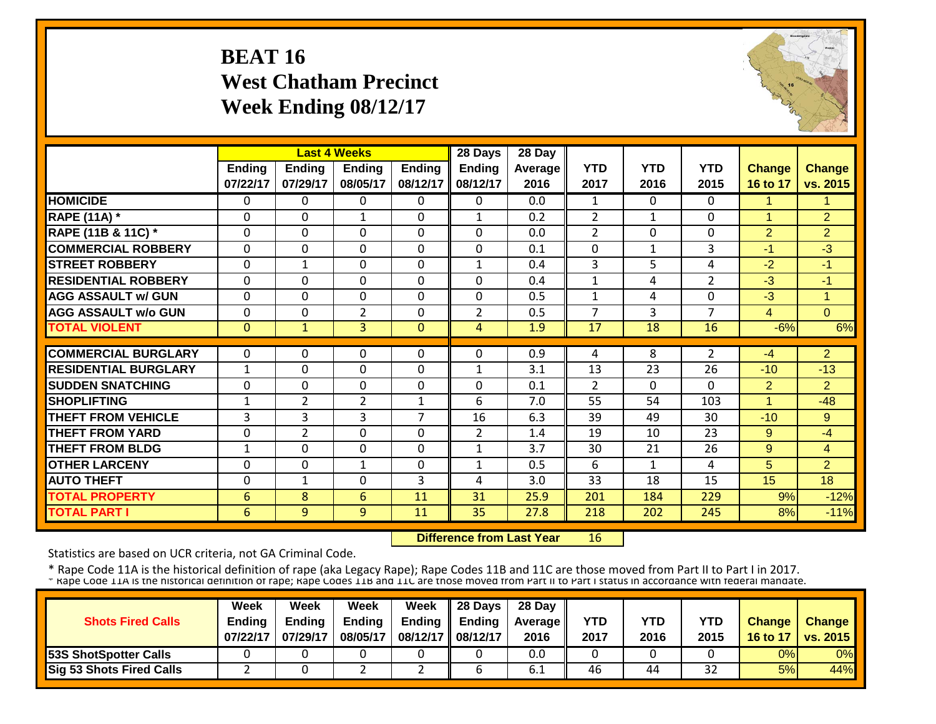#### **BEAT 16 West Chatham Precinct Week Ending 08/12/17**



|                             |               |                | <b>Last 4 Weeks</b> |               | 28 Days        | 28 Day  |                |              |                |                      |                |
|-----------------------------|---------------|----------------|---------------------|---------------|----------------|---------|----------------|--------------|----------------|----------------------|----------------|
|                             | <b>Ending</b> | <b>Ending</b>  | <b>Ending</b>       | <b>Ending</b> | <b>Ending</b>  | Average | <b>YTD</b>     | <b>YTD</b>   | <b>YTD</b>     | <b>Change</b>        | <b>Change</b>  |
|                             | 07/22/17      | 07/29/17       | 08/05/17            | 08/12/17      | 08/12/17       | 2016    | 2017           | 2016         | 2015           | 16 to 17             | vs. 2015       |
| <b>HOMICIDE</b>             | $\Omega$      | 0              | 0                   | $\Omega$      | 0              | 0.0     | 1              | $\Omega$     | 0              | 1                    | 1              |
| <b>RAPE (11A) *</b>         | $\mathbf 0$   | $\mathbf 0$    | $\mathbf{1}$        | $\mathbf 0$   | $\mathbf{1}$   | 0.2     | $\overline{2}$ | $\mathbf{1}$ | 0              | $\mathbf{1}$         | $\overline{2}$ |
| RAPE (11B & 11C) *          | $\mathbf 0$   | $\Omega$       | $\Omega$            | $\Omega$      | $\Omega$       | 0.0     | $\overline{2}$ | $\Omega$     | $\Omega$       | $\overline{2}$       | 2              |
| <b>COMMERCIAL ROBBERY</b>   | $\Omega$      | $\Omega$       | $\Omega$            | $\Omega$      | $\Omega$       | 0.1     | $\Omega$       | 1            | 3              | $-1$                 | $-3$           |
| <b>STREET ROBBERY</b>       | $\Omega$      | $\mathbf{1}$   | $\Omega$            | $\mathbf 0$   | $\mathbf{1}$   | 0.4     | $\overline{3}$ | 5            | 4              | $-2$                 | $-1$           |
| <b>RESIDENTIAL ROBBERY</b>  | $\Omega$      | 0              | $\Omega$            | $\Omega$      | $\Omega$       | 0.4     | $\mathbf{1}$   | 4            | $\overline{2}$ | $-3$                 | $-1$           |
| <b>AGG ASSAULT w/ GUN</b>   | $\Omega$      | $\Omega$       | $\Omega$            | $\Omega$      | 0              | 0.5     | $\mathbf{1}$   | 4            | 0              | $-3$                 | 1              |
| <b>AGG ASSAULT w/o GUN</b>  | $\Omega$      | $\Omega$       | $\overline{2}$      | $\Omega$      | $\overline{2}$ | 0.5     | 7              | 3            | 7              | $\overline{4}$       | $\Omega$       |
| <b>TOTAL VIOLENT</b>        | $\mathbf{0}$  | 1              | 3                   | $\Omega$      | 4              | 1.9     | 17             | 18           | 16             | $-6%$                | 6%             |
|                             |               |                |                     |               |                |         |                |              |                |                      |                |
| <b>COMMERCIAL BURGLARY</b>  | 0             | 0              | 0                   | 0             | 0              | 0.9     | 4              | 8            | $\overline{2}$ | -4                   | $\overline{2}$ |
| <b>RESIDENTIAL BURGLARY</b> | $\mathbf{1}$  | $\Omega$       | 0                   | $\Omega$      | $\mathbf{1}$   | 3.1     | 13             | 23           | 26             | $-10$                | $-13$          |
| <b>SUDDEN SNATCHING</b>     | 0             | $\Omega$       | $\Omega$            | $\Omega$      | 0              | 0.1     | $\overline{2}$ | $\Omega$     | 0              | $\overline{2}$       | $\overline{2}$ |
| <b>SHOPLIFTING</b>          | $\mathbf{1}$  | 2              | $\overline{2}$      | $\mathbf{1}$  | 6              | 7.0     | 55             | 54           | 103            | $\blacktriangleleft$ | $-48$          |
| <b>THEFT FROM VEHICLE</b>   | 3             | 3              | 3                   | 7             | 16             | 6.3     | 39             | 49           | 30             | $-10$                | 9              |
| <b>THEFT FROM YARD</b>      | $\Omega$      | $\overline{2}$ | $\Omega$            | $\Omega$      | $\overline{2}$ | 1.4     | 19             | 10           | 23             | 9                    | $-4$           |
| <b>THEFT FROM BLDG</b>      | 1             | $\Omega$       | $\Omega$            | $\Omega$      | $\mathbf{1}$   | 3.7     | 30             | 21           | 26             | 9                    | 4              |
| <b>OTHER LARCENY</b>        | $\Omega$      | $\Omega$       | 1                   | $\Omega$      | $\mathbf{1}$   | 0.5     | 6              | 1            | 4              | 5                    | 2              |
| <b>AUTO THEFT</b>           | 0             | 1              | $\Omega$            | 3             | 4              | 3.0     | 33             | 18           | 15             | 15                   | 18             |
| <b>TOTAL PROPERTY</b>       | 6             | 8              | 6                   | 11            | 31             | 25.9    | 201            | 184          | 229            | 9%                   | $-12%$         |
| <b>TOTAL PART I</b>         | 6             | 9              | 9                   | 11            | 35             | 27.8    | 218            | 202          | 245            | 8%                   | $-11%$         |

 **Difference from Last Year**16

Statistics are based on UCR criteria, not GA Criminal Code.

|                                 | <b>Week</b>   | Week          | Week          | <b>Week</b>       | $\parallel$ 28 Days       | 28 Day            |      |      |      |               |                 |
|---------------------------------|---------------|---------------|---------------|-------------------|---------------------------|-------------------|------|------|------|---------------|-----------------|
| <b>Shots Fired Calls</b>        | <b>Endina</b> | <b>Ending</b> | <b>Ending</b> |                   | Ending $\parallel$ Ending | <b>Average II</b> | YTD  | YTD  | YTD  | <b>Change</b> | <b>Change</b>   |
|                                 | 07/22/17      | 07/29/17      | 08/05/17      | 08/12/17 08/12/17 |                           | 2016              | 2017 | 2016 | 2015 | 16 to 17      | <b>vs. 2015</b> |
| <b>53S ShotSpotter Calls</b>    |               |               |               |                   |                           | 0.0               |      |      |      | 0%            | 0%              |
| <b>Sig 53 Shots Fired Calls</b> |               |               |               |                   |                           | 0.1               | 46   | 44   | 32   | 5%            | 44%             |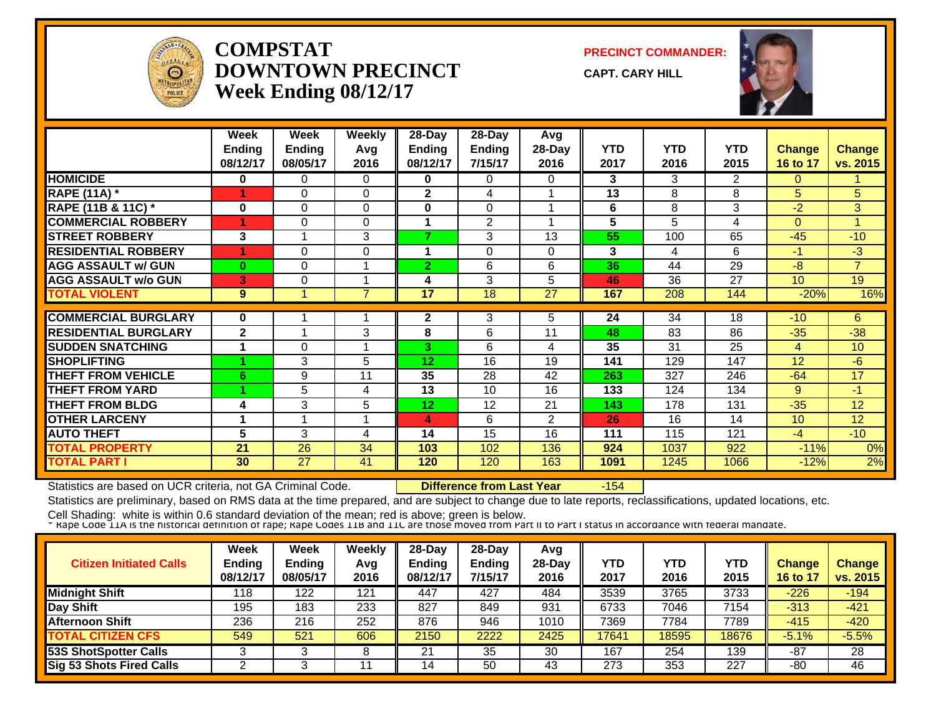

#### **COMPSTATDOWNTOWN PRECINCTWeek Ending 08/12/17**

**PRECINCT COMMANDER:**

**CAPT. CARY HILL**



|                             | Week<br><b>Ending</b><br>08/12/17 | Week<br>Ending<br>08/05/17 | <b>Weekly</b><br>Avg<br>2016 | 28-Day<br><b>Ending</b><br>08/12/17 | 28-Day<br><b>Ending</b><br>7/15/17 | Avg<br>28-Day<br>2016 | <b>YTD</b><br>2017 | <b>YTD</b><br>2016 | <b>YTD</b><br>2015 | <b>Change</b><br>16 to 17 | <b>Change</b><br>vs. 2015 |
|-----------------------------|-----------------------------------|----------------------------|------------------------------|-------------------------------------|------------------------------------|-----------------------|--------------------|--------------------|--------------------|---------------------------|---------------------------|
| <b>HOMICIDE</b>             | 0                                 | 0                          | 0                            | 0                                   | 0                                  | 0                     | 3                  | 3                  | $\overline{2}$     | $\Omega$                  |                           |
| <b>RAPE (11A) *</b>         |                                   | $\Omega$                   | 0                            | $\mathbf 2$                         | 4                                  |                       | 13                 | 8                  | 8                  | 5.                        | 5                         |
| RAPE (11B & 11C) *          | 0                                 | $\Omega$                   | $\Omega$                     | $\bf{0}$                            | $\Omega$                           |                       | 6                  | 8                  | 3                  | $-2$                      | 3                         |
| <b>COMMERCIAL ROBBERY</b>   |                                   | 0                          | $\Omega$                     |                                     | 2                                  |                       | 5                  | 5                  | 4                  | $\Omega$                  |                           |
| <b>STREET ROBBERY</b>       | 3                                 |                            | 3                            | 7                                   | 3                                  | 13                    | 55                 | 100                | 65                 | $-45$                     | $-10$                     |
| <b>RESIDENTIAL ROBBERY</b>  |                                   | 0                          | $\mathbf 0$                  |                                     | $\Omega$                           | 0                     | 3                  | 4                  | 6                  | $-1$                      | $-3$                      |
| <b>AGG ASSAULT w/ GUN</b>   | $\bf{0}$                          | 0                          |                              | $\overline{2}$                      | 6                                  | 6                     | 36                 | 44                 | 29                 | $-8$                      | $\overline{7}$            |
| <b>AGG ASSAULT w/o GUN</b>  | 3                                 | 0                          |                              | 4                                   | 3                                  | 5                     | 46                 | 36                 | 27                 | 10                        | 19                        |
| <b>TOTAL VIOLENT</b>        | 9                                 |                            | $\overline{7}$               | 17                                  | 18                                 | 27                    | 167                | 208                | 144                | $-20%$                    | 16%                       |
|                             |                                   |                            |                              |                                     |                                    |                       | 24                 | 34                 | 18                 |                           |                           |
| <b>COMMERCIAL BURGLARY</b>  | 0                                 |                            |                              | $\mathbf{2}$                        | 3                                  | 5                     |                    |                    |                    | $-10$                     | 6                         |
| <b>RESIDENTIAL BURGLARY</b> | $\mathbf{2}$                      |                            | 3                            | 8                                   | 6                                  | 11                    | 48                 | 83                 | 86                 | $-35$                     | $-38$                     |
| <b>SUDDEN SNATCHING</b>     |                                   | 0                          |                              | 3                                   | 6                                  | 4                     | 35                 | 31                 | 25                 | 4                         | 10 <sup>°</sup>           |
| <b>SHOPLIFTING</b>          |                                   | 3                          | 5                            | 12                                  | 16                                 | 19                    | 141                | 129                | 147                | $12 \overline{ }$         | $-6$                      |
| <b>THEFT FROM VEHICLE</b>   | 6                                 | 9                          | 11                           | 35                                  | 28                                 | 42                    | 263                | 327                | 246                | $-64$                     | 17                        |
| <b>THEFT FROM YARD</b>      |                                   | 5                          | 4                            | 13                                  | 10                                 | 16                    | 133                | 124                | 134                | 9                         | $-1$                      |
| <b>THEFT FROM BLDG</b>      | 4                                 | 3                          | 5                            | 12                                  | 12                                 | 21                    | 143                | 178                | 131                | $-35$                     | 12                        |
| <b>OTHER LARCENY</b>        |                                   |                            |                              | 4                                   | 6                                  | $\overline{2}$        | 26                 | 16                 | 14                 | 10                        | 12                        |
| <b>AUTO THEFT</b>           | 5                                 | 3                          | 4                            | 14                                  | 15                                 | 16                    | 111                | 115                | 121                | $-4$                      | $-10$                     |
| <b>TOTAL PROPERTY</b>       | 21                                | 26                         | 34                           | 103                                 | 102                                | 136                   | 924                | 1037               | 922                | $-11%$                    | 0%                        |
| <b>TOTAL PART I</b>         | 30                                | 27                         | 41                           | 120                                 | 120                                | 163                   | 1091               | 1245               | 1066               | $-12%$                    | 2%                        |

Statistics are based on UCR criteria, not GA Criminal Code. **Difference from Last Year** -154

Statistics are preliminary, based on RMS data at the time prepared, and are subject to change due to late reports, reclassifications, updated locations, etc.

| <b>Citizen Initiated Calls</b>  | Week<br><b>Ending</b><br>08/12/17 | <b>Week</b><br><b>Ending</b><br>08/05/17 | Weekly<br>Avg<br>2016 | 28-Day<br>Ending<br>08/12/17 | $28-Day$<br><b>Endina</b><br>7/15/17 | Avg<br>$28-Dav$<br>2016 | YTD<br>2017 | YTD<br>2016 | YTD<br>2015 | <b>Change</b><br>16 to 17 | <b>Change</b><br>vs. 2015 |
|---------------------------------|-----------------------------------|------------------------------------------|-----------------------|------------------------------|--------------------------------------|-------------------------|-------------|-------------|-------------|---------------------------|---------------------------|
| <b>Midnight Shift</b>           | 118                               | 122                                      | 121                   | 447                          | 427                                  | 484                     | 3539        | 3765        | 3733        | $-226$                    | $-194$                    |
| Day Shift                       | 195                               | 183                                      | 233                   | 827                          | 849                                  | 931                     | 6733        | 7046        | 7154        | $-313$                    | $-421$                    |
| <b>Afternoon Shift</b>          | 236                               | 216                                      | 252                   | 876                          | 946                                  | 1010                    | 7369        | 7784        | 7789        | $-415$                    | $-420$                    |
| <b>TOTAL CITIZEN CFS</b>        | 549                               | 521                                      | 606                   | 2150                         | 2222                                 | 2425                    | 17641       | 18595       | 18676       | $-5.1%$                   | $-5.5%$                   |
| <b>53S ShotSpotter Calls</b>    |                                   |                                          |                       | 21                           | 35                                   | 30                      | 167         | 254         | 139         | $-87$                     | 28                        |
| <b>Sig 53 Shots Fired Calls</b> |                                   |                                          | 44                    | 14                           | 50                                   | 43                      | 273         | 353         | 227         | -80                       | 46                        |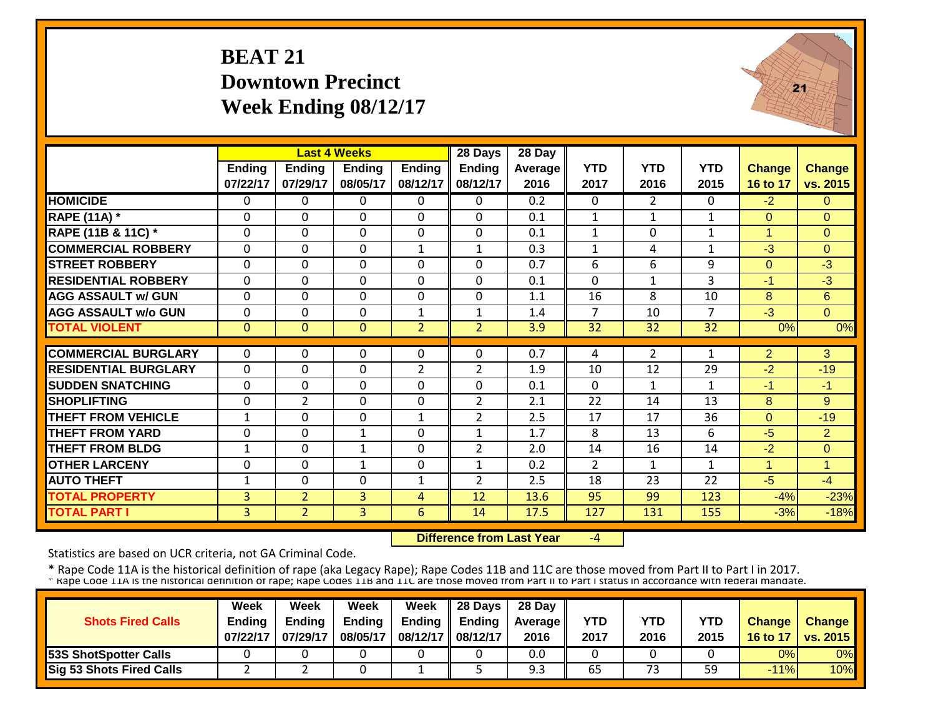#### **BEAT 21Downtown PrecinctWeek Ending 08/12/17**



|                             |                           |                           | <b>Last 4 Weeks</b>       |                           | 28 Days                   | 28 Day          |                    |                    |                    |                           |                           |
|-----------------------------|---------------------------|---------------------------|---------------------------|---------------------------|---------------------------|-----------------|--------------------|--------------------|--------------------|---------------------------|---------------------------|
|                             | <b>Ending</b><br>07/22/17 | <b>Ending</b><br>07/29/17 | <b>Endina</b><br>08/05/17 | <b>Ending</b><br>08/12/17 | <b>Ending</b><br>08/12/17 | Average<br>2016 | <b>YTD</b><br>2017 | <b>YTD</b><br>2016 | <b>YTD</b><br>2015 | <b>Change</b><br>16 to 17 | <b>Change</b><br>vs. 2015 |
| <b>HOMICIDE</b>             | 0                         | $\Omega$                  | $\Omega$                  | $\Omega$                  | 0                         | 0.2             | $\Omega$           | $\overline{2}$     | 0                  | $-2$                      | $\Omega$                  |
| <b>RAPE (11A) *</b>         | $\mathbf{0}$              | $\Omega$                  | $\mathbf 0$               | $\Omega$                  | 0                         | 0.1             | $\mathbf{1}$       | 1                  | $\mathbf{1}$       | $\Omega$                  | $\Omega$                  |
| RAPE (11B & 11C) *          | $\mathbf{0}$              | $\mathbf 0$               | $\mathbf 0$               | $\mathbf 0$               | 0                         | 0.1             | $\mathbf{1}$       | $\mathbf 0$        | $\mathbf{1}$       | $\mathbf{1}$              | $\Omega$                  |
| <b>COMMERCIAL ROBBERY</b>   | $\Omega$                  | $\Omega$                  | $\Omega$                  | $\mathbf{1}$              | $\mathbf{1}$              | 0.3             | $\mathbf{1}$       | 4                  | $\mathbf{1}$       | $-3$                      | $\Omega$                  |
| <b>STREET ROBBERY</b>       | $\mathbf 0$               | $\mathbf 0$               | $\mathbf 0$               | $\Omega$                  | 0                         | 0.7             | 6                  | 6                  | 9                  | $\Omega$                  | $\overline{\cdot 3}$      |
| <b>RESIDENTIAL ROBBERY</b>  | $\Omega$                  | $\Omega$                  | $\Omega$                  | $\Omega$                  | $\Omega$                  | 0.1             | $\Omega$           | 1                  | 3                  | $-1$                      | $-3$                      |
| <b>AGG ASSAULT w/ GUN</b>   | $\mathbf 0$               | $\mathbf 0$               | $\Omega$                  | $\Omega$                  | $\mathbf 0$               | 1.1             | 16                 | 8                  | 10                 | 8                         | $6\phantom{1}$            |
| <b>AGG ASSAULT w/o GUN</b>  | $\Omega$                  | 0                         | $\Omega$                  | $\mathbf{1}$              | 1                         | 1.4             | $\overline{7}$     | 10                 | 7                  | $-3$                      | $\Omega$                  |
| <b>TOTAL VIOLENT</b>        | $\mathbf{0}$              | $\overline{0}$            | $\mathbf{0}$              | $\overline{2}$            | $\overline{2}$            | 3.9             | 32                 | 32                 | 32                 | 0%                        | 0%                        |
| <b>COMMERCIAL BURGLARY</b>  | $\Omega$                  | 0                         | 0                         | $\Omega$                  | 0                         | 0.7             | 4                  | $\overline{2}$     | $\mathbf{1}$       | $\overline{2}$            | 3                         |
| <b>RESIDENTIAL BURGLARY</b> | $\mathbf{0}$              | $\mathbf 0$               | $\mathbf 0$               | $\overline{2}$            | $\overline{2}$            | 1.9             | 10                 | 12                 | 29                 | $-2$                      | $-19$                     |
| <b>SUDDEN SNATCHING</b>     | $\Omega$                  | $\mathbf 0$               | $\mathbf 0$               | $\Omega$                  | $\Omega$                  | 0.1             | $\Omega$           | 1                  | 1                  | $-1$                      | $-1$                      |
| <b>SHOPLIFTING</b>          | $\Omega$                  | 2                         | $\Omega$                  | $\Omega$                  | $\overline{2}$            | 2.1             | 22                 | 14                 | 13                 | 8                         | 9                         |
| <b>THEFT FROM VEHICLE</b>   | 1                         | 0                         | $\Omega$                  | 1                         | $\overline{2}$            | 2.5             | 17                 | 17                 | 36                 | $\Omega$                  | $-19$                     |
| <b>THEFT FROM YARD</b>      | $\Omega$                  | $\Omega$                  | $\mathbf{1}$              | $\Omega$                  | $\mathbf{1}$              | 1.7             | 8                  | 13                 | 6                  | $-5$                      | $\overline{2}$            |
| <b>THEFT FROM BLDG</b>      | 1                         | $\Omega$                  | $\mathbf{1}$              | $\Omega$                  | $\overline{2}$            | 2.0             | 14                 | 16                 | 14                 | $-2$                      | $\Omega$                  |
| <b>OTHER LARCENY</b>        | $\Omega$                  | $\Omega$                  | $\mathbf{1}$              | $\Omega$                  | $\mathbf{1}$              | 0.2             | $\overline{2}$     | $\mathbf{1}$       | $\mathbf{1}$       | $\overline{1}$            | $\overline{1}$            |
| <b>AUTO THEFT</b>           | $\mathbf{1}$              | 0                         | $\mathbf 0$               | $\mathbf{1}$              | $\overline{2}$            | 2.5             | 18                 | 23                 | 22                 | $-5$                      | $-4$                      |
| <b>TOTAL PROPERTY</b>       | $\overline{3}$            | $\overline{2}$            | 3                         | 4                         | 12                        | 13.6            | 95                 | 99                 | 123                | $-4%$                     | $-23%$                    |
| <b>TOTAL PART I</b>         | $\overline{3}$            | $\overline{2}$            | $\overline{3}$            | 6                         | 14                        | 17.5            | 127                | 131                | 155                | $-3%$                     | $-18%$                    |

 **Difference from Last Year**‐4

Statistics are based on UCR criteria, not GA Criminal Code.

|                              | <b>Week</b>   | Week          | Week          | Week              | $\parallel$ 28 Days       | 28 Day            |            |      |      |               |                 |
|------------------------------|---------------|---------------|---------------|-------------------|---------------------------|-------------------|------------|------|------|---------------|-----------------|
| <b>Shots Fired Calls</b>     | <b>Endina</b> | <b>Ending</b> | <b>Ending</b> |                   | Ending $\parallel$ Ending | <b>Average</b> II | <b>YTD</b> | YTD  | YTD  | <b>Change</b> | <b>Change</b>   |
|                              | 07/22/17      | 07/29/17      | 08/05/17      | 08/12/17 08/12/17 |                           | 2016              | 2017       | 2016 | 2015 | 16 to 17      | <b>vs. 2015</b> |
| <b>53S ShotSpotter Calls</b> |               |               |               |                   |                           | 0.0               |            |      |      | 0%            | 0%              |
| Sig 53 Shots Fired Calls     |               |               |               |                   |                           | 9.3               | 65         | 73   | 59   | $-11%$        | 10%             |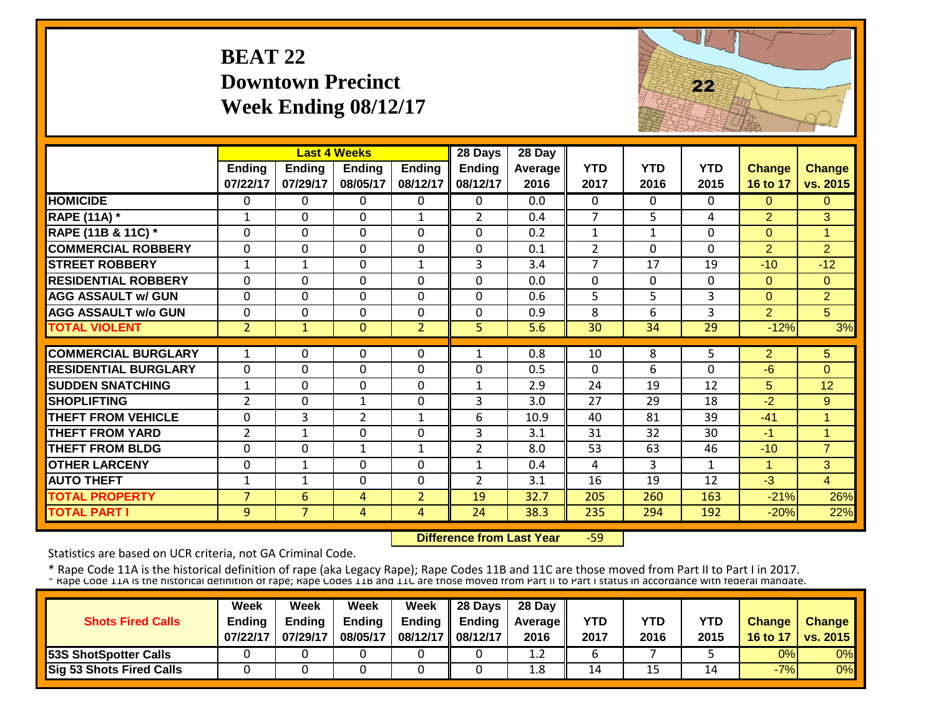#### **BEAT 22Downtown Precinct Week Ending 08/12/17**



|                                                |                            |                           | <b>Last 4 Weeks</b>           |                           | 28 Days                   | 28 Day          |                    |                    |                    |                           |                           |
|------------------------------------------------|----------------------------|---------------------------|-------------------------------|---------------------------|---------------------------|-----------------|--------------------|--------------------|--------------------|---------------------------|---------------------------|
|                                                | Ending<br>07/22/17         | <b>Ending</b><br>07/29/17 | <b>Ending</b><br>08/05/17     | <b>Ending</b><br>08/12/17 | <b>Ending</b><br>08/12/17 | Average<br>2016 | <b>YTD</b><br>2017 | <b>YTD</b><br>2016 | <b>YTD</b><br>2015 | <b>Change</b><br>16 to 17 | <b>Change</b><br>vs. 2015 |
| <b>HOMICIDE</b>                                | $\Omega$                   | 0                         | $\Omega$                      | $\Omega$                  | 0                         | 0.0             | $\Omega$           | 0                  | 0                  | $\Omega$                  | $\Omega$                  |
| <b>RAPE (11A) *</b>                            | 1                          | 0                         | $\Omega$                      | 1                         | $\overline{2}$            | 0.4             | 7                  | 5                  | 4                  | $\overline{2}$            | 3                         |
| RAPE (11B & 11C) *                             | $\mathbf{0}$               | 0                         | 0                             | $\mathbf 0$               | 0                         | 0.2             | $\mathbf{1}$       | $\mathbf{1}$       | $\Omega$           | $\Omega$                  | 1                         |
| <b>COMMERCIAL ROBBERY</b>                      | $\Omega$                   | 0                         | 0                             | $\Omega$                  | $\Omega$                  | 0.1             | $\overline{2}$     | $\Omega$           | $\Omega$           | 2                         | 2                         |
| <b>STREET ROBBERY</b>                          | 1                          | 1                         | 0                             | $\mathbf{1}$              | 3                         | 3.4             | $\overline{7}$     | 17                 | 19                 | $-10$                     | $-12$                     |
| <b>RESIDENTIAL ROBBERY</b>                     | $\Omega$                   | 0                         | 0                             | 0                         | $\Omega$                  | 0.0             | $\Omega$           | $\Omega$           | 0                  | $\Omega$                  | $\Omega$                  |
| <b>AGG ASSAULT w/ GUN</b>                      | $\Omega$                   | 0                         | 0                             | 0                         | $\Omega$                  | 0.6             | 5                  | 5                  | 3                  | $\Omega$                  | $\overline{2}$            |
| <b>AGG ASSAULT w/o GUN</b>                     | $\Omega$                   | 0                         | $\Omega$                      | 0                         | $\Omega$                  | 0.9             | 8                  | 6                  | 3                  | 2                         | 5 <sup>5</sup>            |
| <b>TOTAL VIOLENT</b>                           | $\overline{2}$             | $\mathbf{1}$              | $\mathbf{0}$                  | $\overline{2}$            | 5                         | 5.6             | 30                 | 34                 | 29                 | $-12%$                    | 3%                        |
| <b>COMMERCIAL BURGLARY</b>                     | 1                          | 0                         | 0                             | 0                         | 1                         | 0.8             | 10                 | 8                  | 5                  | $\overline{2}$            | 5                         |
| <b>RESIDENTIAL BURGLARY</b>                    | $\Omega$                   |                           | $\Omega$                      | 0                         | $\Omega$                  |                 | $\Omega$           | 6                  | 0                  |                           | $\Omega$                  |
|                                                |                            | 0                         |                               |                           |                           | 0.5             |                    |                    |                    | -6                        |                           |
| <b>SUDDEN SNATCHING</b><br><b>SHOPLIFTING</b>  | $\mathbf{1}$               | 0                         | $\Omega$                      | 0                         | $\mathbf{1}$              | 2.9             | 24                 | 19                 | 12                 | 5                         | 12                        |
| <b>THEFT FROM VEHICLE</b>                      | $\overline{2}$<br>$\Omega$ | 0<br>3                    | $\mathbf 1$<br>$\overline{2}$ | $\Omega$                  | 3<br>6                    | 3.0<br>10.9     | 27<br>40           | 29<br>81           | 18<br>39           | $-2$<br>$-41$             | 9<br>A                    |
| <b>THEFT FROM YARD</b>                         | $\overline{2}$             |                           | 0                             | 1<br>$\mathbf 0$          | 3                         | 3.1             | 31                 | 32                 | 30                 | $-1$                      | -4                        |
|                                                |                            | 1                         |                               | $\mathbf{1}$              |                           |                 |                    | 63                 |                    |                           | $\overline{7}$            |
| <b>THEFT FROM BLDG</b><br><b>OTHER LARCENY</b> | $\Omega$                   | 0                         | $\mathbf{1}$                  |                           | 2                         | 8.0             | 53                 |                    | 46                 | $-10$                     |                           |
|                                                | $\Omega$                   | $\mathbf{1}$              | 0                             | $\Omega$                  | $\mathbf{1}$              | 0.4             | 4                  | 3                  | $\mathbf{1}$       | $\blacktriangleleft$      | 3                         |
| <b>AUTO THEFT</b>                              | 1                          | $\mathbf{1}$              | 0                             | $\Omega$                  | $\overline{2}$            | 3.1             | 16                 | 19                 | 12                 | $-3$                      | $\overline{4}$            |
| <b>TOTAL PROPERTY</b>                          | $\overline{7}$             | 6                         | 4                             | $\overline{2}$            | 19                        | 32.7            | 205                | 260                | 163                | $-21%$                    | 26%                       |
| <b>TOTAL PART I</b>                            | 9                          | $\overline{7}$            | 4                             | $\overline{4}$            | 24                        | 38.3            | 235                | 294                | 192                | $-20%$                    | 22%                       |

 **Difference from Last Year**‐59

Statistics are based on UCR criteria, not GA Criminal Code.

|                              | <b>Week</b>   | Week          | Week          | Week              | $\parallel$ 28 Days       | 28 Day            |            |      |      |               |                 |
|------------------------------|---------------|---------------|---------------|-------------------|---------------------------|-------------------|------------|------|------|---------------|-----------------|
| <b>Shots Fired Calls</b>     | <b>Endina</b> | <b>Ending</b> | <b>Ending</b> |                   | Ending $\parallel$ Ending | <b>Average</b> II | <b>YTD</b> | YTD  | YTD  | <b>Change</b> | <b>Change</b>   |
|                              | 07/22/17      | 07/29/17      | 08/05/17      | 08/12/17 08/12/17 |                           | 2016              | 2017       | 2016 | 2015 | 16 to 17      | <b>vs. 2015</b> |
| <b>53S ShotSpotter Calls</b> |               |               |               |                   |                           | 1.2               |            |      |      | 0%            | 0%              |
| Sig 53 Shots Fired Calls     |               |               |               |                   |                           | 1.8               | 14         | 15   | 14   | $-7%$         | 0%              |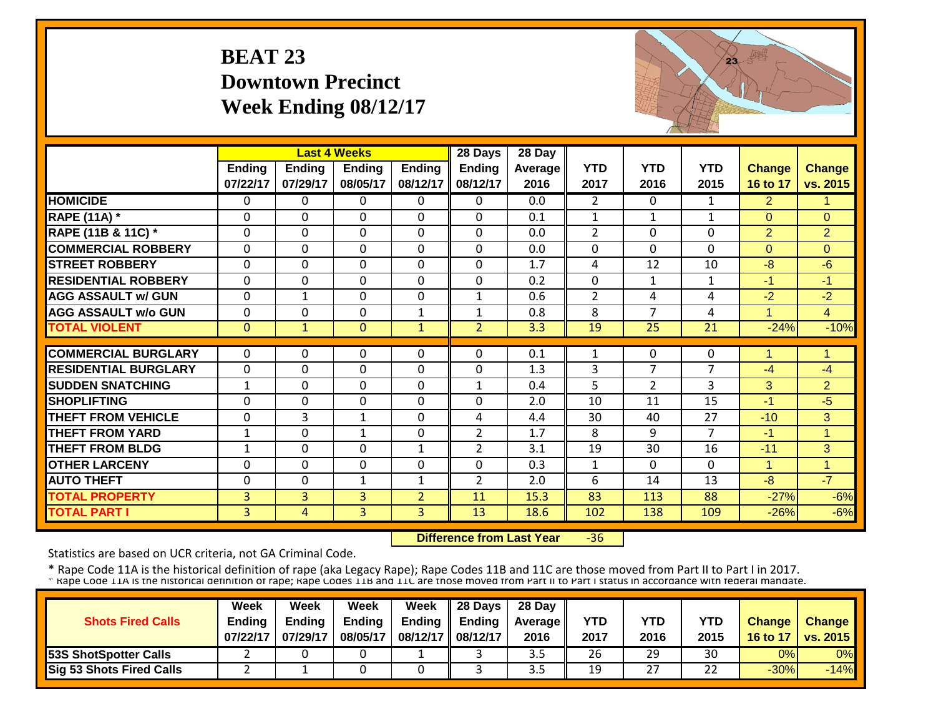#### **BEAT 23 Downtown Precinct Week Ending 08/12/17**



|                             |                |                | <b>Last 4 Weeks</b> |                | 28 Days        | 28 Day  |                |                |                |                      |                |
|-----------------------------|----------------|----------------|---------------------|----------------|----------------|---------|----------------|----------------|----------------|----------------------|----------------|
|                             | Ending         | <b>Ending</b>  | <b>Ending</b>       | <b>Ending</b>  | <b>Ending</b>  | Average | <b>YTD</b>     | <b>YTD</b>     | <b>YTD</b>     | <b>Change</b>        | <b>Change</b>  |
|                             | 07/22/17       | 07/29/17       | 08/05/17            | 08/12/17       | 08/12/17       | 2016    | 2017           | 2016           | 2015           | 16 to 17             | vs. 2015       |
| <b>HOMICIDE</b>             | $\Omega$       | 0              | $\Omega$            | $\Omega$       | 0              | 0.0     | $\overline{2}$ | $\Omega$       | $\mathbf{1}$   | $\overline{2}$       | 1              |
| <b>RAPE (11A) *</b>         | $\Omega$       | $\Omega$       | $\Omega$            | $\Omega$       | $\mathbf 0$    | 0.1     | $\mathbf{1}$   | $\mathbf{1}$   | $\mathbf{1}$   | $\Omega$             | $\Omega$       |
| RAPE (11B & 11C) *          | $\mathbf 0$    | 0              | $\Omega$            | 0              | 0              | 0.0     | $\overline{2}$ | $\Omega$       | 0              | $\overline{2}$       | $\overline{2}$ |
| <b>COMMERCIAL ROBBERY</b>   | $\mathbf 0$    | 0              | $\Omega$            | $\Omega$       | $\mathbf 0$    | 0.0     | $\Omega$       | $\Omega$       | 0              | $\Omega$             | $\Omega$       |
| <b>STREET ROBBERY</b>       | $\mathbf{0}$   | 0              | $\mathbf{0}$        | $\Omega$       | $\mathbf 0$    | 1.7     | $\overline{4}$ | 12             | 10             | $-8$                 | $-6$           |
| <b>RESIDENTIAL ROBBERY</b>  | $\Omega$       | 0              | $\Omega$            | $\Omega$       | 0              | 0.2     | $\mathbf 0$    | $\mathbf{1}$   | $\mathbf{1}$   | $-1$                 | $-1$           |
| <b>AGG ASSAULT w/ GUN</b>   | $\mathbf 0$    | $\mathbf{1}$   | $\mathbf 0$         | $\mathbf 0$    | 1              | 0.6     | $\overline{2}$ | 4              | 4              | $-2$                 | $-2$           |
| <b>AGG ASSAULT w/o GUN</b>  | $\Omega$       | 0              | $\Omega$            | $\mathbf{1}$   | $\mathbf{1}$   | 0.8     | 8              | 7              | 4              | $\blacktriangleleft$ | $\overline{4}$ |
| <b>TOTAL VIOLENT</b>        | $\mathbf{0}$   | $\mathbf{1}$   | $\overline{0}$      | $\mathbf{1}$   | $\overline{2}$ | 3.3     | 19             | 25             | 21             | $-24%$               | $-10%$         |
|                             |                |                |                     |                |                |         |                |                |                |                      |                |
| <b>COMMERCIAL BURGLARY</b>  | $\Omega$       | 0              | $\Omega$            | 0              | $\Omega$       | 0.1     | 1              | $\Omega$       | 0              | 4                    | 4              |
| <b>RESIDENTIAL BURGLARY</b> | $\mathbf{0}$   | 0              | $\Omega$            | $\Omega$       | 0              | 1.3     | 3              | 7              | $\overline{7}$ | $-4$                 | $-4$           |
| <b>SUDDEN SNATCHING</b>     | 1              | 0              | $\Omega$            | 0              | $\mathbf{1}$   | 0.4     | 5              | $\overline{2}$ | 3              | 3                    | $\overline{2}$ |
| <b>SHOPLIFTING</b>          | $\mathbf{0}$   | 0              | $\Omega$            | 0              | $\mathbf 0$    | 2.0     | 10             | 11             | 15             | $-1$                 | $-5$           |
| <b>THEFT FROM VEHICLE</b>   | $\mathbf{0}$   | 3              | $\mathbf{1}$        | $\Omega$       | 4              | 4.4     | 30             | 40             | 27             | $-10$                | 3              |
| <b>THEFT FROM YARD</b>      | $\mathbf{1}$   | 0              | $\mathbf{1}$        | $\Omega$       | $\overline{2}$ | 1.7     | 8              | 9              | $\overline{7}$ | $-1$                 | $\overline{1}$ |
| <b>THEFT FROM BLDG</b>      | 1              | 0              | $\Omega$            | 1              | $\overline{2}$ | 3.1     | 19             | 30             | 16             | $-11$                | 3              |
| <b>OTHER LARCENY</b>        | $\Omega$       | 0              | $\Omega$            | $\Omega$       | $\Omega$       | 0.3     | $\mathbf{1}$   | 0              | $\Omega$       | $\blacktriangleleft$ | $\overline{1}$ |
| <b>AUTO THEFT</b>           | $\mathbf 0$    | 0              | $\mathbf{1}$        | $\mathbf{1}$   | $\overline{2}$ | 2.0     | 6              | 14             | 13             | $-8$                 | $-7$           |
| <b>TOTAL PROPERTY</b>       | 3 <sup>1</sup> | $\overline{3}$ | 3                   | $\overline{2}$ | 11             | 15.3    | 83             | 113            | 88             | $-27%$               | $-6%$          |
| <b>TOTAL PART I</b>         | $\overline{3}$ | 4              | 3                   | $\overline{3}$ | 13             | 18.6    | 102            | 138            | 109            | $-26%$               | $-6%$          |

 **Difference from Last Year** $-36$ 

Statistics are based on UCR criteria, not GA Criminal Code.

|                              | <b>Week</b>   | Week          | Week          | Week              | $\parallel$ 28 Days       | 28 Day            |            |      |           |               |                 |
|------------------------------|---------------|---------------|---------------|-------------------|---------------------------|-------------------|------------|------|-----------|---------------|-----------------|
| <b>Shots Fired Calls</b>     | <b>Endina</b> | <b>Ending</b> | <b>Ending</b> |                   | Ending $\parallel$ Ending | <b>Average</b> II | <b>YTD</b> | YTD  | YTD       | <b>Change</b> | <b>Change</b>   |
|                              | 07/22/17      | 07/29/17      | 08/05/17      | 08/12/17 08/12/17 |                           | 2016              | 2017       | 2016 | 2015      | 16 to 17      | <b>vs. 2015</b> |
| <b>53S ShotSpotter Calls</b> |               |               |               |                   |                           | 3.5               | 26         | 29   | 30        | 0%            | 0%              |
| Sig 53 Shots Fired Calls     |               |               |               |                   |                           | 3.5               | 19         | 27   | つつ<br>ے ے | $-30%$        | $-14%$          |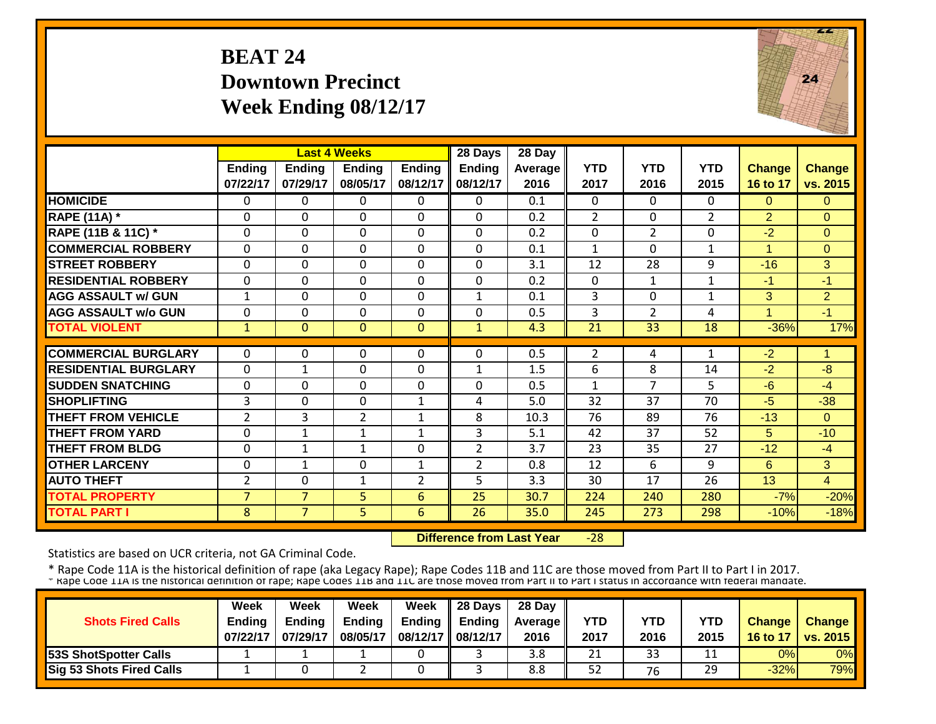#### **BEAT 24Downtown Precinct Week Ending 08/12/17**



|                             |                           |                           | <b>Last 4 Weeks</b>       |                           | 28 Days                   | 28 Day                 |                    |                    |                    |                           |                           |
|-----------------------------|---------------------------|---------------------------|---------------------------|---------------------------|---------------------------|------------------------|--------------------|--------------------|--------------------|---------------------------|---------------------------|
|                             | <b>Ending</b><br>07/22/17 | <b>Ending</b><br>07/29/17 | <b>Ending</b><br>08/05/17 | <b>Ending</b><br>08/12/17 | <b>Ending</b><br>08/12/17 | <b>Average</b><br>2016 | <b>YTD</b><br>2017 | <b>YTD</b><br>2016 | <b>YTD</b><br>2015 | <b>Change</b><br>16 to 17 | <b>Change</b><br>vs. 2015 |
| <b>HOMICIDE</b>             | $\mathbf{0}$              | 0                         | $\Omega$                  | $\Omega$                  | $\Omega$                  | 0.1                    | $\Omega$           | $\Omega$           | 0                  | $\Omega$                  | $\Omega$                  |
| <b>RAPE (11A) *</b>         | $\mathbf 0$               | 0                         | $\mathbf 0$               | $\mathbf 0$               | $\mathbf{0}$              | 0.2                    | $\overline{2}$     | $\Omega$           | $\overline{2}$     | $\overline{2}$            | $\Omega$                  |
| RAPE (11B & 11C) *          | $\Omega$                  | $\Omega$                  | $\Omega$                  | $\Omega$                  | $\Omega$                  | 0.2                    | $\mathbf 0$        | $\overline{2}$     | $\Omega$           | $-2$                      | $\Omega$                  |
| <b>COMMERCIAL ROBBERY</b>   | $\Omega$                  | $\Omega$                  | $\Omega$                  | $\Omega$                  | $\mathbf 0$               | 0.1                    | $\mathbf{1}$       | $\Omega$           | $\mathbf{1}$       | $\blacktriangleleft$      | $\Omega$                  |
| <b>STREET ROBBERY</b>       | $\Omega$                  | 0                         | $\Omega$                  | $\Omega$                  | $\mathbf 0$               | 3.1                    | 12                 | 28                 | 9                  | $-16$                     | 3                         |
| <b>RESIDENTIAL ROBBERY</b>  | $\Omega$                  | 0                         | $\Omega$                  | $\Omega$                  | $\mathbf 0$               | 0.2                    | $\Omega$           | $\mathbf{1}$       | $\mathbf{1}$       | -1                        | $-1$                      |
| <b>AGG ASSAULT w/ GUN</b>   | $\mathbf{1}$              | 0                         | $\Omega$                  | 0                         | $\mathbf{1}$              | 0.1                    | 3                  | $\Omega$           | $\mathbf{1}$       | $\overline{3}$            | $\overline{2}$            |
| <b>AGG ASSAULT w/o GUN</b>  | $\Omega$                  | 0                         | $\Omega$                  | $\Omega$                  | $\Omega$                  | 0.5                    | 3                  | $\overline{2}$     | 4                  | $\overline{A}$            | $-1$                      |
| <b>TOTAL VIOLENT</b>        | $\mathbf{1}$              | $\Omega$                  | $\Omega$                  | $\Omega$                  | $\mathbf{1}$              | 4.3                    | 21                 | 33                 | 18                 | $-36%$                    | 17%                       |
|                             |                           |                           |                           |                           |                           |                        |                    |                    |                    |                           |                           |
| <b>COMMERCIAL BURGLARY</b>  | $\mathbf{0}$              | 0                         | 0                         | 0                         | $\Omega$                  | 0.5                    | $\overline{2}$     | 4                  | $\mathbf{1}$       | $-2$                      | 1.                        |
| <b>RESIDENTIAL BURGLARY</b> | $\Omega$                  | $\mathbf{1}$              | 0                         | 0                         | $\mathbf{1}$              | 1.5                    | 6                  | 8                  | 14                 | $-2$                      | $-8$                      |
| <b>SUDDEN SNATCHING</b>     | $\Omega$                  | 0                         | 0                         | 0                         | $\mathbf 0$               | 0.5                    | 1                  | $\overline{7}$     | 5                  | $-6$                      | $-4$                      |
| <b>SHOPLIFTING</b>          | 3                         | 0                         | 0                         | $\mathbf{1}$              | 4                         | 5.0                    | 32                 | 37                 | 70                 | $-5$                      | $-38$                     |
| <b>THEFT FROM VEHICLE</b>   | $\overline{2}$            | 3                         | $\overline{2}$            | 1                         | 8                         | 10.3                   | 76                 | 89                 | 76                 | $-13$                     | $\Omega$                  |
| <b>THEFT FROM YARD</b>      | $\Omega$                  | 1                         | $\mathbf{1}$              | 1                         | 3                         | 5.1                    | 42                 | 37                 | 52                 | 5                         | $-10$                     |
| <b>THEFT FROM BLDG</b>      | $\Omega$                  | 1                         | 1                         | 0                         | $\overline{2}$            | 3.7                    | 23                 | 35                 | 27                 | $-12$                     | $-4$                      |
| <b>OTHER LARCENY</b>        | $\Omega$                  | 1                         | $\Omega$                  | 1                         | $\overline{2}$            | 0.8                    | 12                 | 6                  | 9                  | 6                         | 3                         |
| <b>AUTO THEFT</b>           | $\overline{2}$            | 0                         | $\mathbf{1}$              | $\overline{2}$            | 5                         | 3.3                    | 30                 | 17                 | 26                 | 13                        | 4                         |
| <b>TOTAL PROPERTY</b>       | $\overline{7}$            | $\overline{7}$            | 5 <sup>1</sup>            | 6                         | 25                        | 30.7                   | 224                | 240                | 280                | $-7%$                     | $-20%$                    |
| <b>TOTAL PART I</b>         | 8                         | $\overline{7}$            | $\overline{5}$            | 6                         | 26                        | 35.0                   | 245                | 273                | 298                | $-10%$                    | $-18%$                    |

 **Difference from Last Year** $-28$ 

Statistics are based on UCR criteria, not GA Criminal Code.

|                                 | Week          | Week          | Week          | Week              | 28 Days       | 28 Day            |      |      |      |               |                     |
|---------------------------------|---------------|---------------|---------------|-------------------|---------------|-------------------|------|------|------|---------------|---------------------|
| <b>Shots Fired Calls</b>        | <b>Ending</b> | <b>Endina</b> | <b>Ending</b> | Ending            | <b>Ending</b> | <b>Average II</b> | YTD  | YTD  | YTD  | <b>Change</b> | Change              |
|                                 | 07/22/17      | 07/29/17      | 08/05/17      | 08/12/17 08/12/17 |               | 2016              | 2017 | 2016 | 2015 |               | 16 to 17   vs. 2015 |
| <b>53S ShotSpotter Calls</b>    |               |               |               |                   |               | 3.8               | 21   | 33   |      | 0%            | 0% <b>I</b>         |
| <b>Sig 53 Shots Fired Calls</b> |               |               |               |                   |               | 8.8               | 52   | 76   | 29   | $-32%$        | <b>79%</b>          |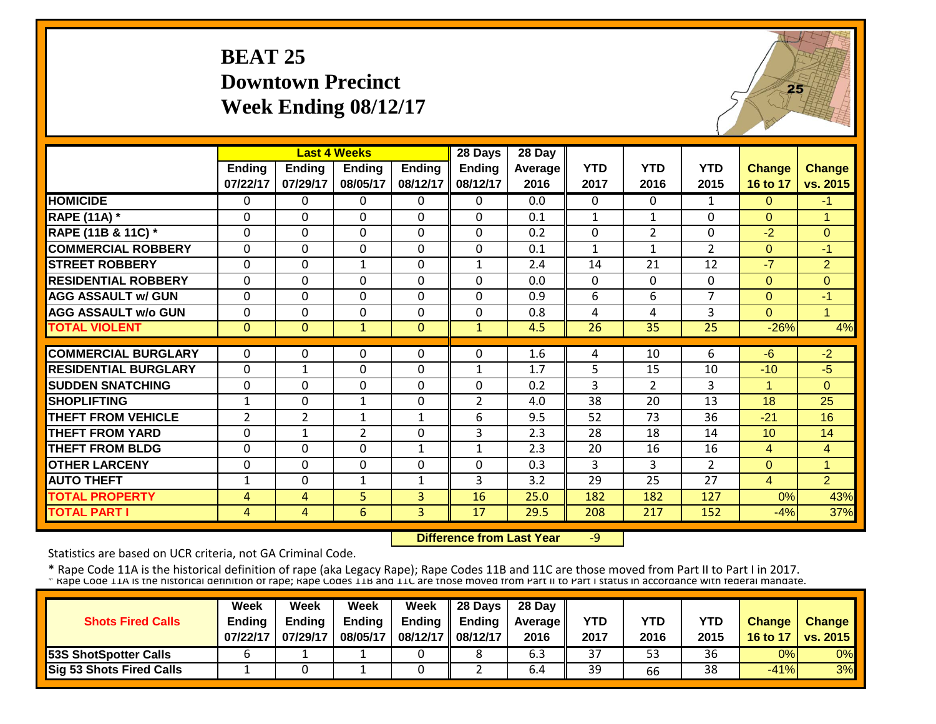#### **BEAT 25Downtown Precinct Week Ending 08/12/17**



|                             |                | <b>Last 4 Weeks</b> |                 |               | 28 Days        | 28 Day  |                |                |                |                |                |
|-----------------------------|----------------|---------------------|-----------------|---------------|----------------|---------|----------------|----------------|----------------|----------------|----------------|
|                             | <b>Ending</b>  | <b>Ending</b>       | <b>Ending</b>   | <b>Ending</b> | <b>Ending</b>  | Average | <b>YTD</b>     | <b>YTD</b>     | <b>YTD</b>     | <b>Change</b>  | <b>Change</b>  |
|                             | 07/22/17       | 07/29/17            | 08/05/17        | 08/12/17      | 08/12/17       | 2016    | 2017           | 2016           | 2015           | 16 to 17       | vs. 2015       |
| <b>HOMICIDE</b>             | $\Omega$       | 0                   | $\Omega$        | $\Omega$      | 0              | 0.0     | $\Omega$       | $\Omega$       | $\mathbf{1}$   | $\Omega$       | $-1$           |
| <b>RAPE (11A) *</b>         | $\Omega$       | $\Omega$            | $\Omega$        | 0             | $\Omega$       | 0.1     | $\mathbf{1}$   | $\mathbf{1}$   | 0              | $\Omega$       | 1              |
| RAPE (11B & 11C) *          | $\mathbf{0}$   | 0                   | $\Omega$        | $\mathbf 0$   | $\Omega$       | 0.2     | $\mathbf 0$    | $\overline{2}$ | $\Omega$       | $-2$           | $\overline{0}$ |
| <b>COMMERCIAL ROBBERY</b>   | $\Omega$       | $\Omega$            | $\mathbf 0$     | $\Omega$      | $\Omega$       | 0.1     | $\mathbf{1}$   | $\mathbf{1}$   | $\overline{2}$ | $\Omega$       | $-1$           |
| <b>STREET ROBBERY</b>       | $\mathbf{0}$   | 0                   | $\mathbf{1}$    | $\mathbf 0$   | 1              | 2.4     | 14             | 21             | 12             | $-7$           | $\overline{2}$ |
| <b>RESIDENTIAL ROBBERY</b>  | $\Omega$       | $\Omega$            | $\Omega$        | $\Omega$      | $\Omega$       | 0.0     | $\mathbf 0$    | $\Omega$       | $\Omega$       | $\Omega$       | $\Omega$       |
| <b>AGG ASSAULT w/ GUN</b>   | $\Omega$       | $\Omega$            | $\Omega$        | $\Omega$      | $\Omega$       | 0.9     | 6              | 6              | $\overline{7}$ | $\Omega$       | $-1$           |
| <b>AGG ASSAULT w/o GUN</b>  | $\Omega$       | $\Omega$            | $\Omega$        | $\Omega$      | $\Omega$       | 0.8     | $\overline{a}$ | 4              | 3              | $\Omega$       | 1              |
| <b>TOTAL VIOLENT</b>        | $\Omega$       | $\Omega$            | $\mathbf{1}$    | $\mathbf{0}$  | $\mathbf{1}$   | 4.5     | 26             | 35             | 25             | $-26%$         | 4%             |
|                             |                |                     |                 |               |                |         |                |                |                |                |                |
| <b>COMMERCIAL BURGLARY</b>  | $\Omega$       | $\Omega$            | $\Omega$        | 0             | 0              | 1.6     | 4              | 10             | 6              | $-6$           | $-2$           |
| <b>RESIDENTIAL BURGLARY</b> | $\Omega$       | $\mathbf 1$         | $\Omega$        | 0             | $\mathbf{1}$   | 1.7     | 5              | 15             | 10             | $-10$          | $-5$           |
| <b>SUDDEN SNATCHING</b>     | $\Omega$       | $\Omega$            | $\Omega$        | 0             | $\Omega$       | 0.2     | 3              | $\overline{2}$ | 3              | 1              | $\Omega$       |
| <b>SHOPLIFTING</b>          | $\mathbf{1}$   | 0                   | $\mathbf{1}$    | 0             | $\overline{2}$ | 4.0     | 38             | 20             | 13             | 18             | 25             |
| <b>THEFT FROM VEHICLE</b>   | $\overline{2}$ | $\overline{2}$      | $\mathbf{1}$    | $\mathbf{1}$  | 6              | 9.5     | 52             | 73             | 36             | $-21$          | 16             |
| <b>THEFT FROM YARD</b>      | $\Omega$       | $\mathbf{1}$        | $\overline{2}$  | 0             | 3              | 2.3     | 28             | 18             | 14             | 10             | 14             |
| <b>THEFT FROM BLDG</b>      | $\Omega$       | $\Omega$            | $\Omega$        | 1             | 1              | 2.3     | 20             | 16             | 16             | 4              | $\overline{4}$ |
| <b>OTHER LARCENY</b>        | $\Omega$       | $\Omega$            | $\Omega$        | 0             | $\Omega$       | 0.3     | 3              | 3              | $\overline{2}$ | $\Omega$       | 1              |
| <b>AUTO THEFT</b>           | $\mathbf{1}$   | $\Omega$            | $\mathbf{1}$    | $\mathbf{1}$  | 3              | 3.2     | 29             | 25             | 27             | $\overline{4}$ | $\overline{2}$ |
| <b>TOTAL PROPERTY</b>       | 4              | 4                   | 5.              | 3             | 16             | 25.0    | 182            | 182            | 127            | 0%             | 43%            |
| <b>TOTAL PART I</b>         | 4              | 4                   | $6\overline{6}$ | 3             | 17             | 29.5    | 208            | 217            | 152            | $-4%$          | 37%            |

 **Difference from Last Year**‐9

Statistics are based on UCR criteria, not GA Criminal Code.

|                                 | <b>Week</b>   | Week          | Week          | Week          | 28 Days  | 28 Day            |      |      |      |               |                 |
|---------------------------------|---------------|---------------|---------------|---------------|----------|-------------------|------|------|------|---------------|-----------------|
| <b>Shots Fired Calls</b>        | <b>Ending</b> | <b>Endina</b> | <b>Ending</b> | <b>Ending</b> | Endina   | <b>Average II</b> | YTD  | YTD  | YTD  | <b>Change</b> | <b>Change</b>   |
|                                 | 07/22/17      | 07/29/17      | 08/05/17      | 08/12/17      | 08/12/17 | 2016              | 2017 | 2016 | 2015 | 16 to 17      | <b>VS. 2015</b> |
| <b>153S ShotSpotter Calls</b>   |               |               |               |               |          | 6.3               | 37   | 53   | 36   | 0%            | 0%              |
| <b>Sig 53 Shots Fired Calls</b> |               |               |               |               |          | 6.4               | 39   | 66   | 38   | $-41%$        | 3%              |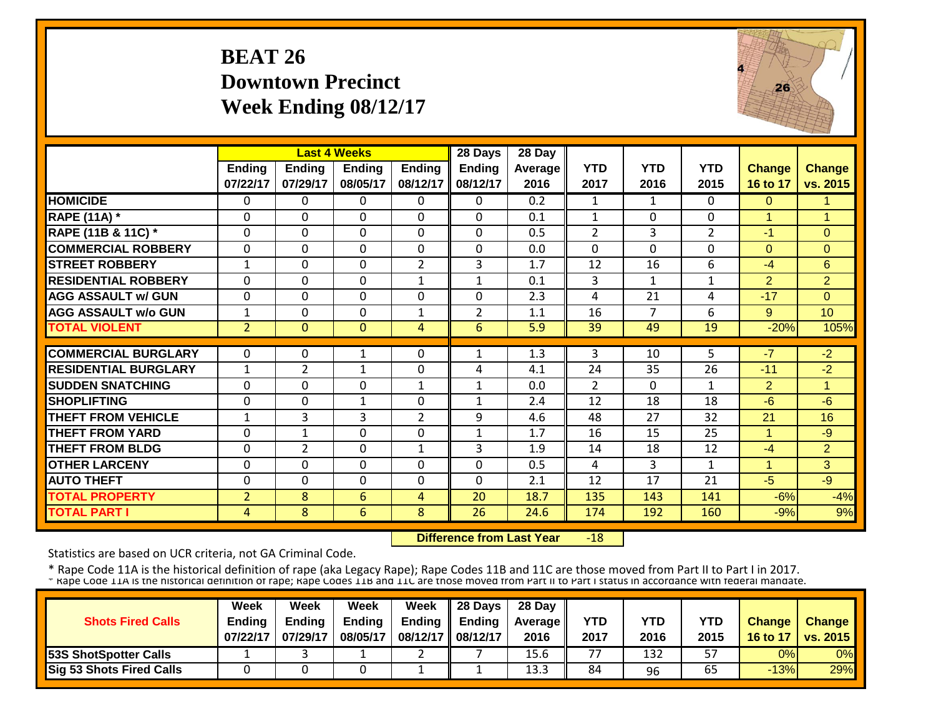#### **BEAT 26 Downtown PrecinctWeek Ending 08/12/17**



|                             |                |                | <b>Last 4 Weeks</b> |                | 28 Days        | 28 Day  |                |            |                |                      |                |
|-----------------------------|----------------|----------------|---------------------|----------------|----------------|---------|----------------|------------|----------------|----------------------|----------------|
|                             | Ending         | <b>Ending</b>  | <b>Ending</b>       | <b>Ending</b>  | <b>Ending</b>  | Average | <b>YTD</b>     | <b>YTD</b> | <b>YTD</b>     | <b>Change</b>        | Change         |
|                             | 07/22/17       | 07/29/17       | 08/05/17            | 08/12/17       | 08/12/17       | 2016    | 2017           | 2016       | 2015           | 16 to 17             | vs. 2015       |
| <b>HOMICIDE</b>             | $\mathbf{0}$   | 0              | 0                   | 0              | $\Omega$       | 0.2     | 1              | 1          | 0              | $\Omega$             | $\blacksquare$ |
| <b>RAPE (11A) *</b>         | $\Omega$       | 0              | $\Omega$            | $\Omega$       | $\Omega$       | 0.1     | $\mathbf{1}$   | $\Omega$   | 0              | $\mathbf{1}$         | $\overline{1}$ |
| RAPE (11B & 11C) *          | $\mathbf 0$    | 0              | $\mathbf 0$         | $\Omega$       | $\Omega$       | 0.5     | $\overline{2}$ | 3          | $\overline{2}$ | $-1$                 | $\Omega$       |
| <b>COMMERCIAL ROBBERY</b>   | $\Omega$       | 0              | 0                   | 0              | $\Omega$       | 0.0     | $\Omega$       | $\Omega$   | 0              | $\Omega$             | $\Omega$       |
| <b>STREET ROBBERY</b>       | $\mathbf{1}$   | 0              | 0                   | $\overline{2}$ | 3              | 1.7     | 12             | 16         | 6              | -4                   | 6              |
| <b>RESIDENTIAL ROBBERY</b>  | $\Omega$       | $\Omega$       | $\Omega$            | $\mathbf{1}$   | $\mathbf{1}$   | 0.1     | $\overline{3}$ | 1          | $\mathbf{1}$   | $\overline{2}$       | $\overline{2}$ |
| <b>AGG ASSAULT w/ GUN</b>   | $\mathbf 0$    | 0              | 0                   | 0              | $\Omega$       | 2.3     | 4              | 21         | 4              | $-17$                | $\Omega$       |
| <b>AGG ASSAULT w/o GUN</b>  | $\mathbf{1}$   | 0              | $\mathbf 0$         | $\mathbf{1}$   | $\overline{2}$ | 1.1     | 16             | 7          | 6              | 9                    | 10             |
| <b>TOTAL VIOLENT</b>        | $\overline{2}$ | $\overline{0}$ | $\Omega$            | $\overline{4}$ | 6              | 5.9     | 39             | 49         | 19             | $-20%$               | 105%           |
|                             |                |                |                     |                |                |         |                |            |                |                      |                |
| <b>COMMERCIAL BURGLARY</b>  | $\Omega$       | 0              | $\mathbf{1}$        | 0              | 1              | 1.3     | 3              | 10         | 5.             | $-7$                 | $-2$           |
| <b>RESIDENTIAL BURGLARY</b> | $\mathbf{1}$   | $\overline{2}$ | $\mathbf{1}$        | $\Omega$       | 4              | 4.1     | 24             | 35         | 26             | $-11$                | $-2$           |
| <b>SUDDEN SNATCHING</b>     | $\Omega$       | 0              | $\Omega$            | $\mathbf{1}$   | $\mathbf{1}$   | 0.0     | $\overline{2}$ | $\Omega$   | $\mathbf{1}$   | $\overline{2}$       | 1              |
| <b>SHOPLIFTING</b>          | $\Omega$       | 0              | $\mathbf 1$         | 0              | 1              | 2.4     | 12             | 18         | 18             | $-6$                 | $-6$           |
| <b>THEFT FROM VEHICLE</b>   | 1              | 3              | 3                   | $\overline{2}$ | 9              | 4.6     | 48             | 27         | 32             | 21                   | 16             |
| <b>THEFT FROM YARD</b>      | $\Omega$       | 1              | $\Omega$            | $\Omega$       | 1              | 1.7     | 16             | 15         | 25             | $\blacktriangleleft$ | $-9$           |
| <b>THEFT FROM BLDG</b>      | $\Omega$       | $\overline{2}$ | $\Omega$            | 1              | 3              | 1.9     | 14             | 18         | 12             | -4                   | $\overline{2}$ |
| <b>OTHER LARCENY</b>        | $\Omega$       | 0              | 0                   | $\Omega$       | $\Omega$       | 0.5     | 4              | 3          | 1              | $\mathbf{1}$         | 3              |
| <b>AUTO THEFT</b>           | $\Omega$       | 0              | $\Omega$            | $\Omega$       | $\Omega$       | 2.1     | 12             | 17         | 21             | $-5$                 | $-9$           |
| <b>TOTAL PROPERTY</b>       | $\overline{2}$ | 8              | 6                   | 4              | 20             | 18.7    | 135            | 143        | 141            | $-6%$                | $-4%$          |
| <b>TOTAL PART I</b>         | 4              | 8              | 6                   | 8              | 26             | 24.6    | 174            | 192        | 160            | $-9%$                | 9%             |

 **Difference from Last Year** $-18$ 

Statistics are based on UCR criteria, not GA Criminal Code.

|                                 | Week          | Week          | Week          | <b>Week</b>         | $\parallel$ 28 Days       | 28 Day            |      |      |      |               |                 |
|---------------------------------|---------------|---------------|---------------|---------------------|---------------------------|-------------------|------|------|------|---------------|-----------------|
| <b>Shots Fired Calls</b>        | <b>Endina</b> | <b>Ending</b> | <b>Ending</b> |                     | Ending $\parallel$ Ending | <b>Average</b> II | YTD  | YTD  | YTD  | <b>Change</b> | <b>Change</b>   |
|                                 | 07/22/17      | 07/29/17      | 08/05/17      | 08/12/17   08/12/17 |                           | 2016              | 2017 | 2016 | 2015 | 16 to 17      | <b>vs. 2015</b> |
| <b>53S ShotSpotter Calls</b>    |               |               |               |                     |                           | 15.6              | 77   | 132  | 57   | 0%            | 0%              |
| <b>Sig 53 Shots Fired Calls</b> |               |               |               |                     |                           | 13.3              | 84   | 96   | 65   | $-13%$        | 29%             |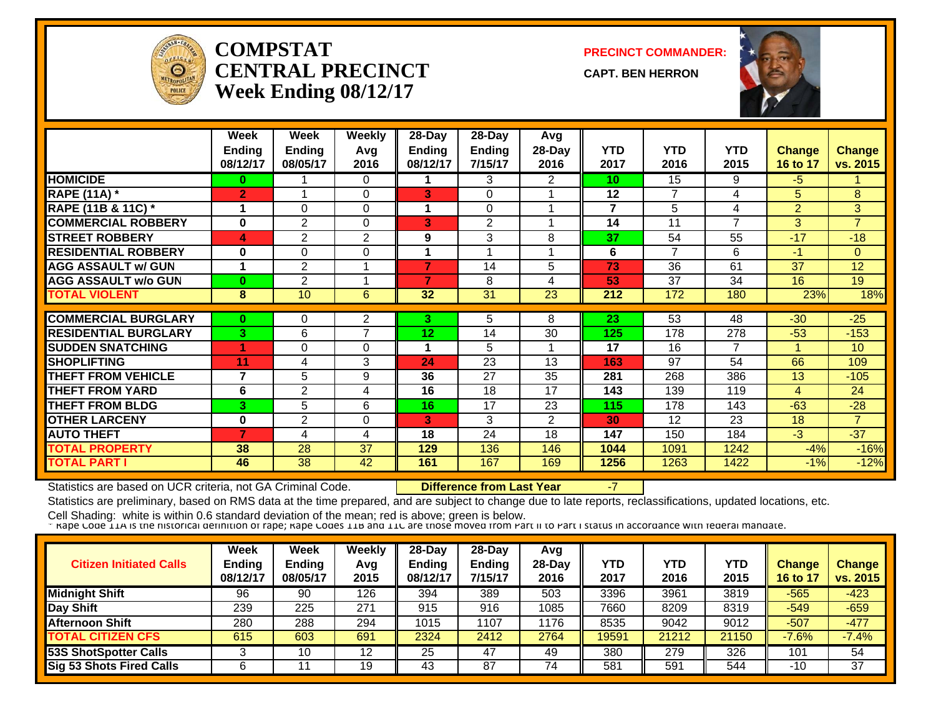

#### **COMPSTATCENTRAL PRECINCTWeek Ending 08/12/17**

**PRECINCT COMMANDER:**

**CAPT. BEN HERRON**



|                             | Week<br><b>Ending</b><br>08/12/17 | Week<br>Ending<br>08/05/17 | Weekly<br>Avg<br>2016 | $28-Day$<br><b>Ending</b><br>08/12/17 | $28$ -Day<br><b>Ending</b><br>7/15/17 | Avg<br>28-Day<br>2016 | <b>YTD</b><br>2017 | <b>YTD</b><br>2016 | <b>YTD</b><br>2015 | <b>Change</b><br>16 to 17 | Change<br>vs. 2015 |
|-----------------------------|-----------------------------------|----------------------------|-----------------------|---------------------------------------|---------------------------------------|-----------------------|--------------------|--------------------|--------------------|---------------------------|--------------------|
| <b>HOMICIDE</b>             | 0                                 |                            | $\Omega$              |                                       | 3                                     | $\overline{2}$        | 10                 | 15                 | 9                  | $-5$                      |                    |
| <b>RAPE (11A) *</b>         | 2                                 |                            | $\Omega$              | 3                                     | $\Omega$                              |                       | 12                 | 7                  | 4                  | 5                         | 8                  |
| RAPE (11B & 11C) *          | 1                                 | 0                          | $\Omega$              |                                       | $\Omega$                              |                       | $\overline{7}$     | 5                  | 4                  | $\overline{2}$            | 3                  |
| <b>COMMERCIAL ROBBERY</b>   | $\mathbf 0$                       | 2                          | 0                     | 3                                     | 2                                     |                       | 14                 | 11                 | $\overline{ }$     | 3                         | $\overline{7}$     |
| <b>STREET ROBBERY</b>       | 4                                 | $\overline{2}$             | 2                     | 9                                     | 3                                     | 8                     | 37                 | 54                 | 55                 | $-17$                     | $-18$              |
| <b>RESIDENTIAL ROBBERY</b>  | 0                                 | 0                          | $\Omega$              |                                       |                                       |                       | 6                  | 7                  | 6                  | $-1$                      | $\Omega$           |
| <b>AGG ASSAULT w/ GUN</b>   | 1                                 | $\overline{2}$             |                       | 7                                     | 14                                    | 5                     | 73                 | 36                 | 61                 | 37                        | 12                 |
| <b>AGG ASSAULT w/o GUN</b>  | $\bf{0}$                          | $\overline{2}$             |                       | 7                                     | 8                                     | 4                     | 53                 | 37                 | 34                 | 16                        | 19                 |
| <b>TOTAL VIOLENT</b>        | 8                                 | 10 <sup>°</sup>            | 6                     | 32                                    | $\overline{31}$                       | 23                    | 212                | 172                | 180                | 23%                       | 18%                |
|                             |                                   |                            |                       |                                       |                                       |                       |                    |                    |                    |                           |                    |
| <b>COMMERCIAL BURGLARY</b>  | $\bf{0}$                          | 0                          | 2                     | 3.                                    | 5                                     | 8                     | 23                 | 53                 | 48                 | $-30$                     | $-25$              |
| <b>RESIDENTIAL BURGLARY</b> | 3                                 | 6                          | $\overline{7}$        | 12                                    | 14                                    | 30                    | 125                | 178                | 278                | $-53$                     | $-153$             |
| <b>SUDDEN SNATCHING</b>     |                                   | 0                          | $\Omega$              |                                       | 5                                     |                       | 17                 | 16                 | $\overline{7}$     |                           | 10                 |
| <b>SHOPLIFTING</b>          | 11                                | 4                          | 3                     | 24                                    | 23                                    | 13                    | 163                | 97                 | 54                 | 66                        | 109                |
| <b>THEFT FROM VEHICLE</b>   | $\overline{7}$                    | 5                          | 9                     | 36                                    | 27                                    | 35                    | 281                | 268                | 386                | 13                        | $-105$             |
| <b>THEFT FROM YARD</b>      | 6                                 | 2                          | 4                     | 16                                    | 18                                    | 17                    | 143                | 139                | 119                | 4                         | 24                 |
| <b>THEFT FROM BLDG</b>      | 3                                 | 5                          | 6                     | 16                                    | 17                                    | 23                    | 115                | 178                | 143                | $-63$                     | $-28$              |
| <b>OTHER LARCENY</b>        | 0                                 | $\overline{2}$             | $\Omega$              | 3                                     | 3                                     | $\overline{2}$        | 30                 | 12                 | 23                 | 18                        | $\overline{7}$     |
| <b>AUTO THEFT</b>           | 7                                 | 4                          | 4                     | 18                                    | 24                                    | 18                    | 147                | 150                | 184                | $-3$                      | $-37$              |
| <b>TOTAL PROPERTY</b>       | 38                                | 28                         | 37                    | 129                                   | 136                                   | 146                   | 1044               | 1091               | 1242               | $-4%$                     | $-16%$             |
| <b>TOTAL PART I</b>         | 46                                | 38                         | 42                    | 161                                   | 167                                   | 169                   | 1256               | 1263               | 1422               | $-1%$                     | $-12%$             |

Statistics are based on UCR criteria, not GA Criminal Code. **Difference from Last Year** -7

Statistics are preliminary, based on RMS data at the time prepared, and are subject to change due to late reports, reclassifications, updated locations, etc.

| <b>Citizen Initiated Calls</b> | Week<br><b>Ending</b><br>08/12/17 | <b>Week</b><br>Ending<br>08/05/17 | Weekly<br>Avg<br>2015 | $28-Dav$<br><b>Ending</b><br>08/12/17 | $28 - Day$<br><b>Ending</b><br>7/15/17 | Avg<br>$28-Day$<br>2016 | YTD<br>2017 | YTD<br>2016 | <b>YTD</b><br>2015 | <b>Change</b><br>16 to 17 | <b>Change</b><br>vs. 2015 |
|--------------------------------|-----------------------------------|-----------------------------------|-----------------------|---------------------------------------|----------------------------------------|-------------------------|-------------|-------------|--------------------|---------------------------|---------------------------|
| <b>Midnight Shift</b>          | 96                                | 90                                | 126                   | 394                                   | 389                                    | 503                     | 3396        | 3961        | $\overline{38}$ 19 | $-565$                    | $-423$                    |
| Day Shift                      | 239                               | 225                               | 271                   | 915                                   | 916                                    | 1085                    | 7660        | 8209        | 8319               | $-549$                    | $-659$                    |
| <b>Afternoon Shift</b>         | 280                               | 288                               | 294                   | 1015                                  | 107                                    | 1176                    | 8535        | 9042        | 9012               | $-507$                    | $-477$                    |
| <b>TOTAL CITIZEN CFS</b>       | 615                               | 603                               | 691                   | 2324                                  | 2412                                   | 2764                    | 19591       | 21212       | 21150              | $-7.6%$                   | $-7.4%$                   |
| <b>53S ShotSpotter Calls</b>   |                                   | 10                                | 12                    | 25                                    | 47                                     | 49                      | 380         | 279         | 326                | 101                       | 54                        |
| Sig 53 Shots Fired Calls       |                                   |                                   | 19                    | 43                                    | 87                                     | 74                      | 581         | 591         | 544                | $-10$                     | 37                        |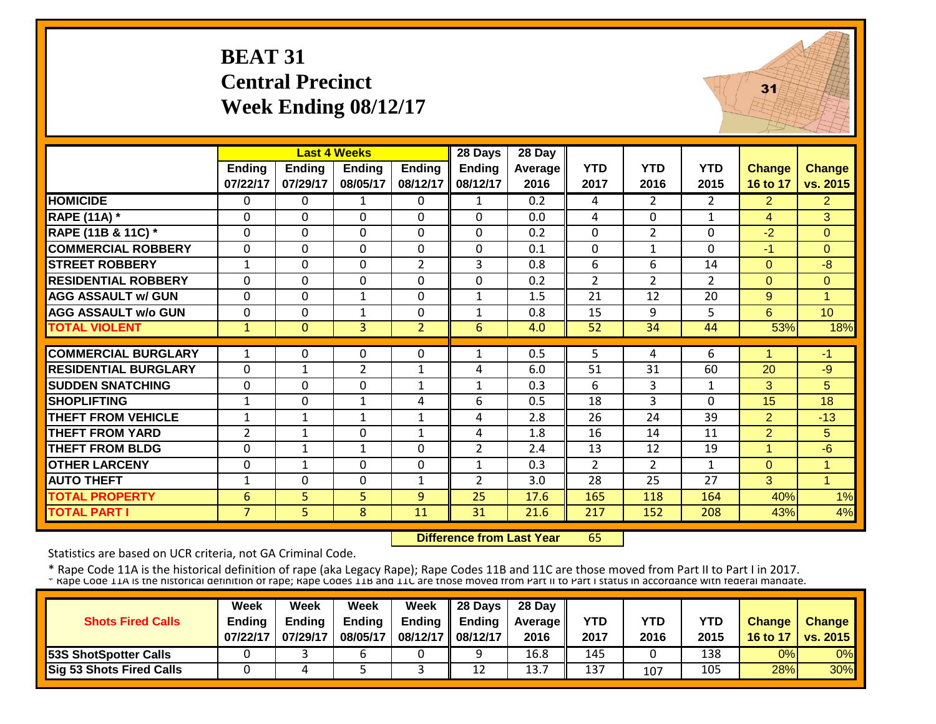# **BEAT 31 Central Precinct Week Ending 08/12/17**



|                             |                |               | <b>Last 4 Weeks</b> |                | 28 Days        | 28 Day  |                |                |                |                |                |
|-----------------------------|----------------|---------------|---------------------|----------------|----------------|---------|----------------|----------------|----------------|----------------|----------------|
|                             | <b>Ending</b>  | <b>Ending</b> | <b>Ending</b>       | <b>Ending</b>  | <b>Ending</b>  | Average | <b>YTD</b>     | <b>YTD</b>     | <b>YTD</b>     | <b>Change</b>  | <b>Change</b>  |
|                             | 07/22/17       | 07/29/17      | 08/05/17            | 08/12/17       | 08/12/17       | 2016    | 2017           | 2016           | 2015           | 16 to 17       | vs. 2015       |
| <b>HOMICIDE</b>             | $\Omega$       | 0             | 1                   | $\Omega$       | $\mathbf{1}$   | 0.2     | 4              | $\overline{2}$ | $\overline{2}$ | $\overline{2}$ | $\overline{2}$ |
| <b>RAPE (11A)</b> *         | $\Omega$       | 0             | $\Omega$            | $\Omega$       | $\Omega$       | 0.0     | 4              | $\Omega$       | 1              | 4              | 3              |
| RAPE (11B & 11C) *          | $\mathbf{0}$   | 0             | $\mathbf 0$         | 0              | 0              | 0.2     | $\mathbf 0$    | $\overline{2}$ | 0              | $-2$           | $\overline{0}$ |
| <b>COMMERCIAL ROBBERY</b>   | $\mathbf{0}$   | 0             | $\mathbf 0$         | $\mathbf 0$    | 0              | 0.1     | $\mathbf 0$    | $\mathbf{1}$   | $\mathbf{0}$   | $-1$           | $\overline{0}$ |
| <b>STREET ROBBERY</b>       | $\mathbf{1}$   | 0             | $\mathbf 0$         | $\overline{2}$ | 3              | 0.8     | 6              | 6              | 14             | $\Omega$       | $-8$           |
| <b>RESIDENTIAL ROBBERY</b>  | $\Omega$       | 0             | 0                   | $\Omega$       | 0              | 0.2     | $\overline{2}$ | $\overline{2}$ | $\overline{2}$ | $\Omega$       | $\Omega$       |
| <b>AGG ASSAULT w/ GUN</b>   | $\Omega$       | 0             | 1                   | $\Omega$       | $\mathbf{1}$   | 1.5     | 21             | 12             | 20             | 9              | $\overline{1}$ |
| <b>AGG ASSAULT w/o GUN</b>  | $\Omega$       | 0             | 1                   | $\Omega$       | $\mathbf{1}$   | 0.8     | 15             | 9              | 5              | 6              | 10             |
| <b>TOTAL VIOLENT</b>        | $\mathbf{1}$   | $\Omega$      | $\overline{3}$      | $\overline{2}$ | 6              | 4.0     | 52             | 34             | 44             | 53%            | 18%            |
|                             |                |               |                     |                |                |         |                |                |                |                |                |
| <b>COMMERCIAL BURGLARY</b>  | $\mathbf{1}$   | 0             | 0                   | $\Omega$       | $\mathbf{1}$   | 0.5     | 5              | 4              | 6              | 1              | $-1$           |
| <b>RESIDENTIAL BURGLARY</b> | $\Omega$       | 1             | $\overline{2}$      | $\mathbf 1$    | 4              | 6.0     | 51             | 31             | 60             | 20             | -9             |
| <b>SUDDEN SNATCHING</b>     | $\Omega$       | 0             | 0                   | 1              | $\mathbf{1}$   | 0.3     | 6              | 3              | 1              | 3              | 5              |
| <b>SHOPLIFTING</b>          | $\mathbf{1}$   | 0             | 1                   | 4              | 6              | 0.5     | 18             | 3              | 0              | 15             | 18             |
| <b>THEFT FROM VEHICLE</b>   | $\mathbf{1}$   | $\mathbf{1}$  | $\mathbf{1}$        | $\mathbf{1}$   | 4              | 2.8     | 26             | 24             | 39             | $\overline{2}$ | $-13$          |
| <b>THEFT FROM YARD</b>      | $\overline{2}$ | $\mathbf{1}$  | 0                   | $\mathbf{1}$   | 4              | 1.8     | 16             | 14             | 11             | $\overline{2}$ | 5              |
| <b>THEFT FROM BLDG</b>      | $\mathbf{0}$   | $\mathbf{1}$  | $\mathbf{1}$        | $\Omega$       | $\overline{2}$ | 2.4     | 13             | 12             | 19             | $\overline{1}$ | $-6$           |
| <b>OTHER LARCENY</b>        | $\Omega$       | $\mathbf{1}$  | 0                   | $\Omega$       | $\mathbf{1}$   | 0.3     | $\overline{2}$ | $\overline{2}$ | $\mathbf 1$    | $\Omega$       | $\overline{1}$ |
| <b>AUTO THEFT</b>           | $\mathbf{1}$   | 0             | 0                   | 1              | $\overline{2}$ | 3.0     | 28             | 25             | 27             | 3              | $\overline{1}$ |
| <b>TOTAL PROPERTY</b>       | 6              | 5             | 5 <sup>1</sup>      | 9              | 25             | 17.6    | 165            | 118            | 164            | 40%            | 1%             |
| <b>TOTAL PART I</b>         | $\overline{7}$ | 5.            | 8                   | 11             | 31             | 21.6    | 217            | 152            | 208            | 43%            | 4%             |

 **Difference from Last Year**65

Statistics are based on UCR criteria, not GA Criminal Code.

|                                 | <b>Week</b>   | Week          | Week          | Week                | $\parallel$ 28 Days       | 28 Day            |            |      |      |               |                 |
|---------------------------------|---------------|---------------|---------------|---------------------|---------------------------|-------------------|------------|------|------|---------------|-----------------|
| <b>Shots Fired Calls</b>        | <b>Endina</b> | <b>Ending</b> | <b>Ending</b> |                     | Ending $\parallel$ Ending | <b>Average II</b> | <b>YTD</b> | YTD  | YTD  | <b>Change</b> | <b>Change</b>   |
|                                 | 07/22/17      | 07/29/17      | 08/05/17      | 08/12/17   08/12/17 |                           | 2016              | 2017       | 2016 | 2015 | 16 to 17      | <b>vs. 2015</b> |
| <b>53S ShotSpotter Calls</b>    |               |               | n             |                     |                           | 16.8              | 145        |      | 138  | 0%            | 0%              |
| <b>Sig 53 Shots Fired Calls</b> |               |               |               |                     | 12                        | 13.7              | 137        | 107  | 105  | 28%           | 30%             |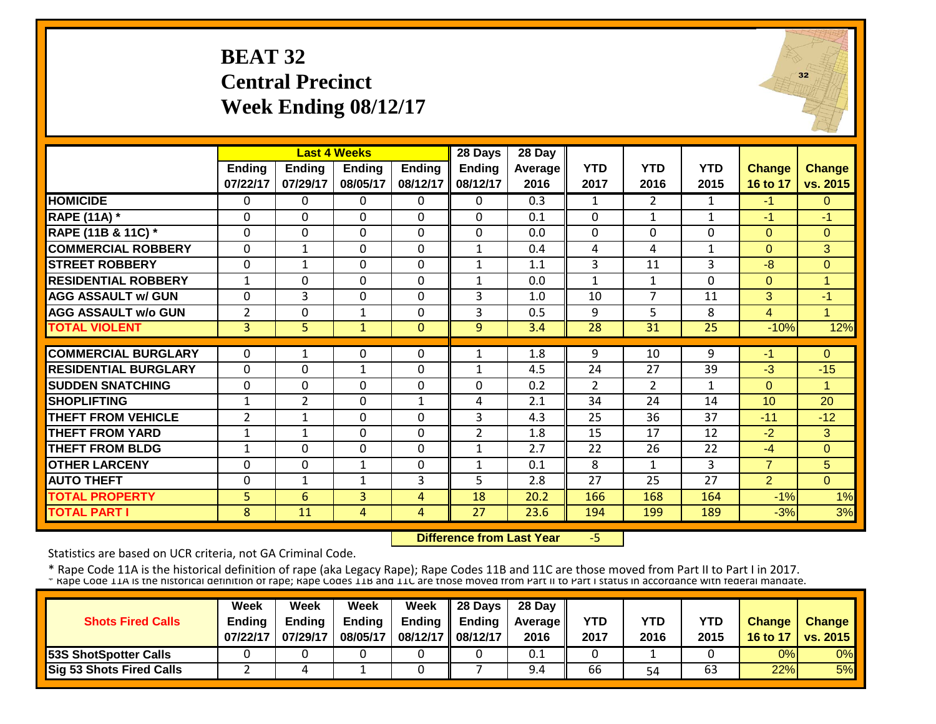# **BEAT 32 Central Precinct Week Ending 08/12/17**



|                             |                |                | <b>Last 4 Weeks</b> |               | 28 Days        | 28 Day           |                |                |              |                |                |
|-----------------------------|----------------|----------------|---------------------|---------------|----------------|------------------|----------------|----------------|--------------|----------------|----------------|
|                             | Ending         | <b>Ending</b>  | <b>Ending</b>       | <b>Ending</b> | <b>Ending</b>  | Average          | <b>YTD</b>     | <b>YTD</b>     | <b>YTD</b>   | <b>Change</b>  | Change         |
|                             | 07/22/17       | 07/29/17       | 08/05/17            | 08/12/17      | 08/12/17       | 2016             | 2017           | 2016           | 2015         | 16 to 17       | vs. 2015       |
| <b>HOMICIDE</b>             | $\Omega$       | 0              | 0                   | 0             | 0              | $\overline{0.3}$ | $\mathbf{1}$   | $\overline{2}$ | $\mathbf{1}$ | $-1$           | $\Omega$       |
| <b>RAPE (11A)</b> *         | $\Omega$       | 0              | $\mathbf 0$         | $\Omega$      | $\Omega$       | 0.1              | $\mathbf 0$    | $\mathbf{1}$   | $\mathbf{1}$ | $-1$           | $-1$           |
| RAPE (11B & 11C) *          | $\mathbf 0$    | 0              | $\mathbf 0$         | $\mathbf 0$   | $\mathbf 0$    | 0.0              | $\mathbf 0$    | $\mathbf 0$    | 0            | $\Omega$       | $\overline{0}$ |
| <b>COMMERCIAL ROBBERY</b>   | $\Omega$       | $\mathbf{1}$   | 0                   | 0             | $\mathbf{1}$   | 0.4              | 4              | 4              | $\mathbf{1}$ | $\Omega$       | 3              |
| <b>STREET ROBBERY</b>       | $\mathbf 0$    | 1              | $\mathbf 0$         | 0             | $\mathbf{1}$   | 1.1              | 3              | 11             | 3            | $-8$           | $\overline{0}$ |
| <b>RESIDENTIAL ROBBERY</b>  | 1              | $\Omega$       | $\Omega$            | $\Omega$      | 1              | 0.0              | $\mathbf{1}$   | 1              | $\Omega$     | $\Omega$       | $\overline{1}$ |
| <b>AGG ASSAULT w/ GUN</b>   | $\Omega$       | 3              | $\Omega$            | $\Omega$      | 3              | 1.0              | 10             | $\overline{7}$ | 11           | 3              | $-1$           |
| <b>AGG ASSAULT w/o GUN</b>  | $\overline{2}$ | 0              | $\mathbf{1}$        | 0             | 3              | 0.5              | 9              | 5              | 8            | $\overline{4}$ | $\overline{1}$ |
| <b>TOTAL VIOLENT</b>        | $\overline{3}$ | 5              | $\mathbf{1}$        | $\mathbf{0}$  | 9              | 3.4              | 28             | 31             | 25           | $-10%$         | 12%            |
|                             |                |                |                     |               |                |                  |                |                |              |                |                |
| <b>COMMERCIAL BURGLARY</b>  | $\Omega$       | 1              | 0                   | $\Omega$      | 1              | 1.8              | 9              | 10             | 9            | $-1$           | $\Omega$       |
| <b>RESIDENTIAL BURGLARY</b> | $\Omega$       | 0              | $\mathbf{1}$        | $\Omega$      | 1              | 4.5              | 24             | 27             | 39           | $-3$           | $-15$          |
| <b>SUDDEN SNATCHING</b>     | $\mathbf 0$    | 0              | $\Omega$            | 0             | $\Omega$       | 0.2              | $\overline{2}$ | $\overline{2}$ | $\mathbf{1}$ | $\Omega$       | 1              |
| <b>SHOPLIFTING</b>          | $\mathbf{1}$   | $\overline{2}$ | $\mathbf 0$         | $\mathbf{1}$  | 4              | 2.1              | 34             | 24             | 14           | 10             | 20             |
| THEFT FROM VEHICLE          | $\overline{2}$ | 1              | $\Omega$            | $\Omega$      | 3              | 4.3              | 25             | 36             | 37           | $-11$          | $-12$          |
| <b>THEFT FROM YARD</b>      | $\mathbf{1}$   | $\mathbf{1}$   | 0                   | 0             | $\overline{2}$ | 1.8              | 15             | 17             | 12           | $-2$           | 3              |
| <b>THEFT FROM BLDG</b>      | 1              | 0              | $\mathbf 0$         | $\Omega$      | $\mathbf{1}$   | 2.7              | 22             | 26             | 22           | $-4$           | $\Omega$       |
| <b>OTHER LARCENY</b>        | $\mathbf 0$    | 0              | $\mathbf{1}$        | 0             | $\mathbf{1}$   | 0.1              | 8              | 1              | 3            | $\overline{7}$ | 5              |
| <b>AUTO THEFT</b>           | $\mathbf{0}$   | $\mathbf{1}$   | 1                   | 3             | 5              | 2.8              | 27             | 25             | 27           | $\overline{2}$ | $\Omega$       |
| <b>TOTAL PROPERTY</b>       | 5              | 6              | 3                   | 4             | 18             | 20.2             | 166            | 168            | 164          | $-1%$          | 1%             |
| <b>TOTAL PART I</b>         | 8              | 11             | 4                   | 4             | 27             | 23.6             | 194            | 199            | 189          | $-3%$          | 3%             |

 **Difference from Last Year**‐5

Statistics are based on UCR criteria, not GA Criminal Code.

|                              | <b>Week</b>   | Week          | Week          | Week              | $\parallel$ 28 Days       | 28 Day            |            |      |      |               |                 |
|------------------------------|---------------|---------------|---------------|-------------------|---------------------------|-------------------|------------|------|------|---------------|-----------------|
| <b>Shots Fired Calls</b>     | <b>Endina</b> | <b>Ending</b> | <b>Ending</b> |                   | Ending $\parallel$ Ending | <b>Average</b> II | <b>YTD</b> | YTD  | YTD  | <b>Change</b> | <b>Change</b>   |
|                              | 07/22/17      | 07/29/17      | 08/05/17      | 08/12/17 08/12/17 |                           | 2016              | 2017       | 2016 | 2015 | 16 to 17      | <b>vs. 2015</b> |
| <b>53S ShotSpotter Calls</b> |               |               |               |                   |                           | 0.1               |            |      |      | 0%            | 0%              |
| Sig 53 Shots Fired Calls     |               |               |               |                   |                           | 9.4               | 66         | 54   | 63   | 22%           | 5%              |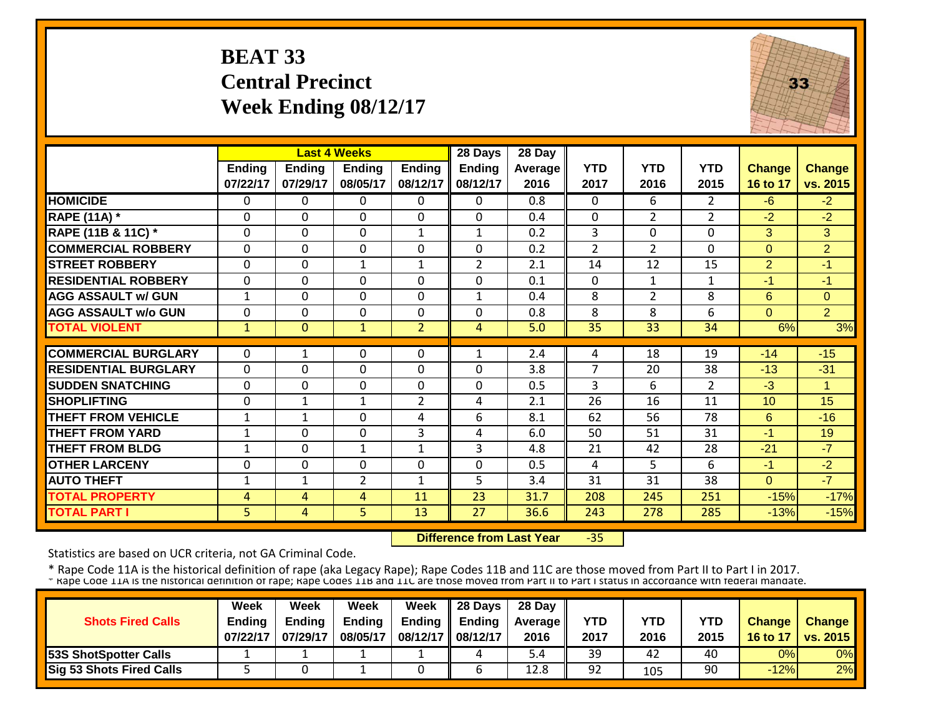# **BEAT 33 Central Precinct Week Ending 08/12/17**



|                             |                | <b>Last 4 Weeks</b> |                |                | 28 Days        | 28 Day  |                |                |                |                |                |
|-----------------------------|----------------|---------------------|----------------|----------------|----------------|---------|----------------|----------------|----------------|----------------|----------------|
|                             | Ending         | <b>Ending</b>       | <b>Ending</b>  | <b>Ending</b>  | <b>Ending</b>  | Average | <b>YTD</b>     | <b>YTD</b>     | <b>YTD</b>     | <b>Change</b>  | Change         |
|                             | 07/22/17       | 07/29/17            | 08/05/17       | 08/12/17       | 08/12/17       | 2016    | 2017           | 2016           | 2015           | 16 to 17       | vs. 2015       |
| <b>HOMICIDE</b>             | $\mathbf{0}$   | 0                   | $\Omega$       | $\Omega$       | $\Omega$       | 0.8     | $\mathbf{0}$   | 6              | $\overline{2}$ | $-6$           | $-2$           |
| <b>RAPE (11A) *</b>         | $\Omega$       | $\Omega$            | $\Omega$       | $\Omega$       | $\mathbf{0}$   | 0.4     | $\mathbf 0$    | $\overline{2}$ | $\overline{2}$ | $-2$           | $-2$           |
| RAPE (11B & 11C) *          | $\Omega$       | $\Omega$            | $\Omega$       | $\mathbf{1}$   | $\mathbf{1}$   | 0.2     | 3              | $\Omega$       | $\Omega$       | 3              | 3              |
| <b>COMMERCIAL ROBBERY</b>   | $\Omega$       | 0                   | $\mathbf 0$    | $\mathbf 0$    | $\mathbf 0$    | 0.2     | $\overline{2}$ | $\overline{2}$ | 0              | $\Omega$       | $\overline{2}$ |
| <b>STREET ROBBERY</b>       | $\mathbf 0$    | 0                   | $\mathbf{1}$   | 1              | $\overline{2}$ | 2.1     | 14             | 12             | 15             | $\overline{2}$ | $-1$           |
| <b>RESIDENTIAL ROBBERY</b>  | $\Omega$       | $\Omega$            | $\Omega$       | $\Omega$       | $\Omega$       | 0.1     | $\Omega$       | $\mathbf{1}$   | $\mathbf{1}$   | -1             | $-1$           |
| <b>AGG ASSAULT w/ GUN</b>   | $\mathbf{1}$   | 0                   | $\Omega$       | 0              | $\mathbf{1}$   | 0.4     | 8              | $\overline{2}$ | 8              | 6              | $\Omega$       |
| <b>AGG ASSAULT w/o GUN</b>  | $\Omega$       | 0                   | $\Omega$       | $\Omega$       | $\Omega$       | 0.8     | 8              | 8              | 6              | $\Omega$       | $\overline{2}$ |
| <b>TOTAL VIOLENT</b>        | $\overline{1}$ | $\overline{0}$      | $\mathbf{1}$   | $\overline{2}$ | 4              | 5.0     | 35             | 33             | 34             | 6%             | 3%             |
|                             |                |                     |                |                |                |         |                |                |                |                |                |
| <b>COMMERCIAL BURGLARY</b>  | $\Omega$       | 1                   | $\Omega$       | $\Omega$       | 1              | 2.4     | 4              | 18             | 19             | $-14$          | $-15$          |
| <b>RESIDENTIAL BURGLARY</b> | $\Omega$       | 0                   | 0              | 0              | 0              | 3.8     | 7              | 20             | 38             | $-13$          | $-31$          |
| <b>SUDDEN SNATCHING</b>     | $\Omega$       | 0                   | 0              | $\Omega$       | $\mathbf 0$    | 0.5     | 3              | 6              | $\overline{2}$ | $-3$           | $\mathbf{1}$   |
| <b>SHOPLIFTING</b>          | $\Omega$       | $\mathbf{1}$        | $\mathbf{1}$   | $\overline{2}$ | 4              | 2.1     | 26             | 16             | 11             | 10             | 15             |
| <b>THEFT FROM VEHICLE</b>   | $\mathbf{1}$   | $\mathbf{1}$        | 0              | 4              | 6              | 8.1     | 62             | 56             | 78             | 6              | $-16$          |
| <b>THEFT FROM YARD</b>      | $\mathbf{1}$   | 0                   | 0              | 3              | 4              | 6.0     | 50             | 51             | 31             | $-1$           | 19             |
| <b>THEFT FROM BLDG</b>      | 1              | 0                   | $\mathbf{1}$   | 1              | 3              | 4.8     | 21             | 42             | 28             | $-21$          | $-7$           |
| <b>OTHER LARCENY</b>        | $\Omega$       | 0                   | $\mathbf 0$    | $\Omega$       | $\mathbf{0}$   | 0.5     | 4              | 5.             | 6              | -1             | $-2$           |
| <b>AUTO THEFT</b>           | $\mathbf{1}$   | $\mathbf{1}$        | $\overline{2}$ | 1              | 5              | 3.4     | 31             | 31             | 38             | $\Omega$       | $-7$           |
| <b>TOTAL PROPERTY</b>       | 4              | 4                   | 4              | 11             | 23             | 31.7    | 208            | 245            | 251            | $-15%$         | $-17%$         |
| <b>TOTAL PART I</b>         | 5              | 4                   | 5              | 13             | 27             | 36.6    | 243            | 278            | 285            | $-13%$         | $-15%$         |

 **Difference from Last Year**‐35

Statistics are based on UCR criteria, not GA Criminal Code.

|                                 | <b>Week</b>   | Week          | Week          | Week          | 28 Days  | 28 Day            |      |      |      |               |                 |
|---------------------------------|---------------|---------------|---------------|---------------|----------|-------------------|------|------|------|---------------|-----------------|
| <b>Shots Fired Calls</b>        | <b>Ending</b> | <b>Endina</b> | <b>Ending</b> | <b>Ending</b> | Endina   | <b>Average II</b> | YTD  | YTD  | YTD  | <b>Change</b> | <b>Change</b>   |
|                                 | 07/22/17      | 07/29/17      | 08/05/17      | 08/12/17      | 08/12/17 | 2016              | 2017 | 2016 | 2015 | 16 to 17      | <b>VS. 2015</b> |
| <b>53S ShotSpotter Calls</b>    |               |               |               |               | 4        | . 4د              | 39   | 42   | 40   | 0%            | 0%              |
| <b>Sig 53 Shots Fired Calls</b> |               |               |               |               |          | 12.8              | 92   | 105  | 90   | $-12%$        | 2%              |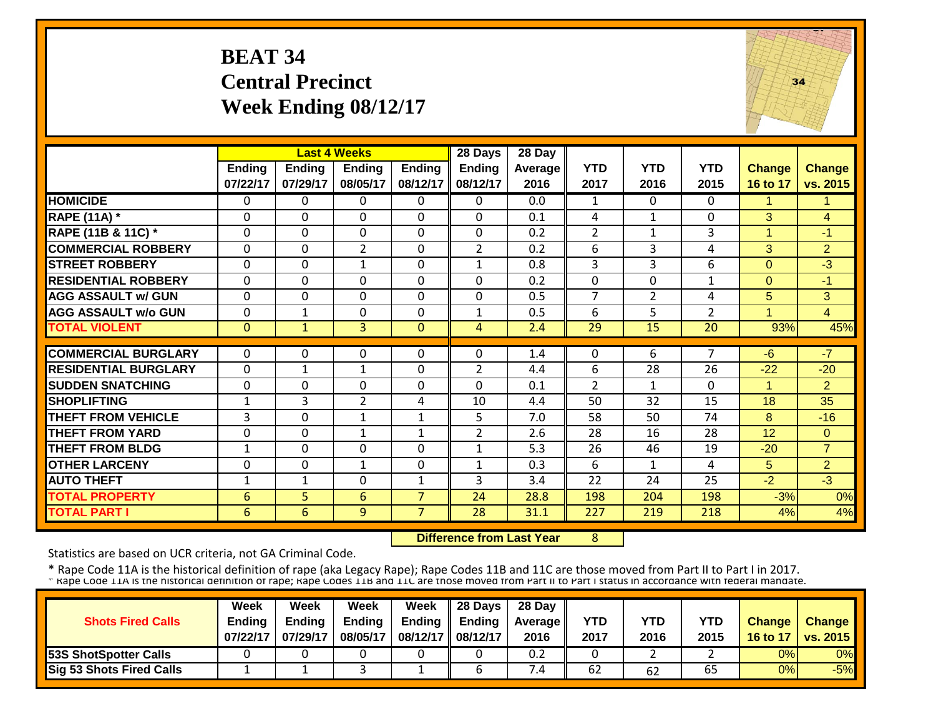## **BEAT 34 Central Precinct Week Ending 08/12/17**



|                             |                           |                           | <b>Last 4 Weeks</b>       |                           | 28 Days                   | 28 Day          |                    |                    |                    |                           |                           |
|-----------------------------|---------------------------|---------------------------|---------------------------|---------------------------|---------------------------|-----------------|--------------------|--------------------|--------------------|---------------------------|---------------------------|
|                             | <b>Ending</b><br>07/22/17 | <b>Ending</b><br>07/29/17 | <b>Ending</b><br>08/05/17 | <b>Ending</b><br>08/12/17 | <b>Ending</b><br>08/12/17 | Average<br>2016 | <b>YTD</b><br>2017 | <b>YTD</b><br>2016 | <b>YTD</b><br>2015 | <b>Change</b><br>16 to 17 | <b>Change</b><br>vs. 2015 |
| <b>HOMICIDE</b>             | $\Omega$                  | $\Omega$                  | $\Omega$                  | $\Omega$                  | $\Omega$                  | 0.0             | 1                  | $\Omega$           | 0                  | $\mathbf{1}$              | 1                         |
| <b>RAPE (11A) *</b>         | $\Omega$                  | $\Omega$                  | $\Omega$                  | $\Omega$                  | $\Omega$                  | 0.1             | 4                  | $\mathbf{1}$       | $\Omega$           | 3                         | $\overline{4}$            |
| RAPE (11B & 11C) *          | $\mathbf{0}$              | $\Omega$                  | $\Omega$                  | $\Omega$                  | $\Omega$                  | 0.2             | $\overline{2}$     | $\mathbf{1}$       | 3                  | $\mathbf{1}$              | $-1$                      |
| <b>COMMERCIAL ROBBERY</b>   | $\Omega$                  | $\mathbf 0$               | $\overline{2}$            | $\Omega$                  | $\overline{2}$            | 0.2             | 6                  | $\overline{3}$     | 4                  | 3                         | $\overline{2}$            |
| <b>STREET ROBBERY</b>       | $\mathbf{0}$              | $\mathbf 0$               | 1                         | $\mathbf 0$               | $\mathbf{1}$              | 0.8             | 3                  | $\overline{3}$     | 6                  | 0                         | $-3$                      |
| <b>RESIDENTIAL ROBBERY</b>  | $\Omega$                  | $\Omega$                  | $\Omega$                  | $\Omega$                  | 0                         | 0.2             | $\Omega$           | $\Omega$           | $\mathbf{1}$       | $\Omega$                  | $-1$                      |
| <b>AGG ASSAULT w/ GUN</b>   | $\mathbf 0$               | $\Omega$                  | $\Omega$                  | $\Omega$                  | 0                         | 0.5             | $\overline{7}$     | $\overline{2}$     | 4                  | 5                         | 3 <sup>1</sup>            |
| <b>AGG ASSAULT w/o GUN</b>  | $\Omega$                  | 1                         | $\mathbf 0$               | $\Omega$                  | $\mathbf{1}$              | 0.5             | 6                  | 5                  | $\overline{2}$     | $\blacktriangleleft$      | $\overline{4}$            |
| <b>TOTAL VIOLENT</b>        | $\mathbf{0}$              | $\mathbf{1}$              | $\overline{3}$            | $\mathbf{0}$              | $\overline{4}$            | 2.4             | 29                 | 15                 | 20                 | 93%                       | 45%                       |
|                             |                           |                           |                           |                           |                           |                 |                    |                    |                    |                           |                           |
| <b>COMMERCIAL BURGLARY</b>  | $\Omega$                  | 0                         | 0                         | 0                         | 0                         | 1.4             | $\Omega$           | 6                  | 7                  | $-6$                      | $-7$                      |
| <b>RESIDENTIAL BURGLARY</b> | $\Omega$                  | $\mathbf{1}$              | 1                         | $\Omega$                  | $\overline{2}$            | 4.4             | 6                  | 28                 | 26                 | $-22$                     | $-20$                     |
| <b>SUDDEN SNATCHING</b>     | $\Omega$                  | $\Omega$                  | $\Omega$                  | $\Omega$                  | 0                         | 0.1             | $\overline{2}$     | $\mathbf{1}$       | $\Omega$           | 1                         | $\overline{2}$            |
| <b>SHOPLIFTING</b>          | 1                         | 3                         | $\overline{2}$            | 4                         | 10                        | 4.4             | 50                 | 32                 | 15                 | 18                        | 35                        |
| <b>THEFT FROM VEHICLE</b>   | 3                         | $\Omega$                  | 1                         | $\mathbf{1}$              | 5                         | 7.0             | 58                 | 50                 | 74                 | 8                         | $-16$                     |
| <b>THEFT FROM YARD</b>      | $\Omega$                  | $\Omega$                  | $\mathbf{1}$              | 1                         | $\overline{2}$            | 2.6             | 28                 | 16                 | 28                 | 12                        | $\Omega$                  |
| <b>THEFT FROM BLDG</b>      | 1                         | $\Omega$                  | $\Omega$                  | $\Omega$                  | $\mathbf{1}$              | 5.3             | 26                 | 46                 | 19                 | $-20$                     | $\overline{7}$            |
| <b>OTHER LARCENY</b>        | $\Omega$                  | $\Omega$                  | $\mathbf{1}$              | $\Omega$                  | $\mathbf{1}$              | 0.3             | 6                  | $\mathbf{1}$       | 4                  | 5                         | $\overline{2}$            |
| <b>AUTO THEFT</b>           | $\mathbf{1}$              | $\mathbf{1}$              | $\mathbf 0$               | $\mathbf{1}$              | 3                         | 3.4             | 22                 | 24                 | 25                 | $-2$                      | $-3$                      |
| <b>TOTAL PROPERTY</b>       | 6                         | 5                         | 6                         | $\overline{7}$            | 24                        | 28.8            | 198                | 204                | 198                | $-3%$                     | 0%                        |
| <b>TOTAL PART I</b>         | 6                         | 6                         | 9                         | $\overline{7}$            | 28                        | 31.1            | 227                | 219                | 218                | 4%                        | 4%                        |

 **Difference from Last Year**8

Statistics are based on UCR criteria, not GA Criminal Code.

|                                 | <b>Week</b>   | Week          | Week          | <b>Week</b>       | $\parallel$ 28 Days       | 28 Day            |            |      |      |               |                 |
|---------------------------------|---------------|---------------|---------------|-------------------|---------------------------|-------------------|------------|------|------|---------------|-----------------|
| <b>Shots Fired Calls</b>        | <b>Endina</b> | <b>Ending</b> | <b>Ending</b> |                   | Ending $\parallel$ Ending | <b>Average</b> II | <b>YTD</b> | YTD  | YTD  | <b>Change</b> | <b>Change</b>   |
|                                 | 07/22/17      | 07/29/17      | 08/05/17      | 08/12/17 08/12/17 |                           | 2016              | 2017       | 2016 | 2015 | 16 to 17      | <b>vs. 2015</b> |
| <b>53S ShotSpotter Calls</b>    |               |               |               |                   |                           | 0.2               |            |      |      | 0%            | 0%              |
| <b>Sig 53 Shots Fired Calls</b> |               |               |               |                   |                           | /.4               | 62         | 62   | 65   | 0%            | $-5%$           |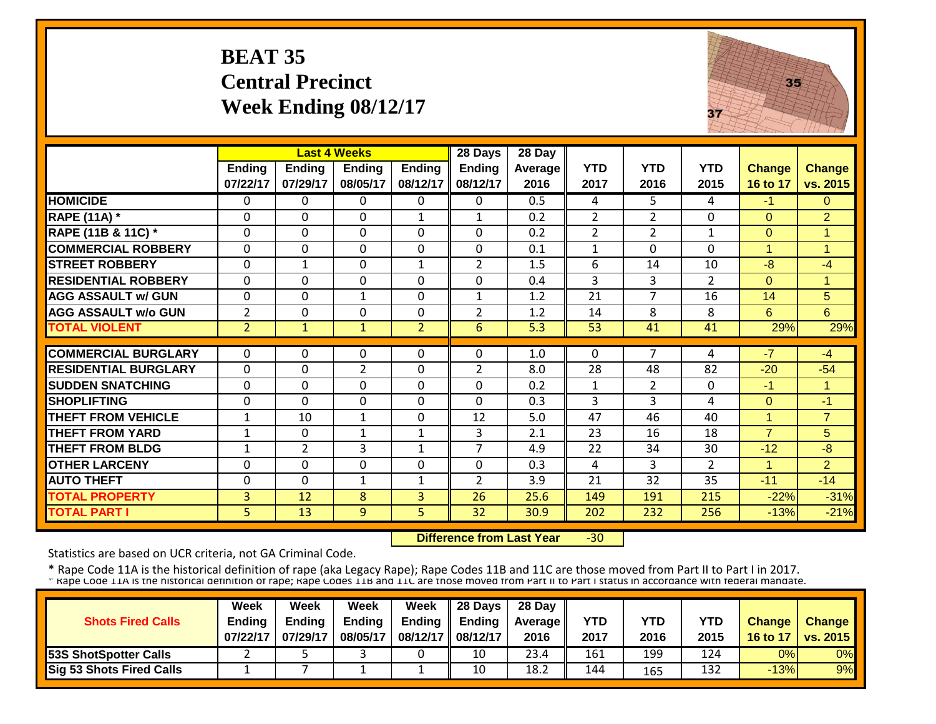# **BEAT 35 Central Precinct Week Ending 08/12/17**



|                             |                |                | <b>Last 4 Weeks</b> |                | 28 Days        | 28 Day  |                |                |                |                      |                |
|-----------------------------|----------------|----------------|---------------------|----------------|----------------|---------|----------------|----------------|----------------|----------------------|----------------|
|                             | <b>Ending</b>  | <b>Ending</b>  | <b>Ending</b>       | <b>Ending</b>  | <b>Ending</b>  | Average | <b>YTD</b>     | <b>YTD</b>     | <b>YTD</b>     | <b>Change</b>        | <b>Change</b>  |
|                             | 07/22/17       | 07/29/17       | 08/05/17            | 08/12/17       | 08/12/17       | 2016    | 2017           | 2016           | 2015           | 16 to 17             | vs. 2015       |
| <b>HOMICIDE</b>             | $\Omega$       | 0              | $\Omega$            | $\Omega$       | 0              | 0.5     | 4              | 5.             | 4              | $-1$                 | $\Omega$       |
| <b>RAPE (11A)</b> *         | $\Omega$       | 0              | $\Omega$            | $\mathbf{1}$   | $\mathbf{1}$   | 0.2     | $\overline{2}$ | $\overline{2}$ | $\Omega$       | $\Omega$             | 2              |
| RAPE (11B & 11C) *          | $\Omega$       | 0              | $\Omega$            | $\Omega$       | $\mathbf 0$    | 0.2     | $\overline{2}$ | $\overline{2}$ | 1              | $\mathbf{0}$         | 1              |
| <b>COMMERCIAL ROBBERY</b>   | $\Omega$       | 0              | $\mathbf 0$         | $\Omega$       | $\mathbf 0$    | 0.1     | $\mathbf{1}$   | $\Omega$       | $\Omega$       | $\mathbf{1}$         | $\overline{1}$ |
| <b>STREET ROBBERY</b>       | $\Omega$       | $\mathbf{1}$   | $\Omega$            | $\mathbf{1}$   | $\overline{2}$ | 1.5     | 6              | 14             | 10             | $-8$                 | $-4$           |
| <b>RESIDENTIAL ROBBERY</b>  | $\Omega$       | $\Omega$       | $\Omega$            | $\Omega$       | $\mathbf 0$    | 0.4     | 3              | 3              | $\overline{2}$ | $\Omega$             | $\overline{1}$ |
| <b>AGG ASSAULT w/ GUN</b>   | $\mathbf 0$    | 0              | $\mathbf{1}$        | $\mathbf 0$    | $\mathbf{1}$   | 1.2     | 21             | $\overline{7}$ | 16             | 14                   | 5              |
| <b>AGG ASSAULT w/o GUN</b>  | $\overline{2}$ | 0              | $\mathbf 0$         | $\mathbf 0$    | $\overline{2}$ | 1.2     | 14             | 8              | 8              | 6                    | 6              |
| <b>TOTAL VIOLENT</b>        | $\overline{2}$ | $\mathbf{1}$   | $\mathbf{1}$        | $\overline{2}$ | 6              | 5.3     | 53             | 41             | 41             | 29%                  | 29%            |
|                             |                |                |                     |                |                |         |                |                |                |                      |                |
| <b>COMMERCIAL BURGLARY</b>  | $\Omega$       | 0              | 0                   | $\Omega$       | $\Omega$       | 1.0     | 0              | 7              | 4              | $-7$                 | $-4$           |
| <b>RESIDENTIAL BURGLARY</b> | $\Omega$       | 0              | $\overline{2}$      | $\Omega$       | $\overline{2}$ | 8.0     | 28             | 48             | 82             | $-20$                | $-54$          |
| <b>SUDDEN SNATCHING</b>     | $\Omega$       | 0              | $\Omega$            | $\Omega$       | 0              | 0.2     | $\mathbf{1}$   | $\overline{2}$ | 0              | $-1$                 | $\overline{1}$ |
| <b>SHOPLIFTING</b>          | $\Omega$       | 0              | $\Omega$            | $\Omega$       | $\Omega$       | 0.3     | 3              | 3              | 4              | $\Omega$             | -1             |
| <b>THEFT FROM VEHICLE</b>   | $\mathbf{1}$   | 10             | $\mathbf{1}$        | $\Omega$       | 12             | 5.0     | 47             | 46             | 40             | $\mathbf{1}$         | $\overline{7}$ |
| <b>THEFT FROM YARD</b>      | $\mathbf{1}$   | 0              | 1                   | 1              | 3              | 2.1     | 23             | 16             | 18             | $\overline{7}$       | $5\phantom{.}$ |
| <b>THEFT FROM BLDG</b>      | 1              | $\overline{2}$ | 3                   | $\mathbf{1}$   | $\overline{7}$ | 4.9     | 22             | 34             | 30             | $-12$                | $-8$           |
| <b>OTHER LARCENY</b>        | $\Omega$       | 0              | $\Omega$            | 0              | $\Omega$       | 0.3     | 4              | 3              | $\overline{2}$ | $\blacktriangleleft$ | $\overline{2}$ |
| <b>AUTO THEFT</b>           | $\Omega$       | 0              | 1                   | 1              | $\overline{2}$ | 3.9     | 21             | 32             | 35             | $-11$                | $-14$          |
| <b>TOTAL PROPERTY</b>       | $\overline{3}$ | 12             | 8                   | 3              | 26             | 25.6    | 149            | 191            | 215            | $-22%$               | $-31%$         |
| <b>TOTAL PART I</b>         | 5.             | 13             | 9                   | 5              | 32             | 30.9    | 202            | 232            | 256            | $-13%$               | $-21%$         |

 **Difference from Last Year** $-30$ 

Statistics are based on UCR criteria, not GA Criminal Code.

|                                 | <b>Week</b>   | Week     | Week          | Week        | 28 Days  | 28 Day            |      |      |            |               |                 |
|---------------------------------|---------------|----------|---------------|-------------|----------|-------------------|------|------|------------|---------------|-----------------|
| <b>Shots Fired Calls</b>        | <b>Ending</b> | Endina   | <b>Ending</b> | Ending      | Endina   | <b>Average II</b> | YTD  | YTD  | <b>YTD</b> | <b>Change</b> | Change          |
|                                 | 07/22/17      | 07/29/17 | 08/05/17      | 08/12/17 II | 08/12/17 | 2016              | 2017 | 2016 | 2015       | 16 to 17      | <b>VS. 2015</b> |
| <b>153S ShotSpotter Calls</b>   |               |          |               |             | 10       | 23.4              | 161  | 199  | 124        | 0%            | 0%              |
| <b>Sig 53 Shots Fired Calls</b> |               |          |               |             | 10       | 18.2              | 144  | 165  | 132        | $-13%$        | 9%              |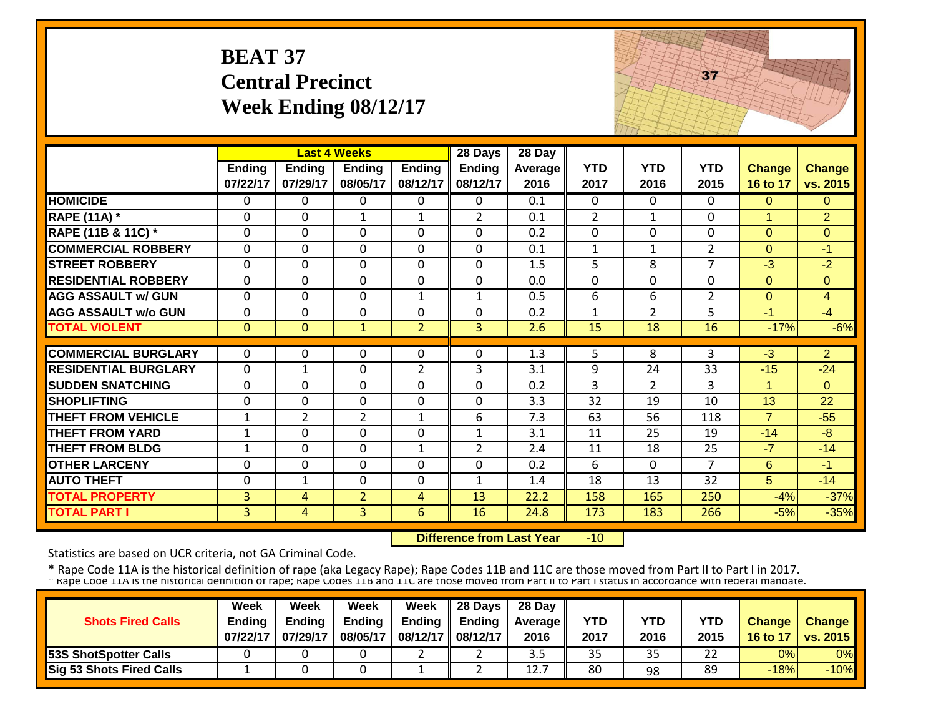## **BEAT 37 Central Precinct Week Ending 08/12/17**



|                             |                |                | <b>Last 4 Weeks</b> |                | 28 Days        | 28 Day  |                |                |                |                      |                |
|-----------------------------|----------------|----------------|---------------------|----------------|----------------|---------|----------------|----------------|----------------|----------------------|----------------|
|                             | Ending         | <b>Ending</b>  | <b>Ending</b>       | <b>Ending</b>  | <b>Ending</b>  | Average | <b>YTD</b>     | <b>YTD</b>     | <b>YTD</b>     | <b>Change</b>        | <b>Change</b>  |
|                             | 07/22/17       | 07/29/17       | 08/05/17            | 08/12/17       | 08/12/17       | 2016    | 2017           | 2016           | 2015           | 16 to 17             | vs. 2015       |
| <b>HOMICIDE</b>             | $\Omega$       | 0              | 0                   | 0              | 0              | 0.1     | $\Omega$       | 0              | 0              | $\Omega$             | $\Omega$       |
| <b>RAPE (11A) *</b>         | $\Omega$       | 0              | 1                   | 1              | $\overline{2}$ | 0.1     | $\overline{2}$ | $\mathbf{1}$   | 0              | $\blacktriangleleft$ | $\overline{2}$ |
| RAPE (11B & 11C) *          | $\mathbf{0}$   | 0              | $\Omega$            | $\Omega$       | $\mathbf 0$    | 0.2     | $\mathbf{0}$   | 0              | 0              | $\Omega$             | $\Omega$       |
| <b>COMMERCIAL ROBBERY</b>   | $\Omega$       | $\Omega$       | $\mathbf{0}$        | $\Omega$       | $\mathbf 0$    | 0.1     | $\mathbf{1}$   | $\mathbf{1}$   | $\overline{2}$ | $\Omega$             | $-1$           |
| <b>STREET ROBBERY</b>       | $\mathbf{0}$   | $\Omega$       | $\Omega$            | $\mathbf 0$    | $\mathbf 0$    | 1.5     | 5              | 8              | $\overline{7}$ | $-3$                 | $-2$           |
| <b>RESIDENTIAL ROBBERY</b>  | $\Omega$       | 0              | $\Omega$            | $\Omega$       | $\mathbf 0$    | 0.0     | $\Omega$       | $\Omega$       | 0              | $\Omega$             | $\Omega$       |
| <b>AGG ASSAULT w/ GUN</b>   | $\mathbf{0}$   | 0              | $\mathbf{0}$        | $\mathbf{1}$   | $\mathbf{1}$   | 0.5     | 6              | 6              | $\overline{2}$ | $\mathbf{0}$         | $\overline{4}$ |
| <b>AGG ASSAULT w/o GUN</b>  | $\Omega$       | $\Omega$       | $\Omega$            | $\Omega$       | 0              | 0.2     | $\mathbf{1}$   | $\overline{2}$ | 5              | $-1$                 | $-4$           |
| <b>TOTAL VIOLENT</b>        | $\mathbf{0}$   | $\overline{0}$ | $\mathbf{1}$        | $\overline{2}$ | 3              | 2.6     | 15             | 18             | 16             | $-17%$               | $-6%$          |
|                             |                |                |                     |                |                |         |                |                |                |                      |                |
| <b>COMMERCIAL BURGLARY</b>  | $\Omega$       | 0              | 0                   | $\Omega$       | $\Omega$       | 1.3     | 5              | 8              | 3              | $-3$                 | $\overline{2}$ |
| <b>RESIDENTIAL BURGLARY</b> | $\mathbf 0$    | $\mathbf{1}$   | $\mathbf 0$         | $\overline{2}$ | 3              | 3.1     | 9              | 24             | 33             | $-15$                | $-24$          |
| <b>SUDDEN SNATCHING</b>     | $\mathbf 0$    | 0              | $\Omega$            | $\mathbf 0$    | $\mathbf 0$    | 0.2     | 3              | $\overline{2}$ | 3              | $\mathbf{1}$         | $\Omega$       |
| <b>SHOPLIFTING</b>          | $\mathbf 0$    | 0              | 0                   | $\Omega$       | $\mathbf 0$    | 3.3     | 32             | 19             | 10             | 13                   | 22             |
| <b>THEFT FROM VEHICLE</b>   | $\mathbf{1}$   | $\overline{2}$ | $\overline{2}$      | $\mathbf{1}$   | 6              | 7.3     | 63             | 56             | 118            | $\overline{7}$       | $-55$          |
| <b>THEFT FROM YARD</b>      | $\mathbf{1}$   | 0              | $\Omega$            | 0              | $\mathbf{1}$   | 3.1     | 11             | 25             | 19             | $-14$                | $-8$           |
| <b>THEFT FROM BLDG</b>      | $\mathbf{1}$   | 0              | 0                   | $\mathbf{1}$   | $\overline{2}$ | 2.4     | 11             | 18             | 25             | $-7$                 | $-14$          |
| <b>OTHER LARCENY</b>        | $\Omega$       | 0              | $\Omega$            | $\Omega$       | $\mathbf 0$    | 0.2     | 6              | $\Omega$       | $\overline{7}$ | 6                    | $-1$           |
| <b>AUTO THEFT</b>           | $\Omega$       | $\mathbf{1}$   | $\Omega$            | 0              | $\mathbf{1}$   | 1.4     | 18             | 13             | 32             | 5                    | $-14$          |
| <b>TOTAL PROPERTY</b>       | 3              | 4              | 2                   | 4              | 13             | 22.2    | 158            | 165            | 250            | $-4%$                | $-37%$         |
| <b>TOTAL PART I</b>         | $\overline{3}$ | 4              | $\overline{3}$      | $6\phantom{1}$ | 16             | 24.8    | 173            | 183            | 266            | $-5%$                | $-35%$         |

 **Difference from Last Year** $-10$ 

Statistics are based on UCR criteria, not GA Criminal Code.

|                                 | Week          | Week          | Week          | <b>Week</b>         | $\parallel$ 28 Days       | 28 Day            |      |      |      |               |                 |
|---------------------------------|---------------|---------------|---------------|---------------------|---------------------------|-------------------|------|------|------|---------------|-----------------|
| <b>Shots Fired Calls</b>        | <b>Endina</b> | <b>Ending</b> | <b>Ending</b> |                     | Ending $\parallel$ Ending | <b>Average</b> II | YTD  | YTD  | YTD  | <b>Change</b> | <b>Change</b>   |
|                                 | 07/22/17      | 07/29/17      | 08/05/17      | 08/12/17   08/12/17 |                           | 2016              | 2017 | 2016 | 2015 | 16 to 17      | <b>vs. 2015</b> |
| <b>53S ShotSpotter Calls</b>    |               |               |               |                     |                           | ں د               | 35   | 35   |      | 0%            | 0%              |
| <b>Sig 53 Shots Fired Calls</b> |               |               |               |                     |                           | 12.7              | 80   | 98   | 89   | $-18%$        | $-10%$          |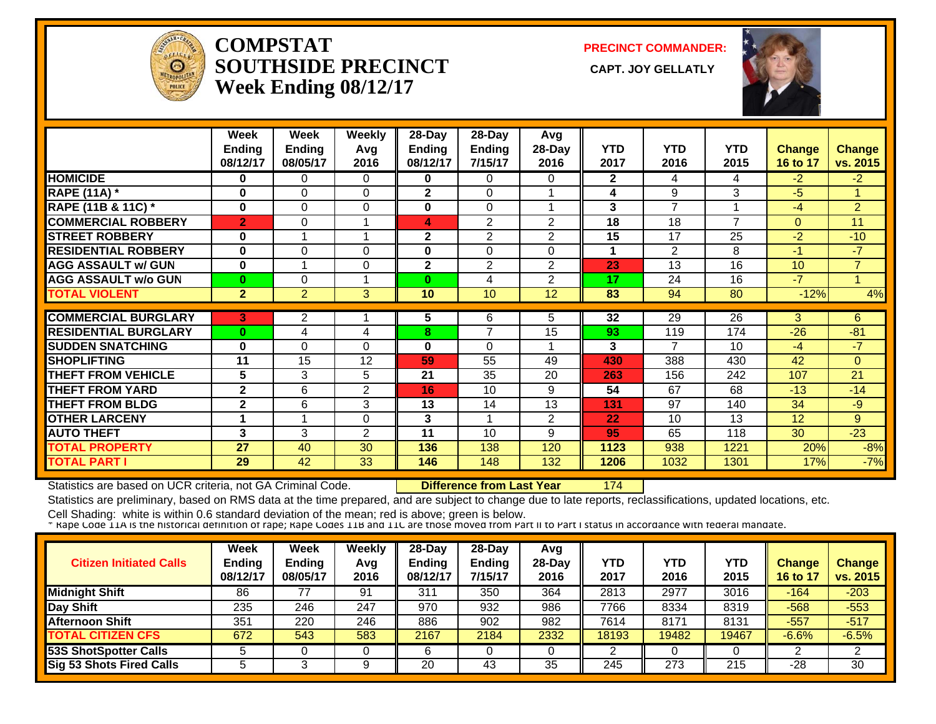

#### **COMPSTATSOUTHSIDE PRECINCT** CAPT. JOY GELLATLY **Week Ending 08/12/17**

**PRECINCT COMMANDER:**



|                             | Week<br><b>Ending</b> | Week<br>Ending          | <b>Weekly</b><br>Avg | 28-Day<br><b>Ending</b> | $28$ -Day<br><b>Ending</b> | Avg<br>28-Day  | <b>YTD</b>   | <b>YTD</b>     | <b>YTD</b>               | <b>Change</b>   | <b>Change</b>  |
|-----------------------------|-----------------------|-------------------------|----------------------|-------------------------|----------------------------|----------------|--------------|----------------|--------------------------|-----------------|----------------|
|                             | 08/12/17              | 08/05/17                | 2016                 | 08/12/17                | 7/15/17                    | 2016           | 2017         | 2016           | 2015                     | 16 to 17        | vs. 2015       |
| <b>HOMICIDE</b>             | 0                     | 0                       | $\Omega$             | 0                       | $\Omega$                   | 0              | $\mathbf{2}$ | 4              | 4                        | $-2$            | $-2$           |
| <b>RAPE (11A)</b> *         | $\bf{0}$              | $\Omega$                | $\Omega$             | $\mathbf{2}$            | $\Omega$                   |                | 4            | 9              | 3                        | $-5$            | $\mathbf{1}$   |
| RAPE (11B & 11C) *          | $\bf{0}$              | $\Omega$                | $\Omega$             | $\bf{0}$                | $\Omega$                   |                | 3            | $\overline{ }$ |                          | $-4$            | $\overline{2}$ |
| <b>COMMERCIAL ROBBERY</b>   | $\overline{2}$        | $\Omega$                |                      | 4                       | $\overline{2}$             | $\overline{2}$ | 18           | 18             | $\overline{\phantom{a}}$ | $\Omega$        | 11             |
| <b>STREET ROBBERY</b>       | 0                     |                         | 1                    | $\mathbf 2$             | $\overline{2}$             | $\overline{2}$ | 15           | 17             | 25                       | $-2$            | $-10$          |
| <b>RESIDENTIAL ROBBERY</b>  | 0                     | 0                       | $\Omega$             | 0                       | $\Omega$                   | 0              |              | $\overline{2}$ | 8                        | $-1$            | $-7$           |
| <b>AGG ASSAULT w/ GUN</b>   | 0                     | $\overline{\mathbf{A}}$ | $\Omega$             | $\mathbf{2}$            | $\overline{2}$             | $\overline{2}$ | 23           | 13             | 16                       | 10 <sup>1</sup> | $\overline{7}$ |
| <b>AGG ASSAULT w/o GUN</b>  | $\bf{0}$              | 0                       |                      | 0                       | 4                          | $\overline{2}$ | 17           | 24             | 16                       | $-7$            | 1              |
| <b>TOTAL VIOLENT</b>        | 2 <sup>1</sup>        | $\overline{2}$          | 3                    | 10                      | 10                         | 12             | 83           | 94             | 80                       | $-12%$          | 4%             |
| <b>COMMERCIAL BURGLARY</b>  | 3                     | $\overline{2}$          |                      | 5                       | 6                          | 5              | 32           | 29             | 26                       | 3               | 6              |
| <b>RESIDENTIAL BURGLARY</b> | $\bf{0}$              | 4                       | 4                    | 8                       | 7                          | 15             | 93           | 119            | 174                      | $-26$           | $-81$          |
| <b>SUDDEN SNATCHING</b>     |                       |                         |                      |                         |                            |                |              | 7              |                          |                 |                |
|                             | 0                     | $\Omega$                | $\Omega$             | 0                       | $\Omega$                   |                | 3            |                | 10                       | $-4$            | $-7$           |
| <b>SHOPLIFTING</b>          | 11                    | 15                      | 12                   | 59                      | 55                         | 49             | 430          | 388            | 430                      | 42              | $\Omega$       |
| <b>THEFT FROM VEHICLE</b>   | 5                     | 3                       | 5                    | 21                      | 35                         | 20             | 263          | 156            | 242                      | 107             | 21             |
| THEFT FROM YARD             | $\mathbf{2}$          | 6                       | $\overline{2}$       | 16                      | 10                         | 9              | 54           | 67             | 68                       | $-13$           | $-14$          |
| <b>THEFT FROM BLDG</b>      | $\mathbf{2}$          | 6                       | 3                    | 13                      | 14                         | 13             | 131          | 97             | 140                      | 34              | $-9$           |
| <b>OTHER LARCENY</b>        |                       |                         | $\Omega$             | 3                       |                            | 2              | 22           | 10             | 13                       | 12              | 9              |
| <b>AUTO THEFT</b>           | 3                     | 3                       | 2                    | 11                      | 10                         | 9              | 95           | 65             | 118                      | 30              | $-23$          |
| <b>TOTAL PROPERTY</b>       | 27                    | 40                      | 30                   | 136                     | 138                        | 120            | 1123         | 938            | 1221                     | 20%             | $-8%$          |
| <b>TOTAL PART I</b>         | 29                    | 42                      | 33                   | 146                     | 148                        | 132            | 1206         | 1032           | 1301                     | 17%             | $-7%$          |

Statistics are based on UCR criteria, not GA Criminal Code. **Difference from Last Year** 174

Statistics are preliminary, based on RMS data at the time prepared, and are subject to change due to late reports, reclassifications, updated locations, etc.

| <b>Citizen Initiated Calls</b>  | <b>Week</b><br><b>Ending</b><br>08/12/17 | <b>Week</b><br><b>Ending</b><br>08/05/17 | Weekly<br>Avg<br>2016 | $28-Dav$<br>Endina<br>08/12/17 | $28$ -Day<br><b>Ending</b><br>7/15/17 | Avq<br>28-Dav<br>2016 | YTD<br>2017 | YTD<br>2016 | <b>YTD</b><br>2015 | <b>Change</b><br><b>16 to 17</b> | <b>Change</b><br>vs. 2015 |
|---------------------------------|------------------------------------------|------------------------------------------|-----------------------|--------------------------------|---------------------------------------|-----------------------|-------------|-------------|--------------------|----------------------------------|---------------------------|
| <b>Midnight Shift</b>           | 86                                       |                                          | 91                    | 311                            | 350                                   | 364                   | 2813        | 2977        | 3016               | $-164$                           | $-203$                    |
| Day Shift                       | 235                                      | 246                                      | 247                   | 970                            | 932                                   | 986                   | 7766        | 8334        | 8319               | $-568$                           | $-553$                    |
| <b>Afternoon Shift</b>          | 351                                      | 220                                      | 246                   | 886                            | 902                                   | 982                   | 7614        | 8171        | 8131               | $-557$                           | $-517$                    |
| <b>TOTAL CITIZEN CFS</b>        | 672                                      | 543                                      | 583                   | 2167                           | 2184                                  | 2332                  | 18193       | 19482       | 19467              | $-6.6%$                          | $-6.5%$                   |
| <b>53S ShotSpotter Calls</b>    |                                          |                                          |                       |                                |                                       |                       |             |             |                    |                                  |                           |
| <b>Sig 53 Shots Fired Calls</b> |                                          |                                          |                       | 20                             | 43                                    | 35                    | 245         | 273         | 215                | -28                              | 30                        |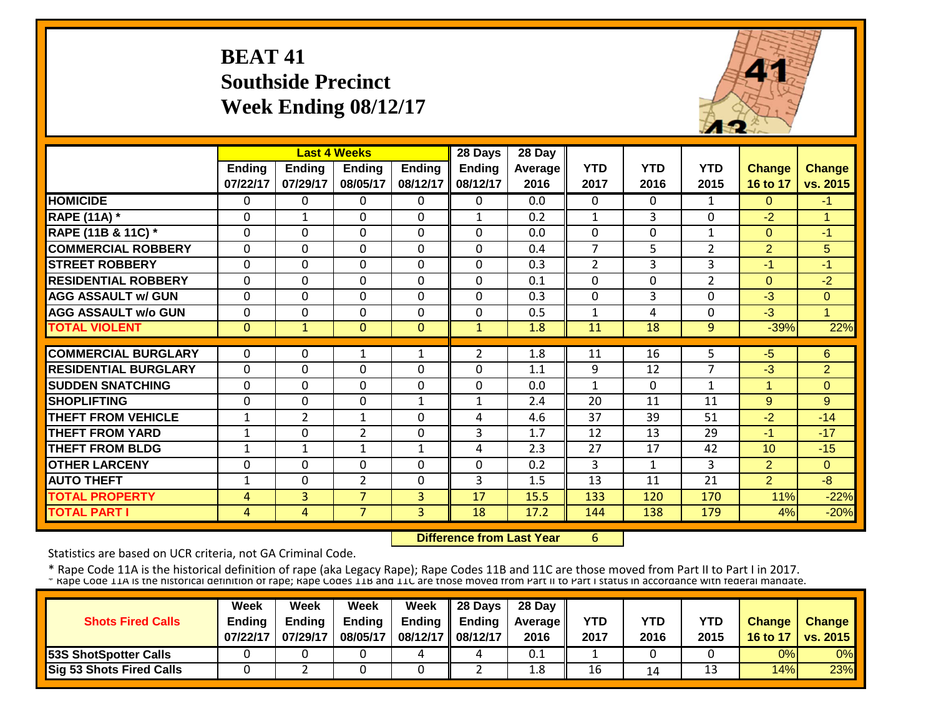## **BEAT 41 Southside Precinct Week Ending 08/12/17**



|                             |                |                | <b>Last 4 Weeks</b> |               | 28 Days        | 28 Day         |                |                |                |                      |                |
|-----------------------------|----------------|----------------|---------------------|---------------|----------------|----------------|----------------|----------------|----------------|----------------------|----------------|
|                             | <b>Ending</b>  | <b>Ending</b>  | <b>Ending</b>       | <b>Ending</b> | <b>Ending</b>  | <b>Average</b> | <b>YTD</b>     | <b>YTD</b>     | <b>YTD</b>     | <b>Change</b>        | <b>Change</b>  |
|                             | 07/22/17       | 07/29/17       | 08/05/17            | 08/12/17      | 08/12/17       | 2016           | 2017           | 2016           | 2015           | 16 to 17             | vs. 2015       |
| <b>HOMICIDE</b>             | $\Omega$       | 0              | 0                   | 0             | $\Omega$       | 0.0            | $\Omega$       | $\Omega$       | $\mathbf{1}$   | $\Omega$             | $-1$           |
| <b>RAPE (11A) *</b>         | $\Omega$       | 1              | $\Omega$            | $\Omega$      | $\mathbf{1}$   | 0.2            | $\mathbf{1}$   | $\overline{3}$ | 0              | $-2$                 | 1              |
| RAPE (11B & 11C) *          | 0              | $\Omega$       | $\Omega$            | $\Omega$      | 0              | 0.0            | $\mathbf 0$    | 0              | $\mathbf{1}$   | $\Omega$             | -1             |
| <b>COMMERCIAL ROBBERY</b>   | $\Omega$       | $\Omega$       | $\Omega$            | 0             | $\Omega$       | 0.4            | $\overline{7}$ | 5.             | $\overline{2}$ | $\overline{2}$       | 5              |
| <b>STREET ROBBERY</b>       | $\mathbf{0}$   | 0              | $\mathbf 0$         | $\Omega$      | 0              | 0.3            | $\overline{2}$ | 3              | 3              | $-1$                 | $-1$           |
| <b>RESIDENTIAL ROBBERY</b>  | $\Omega$       | $\Omega$       | $\Omega$            | $\Omega$      | 0              | 0.1            | $\Omega$       | $\Omega$       | $\overline{2}$ | $\Omega$             | $-2$           |
| <b>AGG ASSAULT w/ GUN</b>   | $\Omega$       | 0              | $\Omega$            | $\Omega$      | 0              | 0.3            | $\mathbf{0}$   | 3              | $\Omega$       | $-3$                 | $\Omega$       |
| <b>AGG ASSAULT w/o GUN</b>  | $\Omega$       | $\Omega$       | $\Omega$            | $\Omega$      | 0              | 0.5            | 1              | 4              | $\Omega$       | $-3$                 | 1              |
| <b>TOTAL VIOLENT</b>        | $\Omega$       | $\mathbf{1}$   | $\Omega$            | $\Omega$      | $\mathbf{1}$   | 1.8            | 11             | 18             | 9              | $-39%$               | 22%            |
|                             |                |                |                     |               |                |                |                |                |                |                      |                |
| <b>COMMERCIAL BURGLARY</b>  | $\Omega$       | 0              | $\mathbf{1}$        | 1             | $\overline{2}$ | 1.8            | 11             | 16             | 5.             | $-5$                 | 6              |
| <b>RESIDENTIAL BURGLARY</b> | $\Omega$       | $\Omega$       | $\Omega$            | $\Omega$      | 0              | 1.1            | 9              | 12             | $\overline{7}$ | $-3$                 | $\overline{2}$ |
| <b>SUDDEN SNATCHING</b>     | $\Omega$       | 0              | $\Omega$            | $\Omega$      | 0              | 0.0            | 1              | 0              | 1              | $\blacktriangleleft$ | $\Omega$       |
| <b>SHOPLIFTING</b>          | $\Omega$       | $\Omega$       | $\Omega$            | 1             | $\mathbf{1}$   | 2.4            | 20             | 11             | 11             | 9                    | 9              |
| <b>THEFT FROM VEHICLE</b>   | 1              | $\overline{2}$ | 1                   | $\Omega$      | 4              | 4.6            | 37             | 39             | 51             | $-2$                 | $-14$          |
| <b>THEFT FROM YARD</b>      | 1              | $\Omega$       | $\overline{2}$      | $\Omega$      | 3              | 1.7            | 12             | 13             | 29             | $-1$                 | $-17$          |
| <b>THEFT FROM BLDG</b>      | $\mathbf{1}$   | 1              | $\mathbf{1}$        | $\mathbf{1}$  | 4              | 2.3            | 27             | 17             | 42             | 10                   | $-15$          |
| <b>OTHER LARCENY</b>        | $\Omega$       | $\Omega$       | $\Omega$            | $\Omega$      | $\Omega$       | 0.2            | 3              | $\mathbf{1}$   | 3              | $\overline{2}$       | $\Omega$       |
| <b>AUTO THEFT</b>           | $\mathbf{1}$   | 0              | $\overline{2}$      | $\Omega$      | 3              | 1.5            | 13             | 11             | 21             | $\overline{2}$       | $-8$           |
| <b>TOTAL PROPERTY</b>       | 4              | 3              | $\overline{7}$      | 3             | 17             | 15.5           | 133            | 120            | 170            | 11%                  | $-22%$         |
| <b>TOTAL PART I</b>         | $\overline{4}$ | 4              | $\overline{7}$      | 3             | 18             | 17.2           | 144            | 138            | 179            | 4%                   | $-20%$         |

 **Difference from Last Year**6

Statistics are based on UCR criteria, not GA Criminal Code.

|                                 | Week          | Week          | Week          | <b>Week</b>         | $\parallel$ 28 Days       | 28 Day            |      |      |      |               |                 |
|---------------------------------|---------------|---------------|---------------|---------------------|---------------------------|-------------------|------|------|------|---------------|-----------------|
| <b>Shots Fired Calls</b>        | <b>Endina</b> | <b>Ending</b> | <b>Ending</b> |                     | Ending $\parallel$ Ending | <b>Average</b> II | YTD  | YTD  | YTD  | <b>Change</b> | <b>Change</b>   |
|                                 | 07/22/17      | 07/29/17      | 08/05/17      | 08/12/17   08/12/17 |                           | 2016              | 2017 | 2016 | 2015 | 16 to 17      | <b>vs. 2015</b> |
| <b>53S ShotSpotter Calls</b>    |               |               |               |                     |                           | 0.1               |      |      |      | 0%            | 0%              |
| <b>Sig 53 Shots Fired Calls</b> |               |               |               |                     |                           | 1.8               | 16   | 14   | 13   | 14%           | 23%             |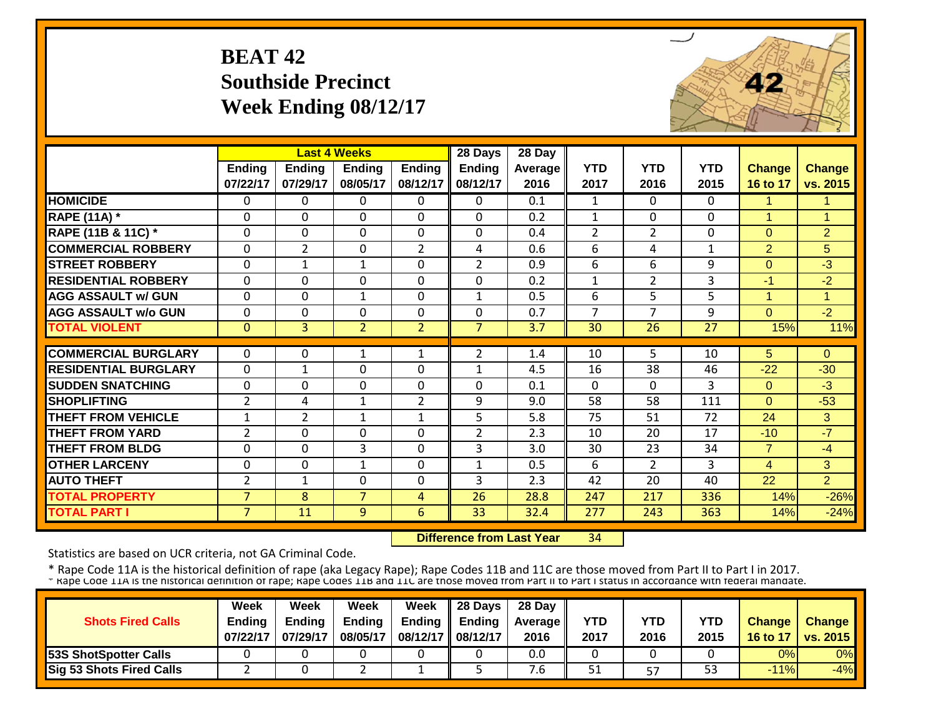### **BEAT 42Southside Precinct Week Ending 08/12/17**



|                             |                |                | <b>Last 4 Weeks</b> |                | 28 Days        | 28 Day  |                |                |              |                      |                |
|-----------------------------|----------------|----------------|---------------------|----------------|----------------|---------|----------------|----------------|--------------|----------------------|----------------|
|                             | Ending         | <b>Ending</b>  | <b>Ending</b>       | <b>Ending</b>  | <b>Ending</b>  | Average | <b>YTD</b>     | <b>YTD</b>     | <b>YTD</b>   | <b>Change</b>        | <b>Change</b>  |
|                             | 07/22/17       | 07/29/17       | 08/05/17            | 08/12/17       | 08/12/17       | 2016    | 2017           | 2016           | 2015         | 16 to 17             | vs. 2015       |
| <b>HOMICIDE</b>             | $\Omega$       | 0              | $\Omega$            | $\Omega$       | 0              | 0.1     | $\mathbf{1}$   | $\Omega$       | $\Omega$     | 4                    | 1.             |
| <b>RAPE (11A) *</b>         | $\Omega$       | $\Omega$       | $\Omega$            | $\Omega$       | 0              | 0.2     | $\mathbf{1}$   | $\Omega$       | $\mathbf{0}$ | $\overline{1}$       | 1              |
| RAPE (11B & 11C) *          | $\mathbf 0$    | 0              | $\Omega$            | $\mathbf 0$    | 0              | 0.4     | $\overline{2}$ | $\overline{2}$ | $\mathbf{0}$ | $\Omega$             | $\overline{2}$ |
| <b>COMMERCIAL ROBBERY</b>   | $\mathbf{0}$   | $\overline{2}$ | $\Omega$            | $\overline{2}$ | 4              | 0.6     | 6              | 4              | $\mathbf{1}$ | 2                    | 5              |
| <b>STREET ROBBERY</b>       | $\mathbf 0$    | 1              | $\mathbf{1}$        | $\Omega$       | $\overline{2}$ | 0.9     | 6              | 6              | 9            | $\Omega$             | $-3$           |
| <b>RESIDENTIAL ROBBERY</b>  | $\Omega$       | $\Omega$       | $\Omega$            | $\Omega$       | $\Omega$       | 0.2     | $\mathbf{1}$   | $\overline{2}$ | 3            | $-1$                 | $-2$           |
| <b>AGG ASSAULT w/ GUN</b>   | $\mathbf 0$    | 0              | 1                   | $\mathbf 0$    | $\mathbf{1}$   | 0.5     | 6              | 5              | 5            | $\blacktriangleleft$ | $\mathbf{1}$   |
| <b>AGG ASSAULT w/o GUN</b>  | $\mathbf{0}$   | 0              | $\Omega$            | $\Omega$       | 0              | 0.7     | 7              | $\overline{7}$ | 9            | $\Omega$             | $-2$           |
| <b>TOTAL VIOLENT</b>        | $\mathbf{0}$   | $\overline{3}$ | $\overline{2}$      | $\overline{2}$ | $\overline{7}$ | 3.7     | 30             | 26             | 27           | 15%                  | 11%            |
|                             |                |                |                     |                |                |         |                |                |              |                      |                |
| <b>COMMERCIAL BURGLARY</b>  | $\Omega$       | 0              | 1                   | 1              | 2              | 1.4     | 10             | 5.             | 10           | 5                    | $\Omega$       |
| <b>RESIDENTIAL BURGLARY</b> | $\mathbf{0}$   | $\mathbf{1}$   | $\Omega$            | $\Omega$       | $\mathbf{1}$   | 4.5     | 16             | 38             | 46           | $-22$                | $-30$          |
| <b>SUDDEN SNATCHING</b>     | $\mathbf{0}$   | 0              | $\Omega$            | $\Omega$       | 0              | 0.1     | $\Omega$       | $\Omega$       | 3            | $\Omega$             | $-3$           |
| <b>SHOPLIFTING</b>          | $\overline{2}$ | 4              | $\mathbf 1$         | $\overline{2}$ | 9              | 9.0     | 58             | 58             | 111          | $\Omega$             | $-53$          |
| <b>THEFT FROM VEHICLE</b>   | 1              | $\overline{2}$ | 1                   | 1              | 5              | 5.8     | 75             | 51             | 72           | 24                   | 3              |
| <b>THEFT FROM YARD</b>      | $\overline{2}$ | 0              | $\Omega$            | $\Omega$       | $\overline{2}$ | 2.3     | 10             | 20             | 17           | $-10$                | $-7$           |
| <b>THEFT FROM BLDG</b>      | $\Omega$       | 0              | 3                   | $\Omega$       | $\overline{3}$ | 3.0     | 30             | 23             | 34           | $\overline{7}$       | $-4$           |
| <b>OTHER LARCENY</b>        | $\Omega$       | $\Omega$       | $\mathbf{1}$        | $\Omega$       | 1              | 0.5     | 6              | $\overline{2}$ | 3            | $\overline{4}$       | 3              |
| <b>AUTO THEFT</b>           | $\overline{2}$ | 1              | $\Omega$            | $\Omega$       | 3              | 2.3     | 42             | 20             | 40           | 22                   | $\overline{2}$ |
| <b>TOTAL PROPERTY</b>       | $\overline{7}$ | 8              | 7                   | 4              | 26             | 28.8    | 247            | 217            | 336          | 14%                  | $-26%$         |
| <b>TOTAL PART I</b>         | $\overline{7}$ | 11             | 9                   | 6              | 33             | 32.4    | 277            | 243            | 363          | 14%                  | $-24%$         |

 **Difference from Last Year**34

Statistics are based on UCR criteria, not GA Criminal Code.

|                                 | Week          | Week          | Week          | <b>Week</b>         | $\parallel$ 28 Days       | 28 Day            |      |      |      |               |                 |
|---------------------------------|---------------|---------------|---------------|---------------------|---------------------------|-------------------|------|------|------|---------------|-----------------|
| <b>Shots Fired Calls</b>        | <b>Endina</b> | <b>Ending</b> | <b>Ending</b> |                     | Ending $\parallel$ Ending | <b>Average</b> II | YTD  | YTD  | YTD  | <b>Change</b> | <b>Change</b>   |
|                                 | 07/22/17      | 07/29/17      | 08/05/17      | 08/12/17   08/12/17 |                           | 2016              | 2017 | 2016 | 2015 | 16 to 17      | <b>vs. 2015</b> |
| <b>53S ShotSpotter Calls</b>    |               |               |               |                     |                           | 0.0               |      |      |      | 0%            | 0%              |
| <b>Sig 53 Shots Fired Calls</b> |               |               |               |                     |                           | .b                | 51   | 57   | 53   | $-11%$        | $-4%$           |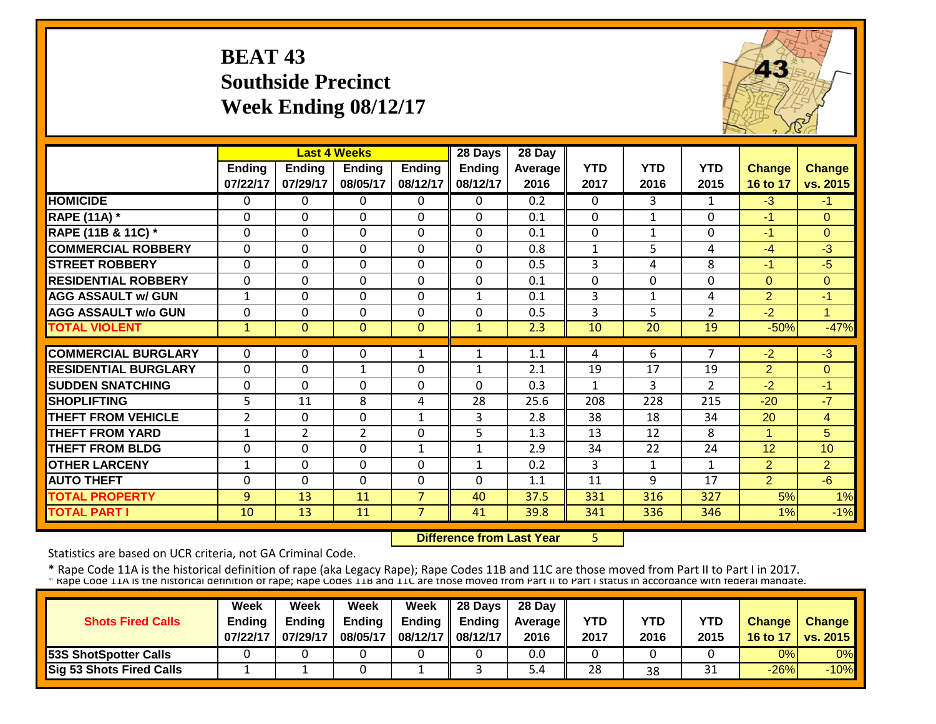### **BEAT 43 Southside Precinct Week Ending 08/12/17**



|                             |                           |                           | <b>Last 4 Weeks</b>       |                    | 28 Days                   | 28 Day             |                    |                    |                    |                           |                           |
|-----------------------------|---------------------------|---------------------------|---------------------------|--------------------|---------------------------|--------------------|--------------------|--------------------|--------------------|---------------------------|---------------------------|
|                             | <b>Ending</b><br>07/22/17 | <b>Ending</b><br>07/29/17 | <b>Ending</b><br>08/05/17 | Ending<br>08/12/17 | <b>Ending</b><br>08/12/17 | Average   <br>2016 | <b>YTD</b><br>2017 | <b>YTD</b><br>2016 | <b>YTD</b><br>2015 | <b>Change</b><br>16 to 17 | <b>Change</b><br>vs. 2015 |
| <b>HOMICIDE</b>             | $\Omega$                  | 0                         | $\Omega$                  | $\Omega$           | $\Omega$                  | 0.2                | $\Omega$           | $\mathbf{3}$       | $\mathbf{1}$       | $-3$                      | $-1$                      |
| <b>RAPE (11A) *</b>         | $\Omega$                  | $\Omega$                  | $\Omega$                  | $\Omega$           | $\Omega$                  | 0.1                | $\Omega$           | $\mathbf{1}$       | $\Omega$           | $-1$                      | $\Omega$                  |
| RAPE (11B & 11C) *          | $\mathbf{0}$              | 0                         | $\mathbf 0$               | $\Omega$           | $\Omega$                  | 0.1                | $\mathbf 0$        | $\mathbf{1}$       | $\Omega$           | $-1$                      | $\mathbf{0}$              |
| <b>COMMERCIAL ROBBERY</b>   | $\Omega$                  | 0                         | $\mathbf 0$               | $\Omega$           | $\Omega$                  | 0.8                | $\mathbf{1}$       | 5                  | 4                  | $-4$                      | $-3$                      |
| <b>STREET ROBBERY</b>       | $\mathbf 0$               | 0                         | $\mathbf 0$               | $\mathbf 0$        | $\mathbf 0$               | 0.5                | 3                  | 4                  | 8                  | $-1$                      | $-5$                      |
| <b>RESIDENTIAL ROBBERY</b>  | $\Omega$                  | 0                         | 0                         | 0                  | $\Omega$                  | 0.1                | $\Omega$           | $\Omega$           | $\Omega$           | $\Omega$                  | $\Omega$                  |
| <b>AGG ASSAULT w/ GUN</b>   | $\mathbf{1}$              | 0                         | $\mathbf 0$               | 0                  | 1                         | 0.1                | $\overline{3}$     | $\mathbf{1}$       | 4                  | $\overline{2}$            | $-1$                      |
| <b>AGG ASSAULT w/o GUN</b>  | $\mathbf 0$               | 0                         | $\mathbf 0$               | 0                  | 0                         | 0.5                | 3                  | 5                  | $\overline{2}$     | $-2$                      | $\overline{1}$            |
| <b>TOTAL VIOLENT</b>        | $\vert$ 1                 | $\overline{0}$            | $\mathbf{0}$              | $\mathbf{0}$       | $\mathbf{1}$              | 2.3                | 10                 | 20                 | 19                 | $-50%$                    | $-47%$                    |
|                             |                           |                           |                           |                    |                           |                    |                    |                    |                    |                           |                           |
| <b>COMMERCIAL BURGLARY</b>  | $\Omega$                  | 0                         | 0                         | 1                  | $\mathbf{1}$              | 1.1                | 4                  | 6                  | $\overline{7}$     | $-2$                      | $\overline{\cdot}$        |
| <b>RESIDENTIAL BURGLARY</b> | $\mathbf{0}$              | 0                         | $\mathbf{1}$              | $\Omega$           | $\mathbf{1}$              | 2.1                | 19                 | 17                 | 19                 | $\overline{2}$            | $\Omega$                  |
| <b>SUDDEN SNATCHING</b>     | $\Omega$                  | 0                         | $\Omega$                  | $\Omega$           | $\Omega$                  | 0.3                | $\mathbf{1}$       | 3                  | $\overline{2}$     | $-2$                      | $-1$                      |
| <b>SHOPLIFTING</b>          | 5                         | 11                        | 8                         | 4                  | 28                        | 25.6               | 208                | 228                | 215                | $-20$                     | $-7$                      |
| <b>THEFT FROM VEHICLE</b>   | $\overline{2}$            | 0                         | $\Omega$                  | 1                  | 3                         | 2.8                | 38                 | 18                 | 34                 | 20                        | $\overline{4}$            |
| <b>THEFT FROM YARD</b>      | $\mathbf{1}$              | $\overline{2}$            | $\overline{2}$            | $\Omega$           | 5                         | 1.3                | 13                 | 12                 | 8                  | $\blacktriangleleft$      | 5                         |
| <b>THEFT FROM BLDG</b>      | $\Omega$                  | 0                         | 0                         | $\mathbf{1}$       | $\mathbf{1}$              | 2.9                | 34                 | 22                 | 24                 | 12                        | 10                        |
| <b>OTHER LARCENY</b>        | 1                         | 0                         | 0                         | $\Omega$           | $\mathbf{1}$              | 0.2                | 3                  | 1                  | $\mathbf{1}$       | 2                         | $\overline{2}$            |
| <b>AUTO THEFT</b>           | $\Omega$                  | $\Omega$                  | $\mathbf 0$               | $\Omega$           | $\Omega$                  | 1.1                | 11                 | 9                  | 17                 | $\overline{2}$            | $-6$                      |
| <b>TOTAL PROPERTY</b>       | 9                         | 13                        | 11                        | $\overline{7}$     | 40                        | 37.5               | 331                | 316                | 327                | 5%                        | 1%                        |
| <b>TOTAL PART I</b>         | 10                        | 13                        | 11                        | $\overline{7}$     | 41                        | 39.8               | 341                | 336                | 346                | 1%                        | $-1%$                     |

 **Difference from Last Year**

5

Statistics are based on UCR criteria, not GA Criminal Code.

|                                 | Week          | Week          | Week          | <b>Week</b>         | $\parallel$ 28 Days       | 28 Day            |      |      |      |               |                 |
|---------------------------------|---------------|---------------|---------------|---------------------|---------------------------|-------------------|------|------|------|---------------|-----------------|
| <b>Shots Fired Calls</b>        | <b>Endina</b> | <b>Ending</b> | <b>Ending</b> |                     | Ending $\parallel$ Ending | <b>Average</b> II | YTD  | YTD  | YTD  | <b>Change</b> | <b>Change</b>   |
|                                 | 07/22/17      | 07/29/17      | 08/05/17      | 08/12/17   08/12/17 |                           | 2016              | 2017 | 2016 | 2015 | 16 to 17      | <b>vs. 2015</b> |
| <b>53S ShotSpotter Calls</b>    |               |               |               |                     |                           | 0.0               |      |      |      | 0%            | 0%              |
| <b>Sig 53 Shots Fired Calls</b> |               |               |               |                     |                           | . 4د              | 28   | 38   | 31   | $-26%$        | $-10%$          |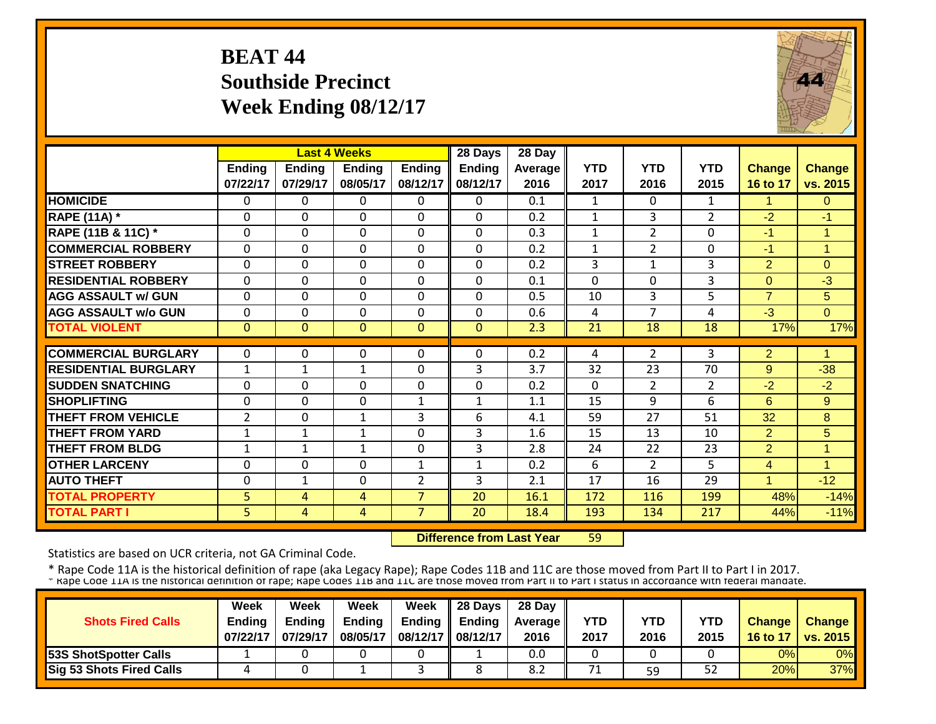## **BEAT 44 Southside Precinct Week Ending 08/12/17**



|                             |                           |                           | <b>Last 4 Weeks</b>       |                           | 28 Days                   | 28 Day          |                    |                    |                    |                           |                           |
|-----------------------------|---------------------------|---------------------------|---------------------------|---------------------------|---------------------------|-----------------|--------------------|--------------------|--------------------|---------------------------|---------------------------|
|                             | <b>Ending</b><br>07/22/17 | <b>Ending</b><br>07/29/17 | <b>Ending</b><br>08/05/17 | <b>Ending</b><br>08/12/17 | <b>Ending</b><br>08/12/17 | Average<br>2016 | <b>YTD</b><br>2017 | <b>YTD</b><br>2016 | <b>YTD</b><br>2015 | <b>Change</b><br>16 to 17 | <b>Change</b><br>vs. 2015 |
| <b>HOMICIDE</b>             | $\Omega$                  | 0                         | 0                         | $\Omega$                  | 0                         | 0.1             | $\mathbf{1}$       | $\Omega$           | $\mathbf{1}$       | 1                         | $\Omega$                  |
| <b>RAPE (11A)</b> *         | $\Omega$                  | $\Omega$                  | $\Omega$                  | $\Omega$                  | 0                         | 0.2             | $\mathbf{1}$       | 3                  | $\overline{2}$     | $-2$                      | -1                        |
| RAPE (11B & 11C) *          | $\mathbf 0$               | 0                         | $\Omega$                  | $\mathbf 0$               | 0                         | 0.3             | $\mathbf{1}$       | $\overline{2}$     | $\mathbf 0$        | $-1$                      | $\overline{1}$            |
| <b>COMMERCIAL ROBBERY</b>   | $\mathbf{0}$              | 0                         | $\Omega$                  | $\Omega$                  | 0                         | 0.2             | $\mathbf{1}$       | $\overline{2}$     | $\Omega$           | $-1$                      | 1                         |
| <b>STREET ROBBERY</b>       | $\mathbf 0$               | 0                         | $\mathbf 0$               | $\mathbf 0$               | 0                         | 0.2             | 3                  | 1                  | 3                  | $\overline{2}$            | $\Omega$                  |
| <b>RESIDENTIAL ROBBERY</b>  | $\mathbf{0}$              | 0                         | $\Omega$                  | $\Omega$                  | 0                         | 0.1             | $\Omega$           | $\Omega$           | 3                  | $\Omega$                  | $-3$                      |
| <b>AGG ASSAULT w/ GUN</b>   | $\mathbf{0}$              | 0                         | $\Omega$                  | $\Omega$                  | 0                         | 0.5             | 10                 | 3                  | 5                  | $\overline{7}$            | 5                         |
| <b>AGG ASSAULT w/o GUN</b>  | $\Omega$                  | 0                         | $\Omega$                  | $\Omega$                  | 0                         | 0.6             | 4                  | $\overline{ }$     | 4                  | $-3$                      | $\Omega$                  |
| <b>TOTAL VIOLENT</b>        | $\mathbf{0}$              | $\Omega$                  | $\Omega$                  | $\mathbf{0}$              | $\Omega$                  | 2.3             | 21                 | 18                 | 18                 | 17%                       | 17%                       |
| <b>COMMERCIAL BURGLARY</b>  | $\Omega$                  | 0                         | $\Omega$                  | $\Omega$                  | $\Omega$                  | 0.2             | 4                  | $\overline{2}$     | 3                  | $\overline{2}$            | 4                         |
| <b>RESIDENTIAL BURGLARY</b> | 1                         | 1                         | 1                         | $\Omega$                  | 3                         | 3.7             | 32                 | 23                 | 70                 | 9                         | $-38$                     |
| <b>SUDDEN SNATCHING</b>     | $\Omega$                  | 0                         | $\Omega$                  | $\Omega$                  | 0                         | 0.2             | $\Omega$           | $\overline{2}$     | 2                  | $-2$                      | $-2$                      |
| <b>SHOPLIFTING</b>          | $\Omega$                  | $\Omega$                  | $\Omega$                  | 1                         | 1                         | 1.1             | 15                 | 9                  | 6                  | 6                         | 9                         |
| <b>THEFT FROM VEHICLE</b>   | $\overline{2}$            | 0                         | 1                         | 3                         | 6                         | 4.1             | 59                 | 27                 | 51                 | 32                        | 8                         |
| <b>THEFT FROM YARD</b>      | 1                         | $\mathbf{1}$              | 1                         | $\Omega$                  | 3                         | 1.6             | 15                 | 13                 | 10                 | $\overline{2}$            | 5                         |
| <b>THEFT FROM BLDG</b>      | 1                         | $\mathbf{1}$              | 1                         | $\Omega$                  | 3                         | 2.8             | 24                 | 22                 | 23                 | $\overline{2}$            | 1                         |
| <b>OTHER LARCENY</b>        | $\mathbf{0}$              | 0                         | $\Omega$                  | $\mathbf{1}$              | $\mathbf{1}$              | 0.2             | 6                  | $\overline{2}$     | 5                  | $\overline{4}$            | $\mathbf{1}$              |
| <b>AUTO THEFT</b>           | $\mathbf{0}$              | $\mathbf{1}$              | $\Omega$                  | $\overline{2}$            | 3                         | 2.1             | 17                 | 16                 | 29                 | $\overline{A}$            | $-12$                     |
| <b>TOTAL PROPERTY</b>       | 5                         | 4                         | 4                         | $\overline{7}$            | 20                        | 16.1            | 172                | 116                | 199                | 48%                       | $-14%$                    |
| <b>TOTAL PART I</b>         | 5 <sup>1</sup>            | 4                         | 4                         | $\overline{7}$            | 20                        | 18.4            | 193                | 134                | 217                | 44%                       | $-11%$                    |

 **Difference from Last Year**59

Statistics are based on UCR criteria, not GA Criminal Code.

|                                 | Week          | Week     | Week          | Week                | 28 Days       | 28 Day            |      |            |            |               |                          |
|---------------------------------|---------------|----------|---------------|---------------------|---------------|-------------------|------|------------|------------|---------------|--------------------------|
| <b>Shots Fired Calls</b>        | <b>Ending</b> | Endina   | <b>Ending</b> | Ending              | <b>Ending</b> | <b>Average II</b> | YTD  | <b>YTD</b> | <b>YTD</b> | <b>Change</b> | Change                   |
|                                 | 07/22/17      | 07/29/17 | 08/05/17      | 08/12/17   08/12/17 |               | 2016              | 2017 | 2016       | 2015       | 16 to 17      | $\vert$ vs. 2015 $\vert$ |
| <b>153S ShotSpotter Calls</b>   |               |          |               |                     |               | 0.0               |      |            |            | 0%            | 0%                       |
| <b>Sig 53 Shots Fired Calls</b> |               |          |               |                     |               | 8.2               | 71   | 59         | 52         | 20%           | 37%                      |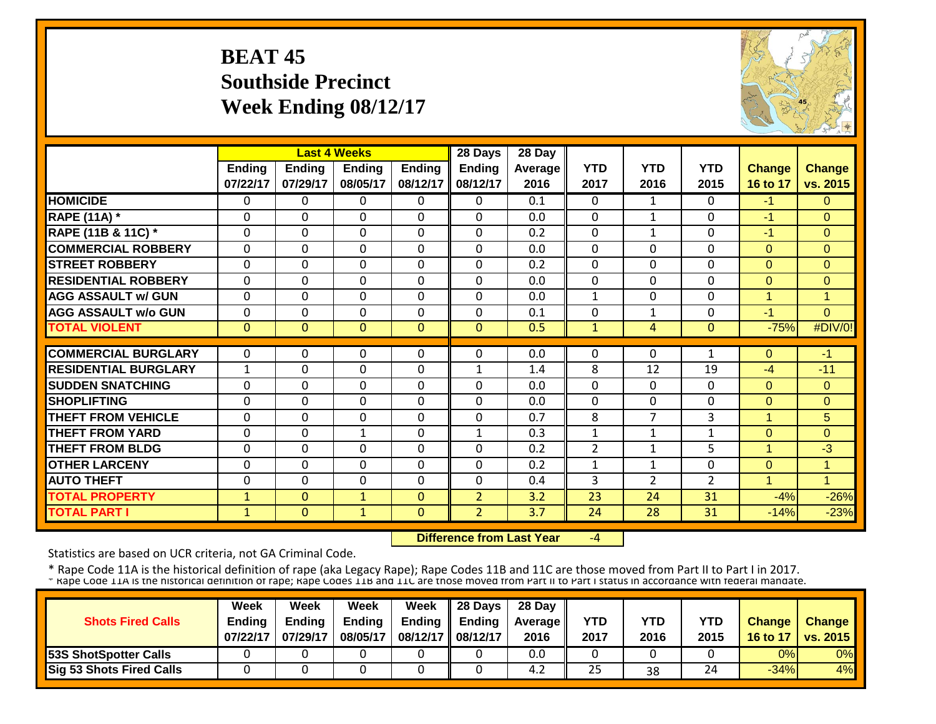# **BEAT 45 Southside Precinct Week Ending 08/12/17**



|                             |               |               | <b>Last 4 Weeks</b> |                | 28 Days        | 28 Day         |                |                |                |                      |               |
|-----------------------------|---------------|---------------|---------------------|----------------|----------------|----------------|----------------|----------------|----------------|----------------------|---------------|
|                             | <b>Ending</b> | <b>Ending</b> | <b>Ending</b>       | <b>Ending</b>  | <b>Ending</b>  | <b>Average</b> | <b>YTD</b>     | <b>YTD</b>     | <b>YTD</b>     | <b>Change</b>        | <b>Change</b> |
|                             | 07/22/17      | 07/29/17      | 08/05/17            | 08/12/17       | 08/12/17       | 2016           | 2017           | 2016           | 2015           | 16 to 17             | vs. 2015      |
| <b>HOMICIDE</b>             | $\mathbf{0}$  | 0             | $\Omega$            | $\Omega$       | $\Omega$       | 0.1            | $\Omega$       | $\mathbf{1}$   | $\Omega$       | $-1$                 | $\Omega$      |
| <b>RAPE (11A) *</b>         | $\Omega$      | $\Omega$      | $\Omega$            | $\Omega$       | $\Omega$       | 0.0            | $\mathbf 0$    | 1              | $\Omega$       | $-1$                 | $\Omega$      |
| RAPE (11B & 11C) *          | $\mathbf 0$   | 0             | $\mathbf 0$         | $\mathbf 0$    | $\mathbf 0$    | 0.2            | $\mathbf 0$    | $\mathbf{1}$   | $\Omega$       | $-1$                 | $\Omega$      |
| <b>COMMERCIAL ROBBERY</b>   | $\Omega$      | $\Omega$      | $\mathbf 0$         | $\Omega$       | $\mathbf 0$    | 0.0            | $\mathbf 0$    | $\Omega$       | $\Omega$       | $\Omega$             | $\Omega$      |
| <b>STREET ROBBERY</b>       | $\mathbf 0$   | 0             | $\mathbf 0$         | $\mathbf 0$    | $\mathbf 0$    | 0.2            | $\mathbf 0$    | $\Omega$       | 0              | $\Omega$             | $\Omega$      |
| <b>RESIDENTIAL ROBBERY</b>  | $\mathbf 0$   | $\Omega$      | $\mathbf 0$         | $\overline{0}$ | $\overline{0}$ | 0.0            | $\mathbf 0$    | $\Omega$       | 0              | $\mathbf{0}$         | $\Omega$      |
| <b>AGG ASSAULT w/ GUN</b>   | $\Omega$      | 0             | 0                   | $\Omega$       | $\mathbf{0}$   | 0.0            | $\mathbf{1}$   | $\Omega$       | 0              | $\overline{1}$       | 1             |
| <b>AGG ASSAULT w/o GUN</b>  | $\Omega$      | 0             | $\Omega$            | $\Omega$       | $\Omega$       | 0.1            | 0              | $\mathbf{1}$   | 0              | $-1$                 | $\Omega$      |
| <b>TOTAL VIOLENT</b>        | $\mathbf{0}$  | $\Omega$      | $\Omega$            | $\Omega$       | $\Omega$       | 0.5            | $\mathbf{1}$   | 4              | $\mathbf{0}$   | $-75%$               | #DIV/0!       |
|                             |               |               |                     |                |                |                |                |                |                |                      |               |
| <b>COMMERCIAL BURGLARY</b>  | $\Omega$      | 0             | 0                   | $\Omega$       | $\Omega$       | 0.0            | $\mathbf{0}$   | $\Omega$       | $\mathbf{1}$   | $\Omega$             | $-1$          |
| <b>RESIDENTIAL BURGLARY</b> | $\mathbf{1}$  | 0             | $\Omega$            | 0              | $\mathbf{1}$   | 1.4            | 8              | 12             | 19             | $-4$                 | $-11$         |
| <b>SUDDEN SNATCHING</b>     | $\mathbf 0$   | 0             | $\mathbf 0$         | 0              | $\mathbf{0}$   | 0.0            | $\mathbf 0$    | $\Omega$       | 0              | $\Omega$             | $\Omega$      |
| <b>SHOPLIFTING</b>          | $\Omega$      | $\Omega$      | $\Omega$            | $\Omega$       | $\Omega$       | 0.0            | $\Omega$       | $\Omega$       | $\Omega$       | $\Omega$             | $\Omega$      |
| <b>THEFT FROM VEHICLE</b>   | $\mathbf{0}$  | 0             | $\Omega$            | 0              | $\Omega$       | 0.7            | 8              | $\overline{7}$ | 3              | -1                   | 5             |
| <b>THEFT FROM YARD</b>      | $\Omega$      | $\Omega$      | $\mathbf{1}$        | $\Omega$       | $\mathbf{1}$   | 0.3            | 1              | 1              | 1              | $\Omega$             | $\Omega$      |
| <b>THEFT FROM BLDG</b>      | $\Omega$      | 0             | $\Omega$            | $\Omega$       | $\Omega$       | 0.2            | $\overline{2}$ | 1              | 5              | -1                   | $-3$          |
| <b>OTHER LARCENY</b>        | $\Omega$      | 0             | $\Omega$            | 0              | $\Omega$       | 0.2            | 1              | $\mathbf{1}$   | 0              | $\Omega$             | 1             |
| <b>AUTO THEFT</b>           | $\Omega$      | 0             | $\Omega$            | $\Omega$       | $\mathbf{0}$   | 0.4            | 3              | $\overline{2}$ | $\overline{2}$ | $\blacktriangleleft$ | $\mathbf{1}$  |
| <b>TOTAL PROPERTY</b>       | $\mathbf{1}$  | $\mathbf{0}$  | $\mathbf{1}$        | $\mathbf{0}$   | $\overline{2}$ | 3.2            | 23             | 24             | 31             | $-4%$                | $-26%$        |
| <b>TOTAL PART I</b>         | $\mathbf{1}$  | $\mathbf{0}$  | $\mathbf{1}$        | $\mathbf{0}$   | $\overline{2}$ | 3.7            | 24             | 28             | 31             | $-14%$               | $-23%$        |

 **Difference from Last Year**‐4

Statistics are based on UCR criteria, not GA Criminal Code.

|                              | <b>Week</b>   | Week          | Week          | Week                | $\parallel$ 28 Days       | 28 Day            |            |      |      |               |                 |
|------------------------------|---------------|---------------|---------------|---------------------|---------------------------|-------------------|------------|------|------|---------------|-----------------|
| <b>Shots Fired Calls</b>     | <b>Endina</b> | <b>Ending</b> | <b>Ending</b> |                     | Ending $\parallel$ Ending | <b>Average</b> II | <b>YTD</b> | YTD  | YTD  | <b>Change</b> | <b>Change</b>   |
|                              | 07/22/17      | 07/29/17      | 08/05/17      | 08/12/17   08/12/17 |                           | 2016              | 2017       | 2016 | 2015 | 16 to 17      | <b>vs. 2015</b> |
| <b>53S ShotSpotter Calls</b> |               |               |               |                     |                           | 0.0               |            |      |      | 0%            | 0%              |
| Sig 53 Shots Fired Calls     |               |               |               |                     |                           | 4.2               | 25         | 38   | 24   | $-34%$        | 4%              |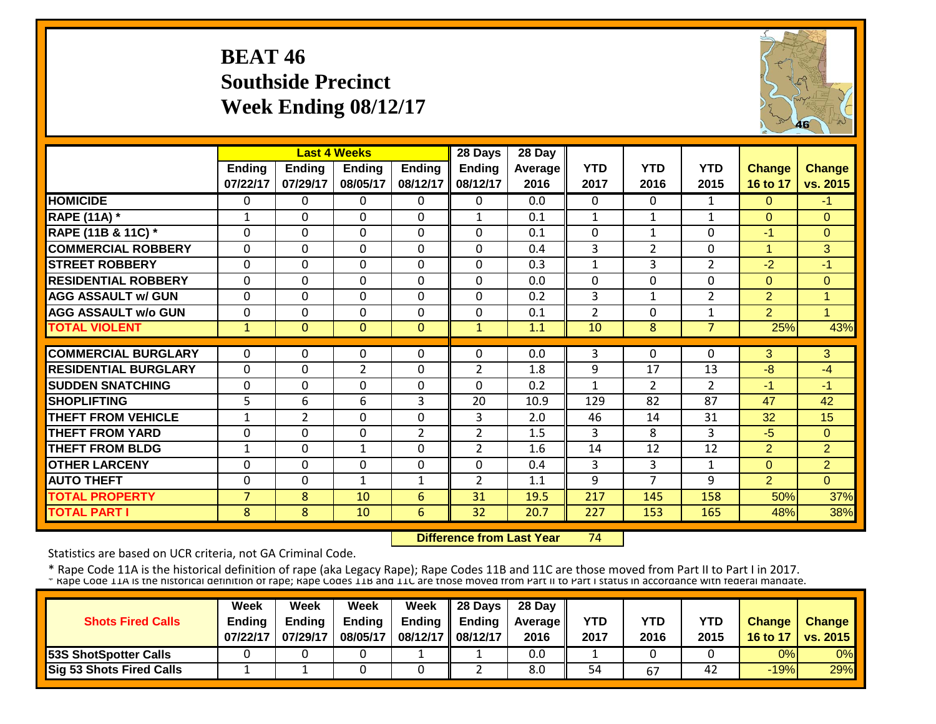## **BEAT 46 Southside Precinct Week Ending 08/12/17**



|                             |                | <b>Last 4 Weeks</b> |                |                | 28 Days        | 28 Day  |                |                |                |                      |                |
|-----------------------------|----------------|---------------------|----------------|----------------|----------------|---------|----------------|----------------|----------------|----------------------|----------------|
|                             | Ending         | <b>Ending</b>       | <b>Ending</b>  | Ending         | <b>Ending</b>  | Average | <b>YTD</b>     | <b>YTD</b>     | <b>YTD</b>     | <b>Change</b>        | <b>Change</b>  |
|                             | 07/22/17       | 07/29/17            | 08/05/17       | 08/12/17       | 08/12/17       | 2016    | 2017           | 2016           | 2015           | 16 to 17             | vs. 2015       |
| <b>HOMICIDE</b>             | $\Omega$       | 0                   | $\Omega$       | 0              | 0              | 0.0     | $\Omega$       | $\Omega$       | $\mathbf{1}$   | $\Omega$             | $-1$           |
| <b>RAPE (11A) *</b>         | $\mathbf{1}$   | 0                   | $\Omega$       | $\Omega$       | $\mathbf{1}$   | 0.1     | $\mathbf{1}$   | $\mathbf{1}$   | $\mathbf{1}$   | $\Omega$             | $\Omega$       |
| RAPE (11B & 11C) *          | $\mathbf 0$    | 0                   | $\mathbf 0$    | 0              | $\Omega$       | 0.1     | $\overline{0}$ | $\mathbf{1}$   | 0              | $-1$                 | $\Omega$       |
| <b>COMMERCIAL ROBBERY</b>   | $\Omega$       | 0                   | $\Omega$       | 0              | $\Omega$       | 0.4     | $\overline{3}$ | $\overline{2}$ | 0              | $\blacktriangleleft$ | 3              |
| <b>STREET ROBBERY</b>       | $\mathbf{0}$   | 0                   | $\overline{0}$ | $\Omega$       | $\mathbf{0}$   | 0.3     | $\mathbf{1}$   | 3              | $\overline{2}$ | $-2$                 | $-1$           |
| <b>RESIDENTIAL ROBBERY</b>  | $\mathbf{0}$   | $\Omega$            | $\mathbf 0$    | $\Omega$       | $\Omega$       | 0.0     | $\Omega$       | $\Omega$       | 0              | $\Omega$             | $\Omega$       |
| <b>AGG ASSAULT w/ GUN</b>   | $\Omega$       | 0                   | $\mathbf 0$    | $\Omega$       | $\Omega$       | 0.2     | 3              | $\mathbf{1}$   | $\overline{2}$ | 2                    | 1              |
| <b>AGG ASSAULT w/o GUN</b>  | $\mathbf{0}$   | 0                   | $\mathbf 0$    | $\mathbf 0$    | 0              | 0.1     | $\overline{2}$ | 0              | $\mathbf{1}$   | 2                    | -4             |
| <b>TOTAL VIOLENT</b>        | $\mathbf{1}$   | $\overline{0}$      | $\Omega$       | $\Omega$       | $\mathbf{1}$   | 1.1     | 10             | 8              | $\overline{7}$ | 25%                  | 43%            |
|                             |                |                     |                |                |                |         |                |                |                |                      |                |
| <b>COMMERCIAL BURGLARY</b>  | $\Omega$       | 0                   | $\mathbf 0$    | 0              | 0              | 0.0     | 3              | 0              | 0              | 3                    | 3              |
| <b>RESIDENTIAL BURGLARY</b> | $\Omega$       | 0                   | $\overline{2}$ | $\Omega$       | $\overline{2}$ | 1.8     | 9              | 17             | 13             | $-8$                 | $-4$           |
| <b>SUDDEN SNATCHING</b>     | $\Omega$       | 0                   | 0              | $\Omega$       | $\Omega$       | 0.2     | 1              | $\overline{2}$ | $\overline{2}$ | $-1$                 | $-1$           |
| <b>SHOPLIFTING</b>          | 5              | 6                   | 6              | 3              | 20             | 10.9    | 129            | 82             | 87             | 47                   | 42             |
| <b>THEFT FROM VEHICLE</b>   | $\mathbf{1}$   | 2                   | $\Omega$       | $\Omega$       | 3              | 2.0     | 46             | 14             | 31             | 32                   | 15             |
| <b>THEFT FROM YARD</b>      | $\Omega$       | $\Omega$            | 0              | $\overline{2}$ | $\overline{2}$ | 1.5     | 3              | 8              | 3              | $-5$                 | $\Omega$       |
| <b>THEFT FROM BLDG</b>      | $\mathbf{1}$   | 0                   | 1              | $\Omega$       | $\overline{2}$ | 1.6     | 14             | 12             | 12             | $\overline{2}$       | $\overline{2}$ |
| <b>OTHER LARCENY</b>        | $\Omega$       | $\Omega$            | $\Omega$       | $\Omega$       | $\Omega$       | 0.4     | 3              | 3              | 1              | $\Omega$             | $\overline{2}$ |
| <b>AUTO THEFT</b>           | $\Omega$       | 0                   | 1              | 1              | $\overline{2}$ | 1.1     | 9              | 7              | 9              | 2                    | $\Omega$       |
| <b>TOTAL PROPERTY</b>       | $\overline{7}$ | 8                   | 10             | 6              | 31             | 19.5    | 217            | 145            | 158            | 50%                  | 37%            |
| <b>TOTAL PART I</b>         | 8              | 8                   | 10             | 6              | 32             | 20.7    | 227            | 153            | 165            | 48%                  | 38%            |

 **Difference from Last Year**74

Statistics are based on UCR criteria, not GA Criminal Code.

|                                 | Week          | Week          | Week          | <b>Week</b>         | $\parallel$ 28 Days       | 28 Day            |      |      |      |               |                 |
|---------------------------------|---------------|---------------|---------------|---------------------|---------------------------|-------------------|------|------|------|---------------|-----------------|
| <b>Shots Fired Calls</b>        | <b>Endina</b> | <b>Ending</b> | <b>Ending</b> |                     | Ending $\parallel$ Ending | <b>Average</b> II | YTD  | YTD  | YTD  | <b>Change</b> | <b>Change</b>   |
|                                 | 07/22/17      | 07/29/17      | 08/05/17      | 08/12/17   08/12/17 |                           | 2016              | 2017 | 2016 | 2015 | 16 to 17      | <b>vs. 2015</b> |
| <b>53S ShotSpotter Calls</b>    |               |               |               |                     |                           | 0.0               |      |      |      | 0%            | 0%              |
| <b>Sig 53 Shots Fired Calls</b> |               |               |               |                     |                           | 8.0               | 54   | 67   | 42   | $-19%$        | 29%             |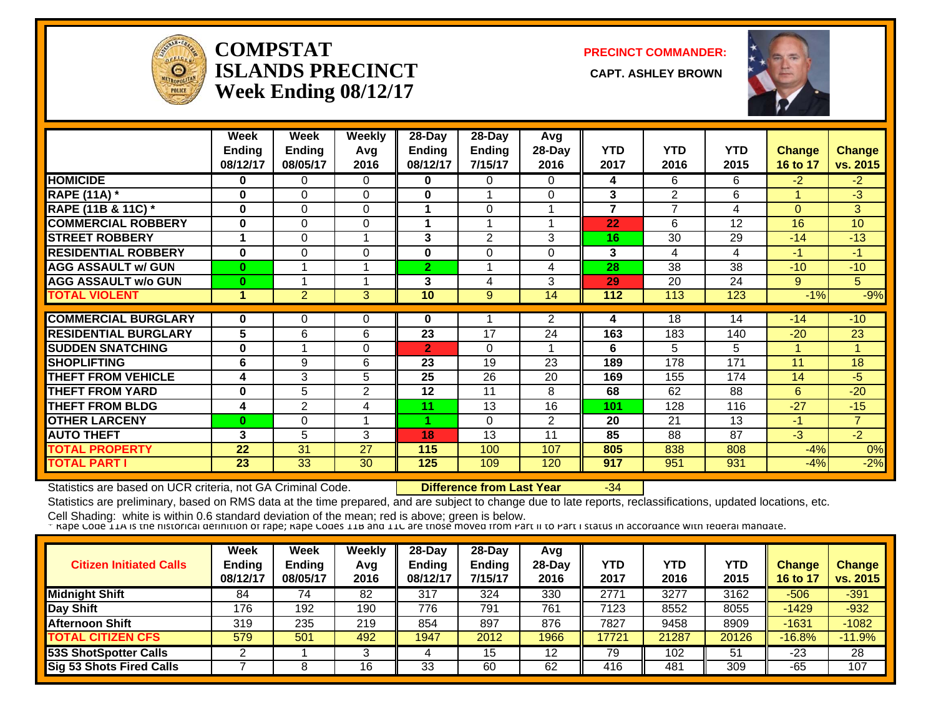

#### **COMPSTATISLANDS PRECINCT Week Ending 08/12/17**

**PRECINCT COMMANDER:**

**CAPT. ASHLEY BROWN** 



|                             | Week<br><b>Ending</b> | Week<br><b>Ending</b> | <b>Weekly</b><br>Avg | 28-Day<br><b>Ending</b> | 28-Day<br><b>Ending</b> | Avg<br>28-Day  | <b>YTD</b>     | <b>YTD</b>     | <b>YTD</b> | <b>Change</b> | <b>Change</b>   |
|-----------------------------|-----------------------|-----------------------|----------------------|-------------------------|-------------------------|----------------|----------------|----------------|------------|---------------|-----------------|
|                             | 08/12/17              | 08/05/17              | 2016                 | 08/12/17                | 7/15/17                 | 2016           | 2017           | 2016           | 2015       | 16 to 17      | vs. 2015        |
| <b>HOMICIDE</b>             | 0                     | 0                     | 0                    | 0                       | $\Omega$                | 0              | 4              | 6              | 6          | $-2$          | $-2$            |
| <b>RAPE (11A) *</b>         | 0                     | $\Omega$              | $\Omega$             | 0                       |                         | 0              | 3              | $\overline{2}$ | 6          |               | $-3$            |
| RAPE (11B & 11C) *          | $\bf{0}$              | $\Omega$              | $\Omega$             |                         | $\Omega$                |                | $\overline{7}$ | $\overline{7}$ | 4          | $\Omega$      | 3               |
| <b>COMMERCIAL ROBBERY</b>   | 0                     | $\Omega$              | $\Omega$             |                         |                         |                | 22             | 6              | 12         | 16            | 10 <sup>1</sup> |
| <b>STREET ROBBERY</b>       | 1                     | $\Omega$              | 1                    | 3                       | 2                       | 3              | 16             | 30             | 29         | $-14$         | $-13$           |
| <b>RESIDENTIAL ROBBERY</b>  | 0                     | 0                     | 0                    | 0                       | $\Omega$                | 0              | 3              | 4              | 4          | $-1$          | $-1$            |
| <b>AGG ASSAULT w/ GUN</b>   | $\bf{0}$              |                       |                      | $\overline{2}$          |                         | 4              | 28             | 38             | 38         | $-10$         | $-10$           |
| <b>AGG ASSAULT w/o GUN</b>  | $\bf{0}$              |                       |                      | 3                       | 4                       | 3              | 29             | 20             | 24         | 9             | 5.              |
| <b>TOTAL VIOLENT</b>        | 1                     | $\overline{2}$        | 3                    | 10                      | 9                       | 14             | 112            | 113            | 123        | $-1%$         | $-9%$           |
|                             |                       |                       |                      |                         |                         |                |                | 18             |            |               | $-10$           |
| <b>COMMERCIAL BURGLARY</b>  | $\bf{0}$              | 0                     | 0                    | 0                       |                         | $\overline{2}$ | 4              |                | 14         | $-14$         |                 |
| <b>RESIDENTIAL BURGLARY</b> | 5                     | 6                     | 6                    | 23                      | 17                      | 24             | 163            | 183            | 140        | $-20$         | 23              |
| <b>SUDDEN SNATCHING</b>     | 0                     |                       | 0                    | $\overline{2}$          | $\Omega$                |                | 6              | 5              | 5          |               | $\mathbf{1}$    |
| <b>SHOPLIFTING</b>          | 6                     | 9                     | 6                    | 23                      | 19                      | 23             | 189            | 178            | 171        | 11            | 18              |
| <b>THEFT FROM VEHICLE</b>   | 4                     | 3                     | 5                    | 25                      | 26                      | 20             | 169            | 155            | 174        | 14            | $-5$            |
| <b>THEFT FROM YARD</b>      | 0                     | 5                     | $\overline{2}$       | 12                      | 11                      | 8              | 68             | 62             | 88         | 6             | $-20$           |
| <b>THEFT FROM BLDG</b>      | 4                     | $\overline{2}$        | 4                    | 11                      | 13                      | 16             | 101            | 128            | 116        | $-27$         | $-15$           |
| <b>OTHER LARCENY</b>        | 0                     | 0                     | 4                    | 4                       | $\Omega$                | $\overline{2}$ | 20             | 21             | 13         | $-1$          | $\overline{7}$  |
| <b>AUTO THEFT</b>           | 3                     | 5                     | 3                    | 18                      | 13                      | 11             | 85             | 88             | 87         | $-3$          | $-2$            |
| <b>TOTAL PROPERTY</b>       | 22                    | 31                    | 27                   | 115                     | 100                     | 107            | 805            | 838            | 808        | $-4%$         | 0%              |
| TOTAL PART I                | 23                    | 33                    | 30                   | 125                     | 109                     | 120            | 917            | 951            | 931        | $-4%$         | $-2%$           |

Statistics are based on UCR criteria, not GA Criminal Code. **Difference from Last Year** -34

Statistics are preliminary, based on RMS data at the time prepared, and are subject to change due to late reports, reclassifications, updated locations, etc.

| <b>Citizen Initiated Calls</b>  | Week<br><b>Ending</b><br>08/12/17 | Week<br><b>Ending</b><br>08/05/17 | Weekly<br>Avg<br>2016 | 28-Day<br>Ending<br>08/12/17 | 28-Day<br><b>Ending</b><br>7/15/17 | Avg<br>$28-Day$<br>2016 | YTD<br>2017 | YTD<br>2016 | YTD<br>2015 | <b>Change</b><br>16 to 17 | <b>Change</b><br>vs. 2015 |
|---------------------------------|-----------------------------------|-----------------------------------|-----------------------|------------------------------|------------------------------------|-------------------------|-------------|-------------|-------------|---------------------------|---------------------------|
| <b>Midnight Shift</b>           | 84                                | 74                                | 82                    | 317                          | 324                                | 330                     | 2771        | 3277        | 3162        | $-506$                    | $-391$                    |
| Day Shift                       | 176                               | 192                               | 190                   | 776                          | 791                                | 761                     | 7123        | 8552        | 8055        | $-1429$                   | $-932$                    |
| <b>Afternoon Shift</b>          | 319                               | 235                               | 219                   | 854                          | 897                                | 876                     | 7827        | 9458        | 8909        | $-1631$                   | $-1082$                   |
| <b>TOTAL CITIZEN CFS</b>        | 579                               | 501                               | 492                   | 1947                         | 2012                               | 1966                    | 17721       | 21287       | 20126       | $-16.8%$                  | $-11.9%$                  |
| <b>53S ShotSpotter Calls</b>    |                                   |                                   |                       |                              | 15                                 | 12                      | 79          | 102         | 51          | -23                       | 28                        |
| <b>Sig 53 Shots Fired Calls</b> |                                   |                                   | 16                    | 33                           | 60                                 | 62                      | 416         | 481         | 309         | $-65$                     | 107                       |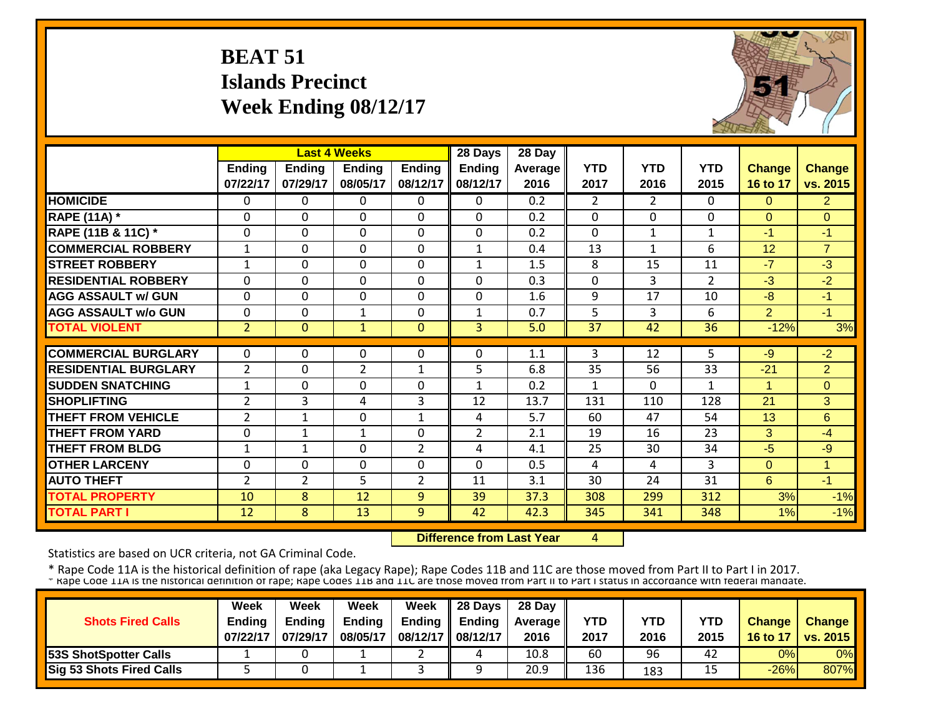# **BEAT 51 Islands Precinct Week Ending 08/12/17**



|                             |                           |                           | <b>Last 4 Weeks</b>       |                           | 28 Days                   | 28 Day          |                    |                    |                    |                           |                           |
|-----------------------------|---------------------------|---------------------------|---------------------------|---------------------------|---------------------------|-----------------|--------------------|--------------------|--------------------|---------------------------|---------------------------|
|                             | <b>Ending</b><br>07/22/17 | <b>Ending</b><br>07/29/17 | <b>Ending</b><br>08/05/17 | <b>Ending</b><br>08/12/17 | <b>Ending</b><br>08/12/17 | Average<br>2016 | <b>YTD</b><br>2017 | <b>YTD</b><br>2016 | <b>YTD</b><br>2015 | <b>Change</b><br>16 to 17 | <b>Change</b><br>vs. 2015 |
| <b>HOMICIDE</b>             | $\Omega$                  | 0                         | $\Omega$                  | $\Omega$                  | 0                         | 0.2             | $\overline{2}$     | $\overline{2}$     | 0                  | $\Omega$                  | 2 <sup>1</sup>            |
| <b>RAPE (11A) *</b>         | $\Omega$                  | 0                         | $\Omega$                  | $\Omega$                  | $\Omega$                  | 0.2             | $\mathbf{0}$       | $\Omega$           | 0                  | $\Omega$                  | $\Omega$                  |
| RAPE (11B & 11C) *          | $\mathbf{0}$              | 0                         | $\Omega$                  | $\Omega$                  | $\mathbf 0$               | 0.2             | $\mathbf{0}$       | $\mathbf{1}$       | $\mathbf{1}$       | $-1$                      | $-1$                      |
| <b>COMMERCIAL ROBBERY</b>   | $\mathbf{1}$              | $\Omega$                  | $\mathbf{0}$              | $\mathbf 0$               | $\mathbf{1}$              | 0.4             | 13                 | $\mathbf{1}$       | 6                  | 12                        | $\overline{7}$            |
| <b>STREET ROBBERY</b>       | $\mathbf{1}$              | 0                         | $\mathbf{0}$              | $\mathbf 0$               | $\mathbf{1}$              | 1.5             | 8                  | 15                 | 11                 | $-7$                      | $-3$                      |
| <b>RESIDENTIAL ROBBERY</b>  | $\Omega$                  | 0                         | $\Omega$                  | $\Omega$                  | 0                         | 0.3             | $\mathbf 0$        | 3                  | $\overline{2}$     | $-3$                      | $-2$                      |
| <b>AGG ASSAULT w/ GUN</b>   | $\Omega$                  | 0                         | $\Omega$                  | $\Omega$                  | 0                         | 1.6             | 9                  | 17                 | 10                 | $-8$                      | $-1$                      |
| <b>AGG ASSAULT w/o GUN</b>  | $\mathbf{0}$              | 0                         | 1                         | $\Omega$                  | $\mathbf{1}$              | 0.7             | 5                  | 3                  | 6                  | $\overline{2}$            | $-1$                      |
| <b>TOTAL VIOLENT</b>        | $\overline{2}$            | $\overline{0}$            | $\overline{1}$            | $\overline{0}$            | $\overline{3}$            | 5.0             | 37                 | 42                 | 36                 | $-12%$                    | 3%                        |
| <b>COMMERCIAL BURGLARY</b>  | $\Omega$                  | 0                         | 0                         | $\Omega$                  | $\Omega$                  | 1.1             | 3                  | 12                 | 5                  | $-9$                      | $-2$                      |
|                             |                           |                           |                           |                           |                           |                 |                    |                    |                    |                           |                           |
| <b>RESIDENTIAL BURGLARY</b> | $\overline{2}$            | 0                         | 2                         | 1                         | 5                         | 6.8             | 35                 | 56                 | 33                 | $-21$                     | $\overline{2}$            |
| <b>SUDDEN SNATCHING</b>     | $\mathbf{1}$              | 0                         | 0                         | $\mathbf 0$               | $\mathbf{1}$              | 0.2             | 1                  | $\Omega$           | $\mathbf{1}$       | $\overline{1}$            | $\Omega$                  |
| <b>SHOPLIFTING</b>          | $\overline{2}$            | 3                         | 4                         | 3                         | 12                        | 13.7            | 131                | 110                | 128                | 21                        | 3                         |
| <b>THEFT FROM VEHICLE</b>   | $\overline{2}$            | $\mathbf{1}$              | 0                         | $\mathbf{1}$              | 4                         | 5.7             | 60                 | 47                 | 54                 | 13                        | 6                         |
| <b>THEFT FROM YARD</b>      | $\mathbf 0$               | 1                         | 1                         | 0                         | $\overline{2}$            | 2.1             | 19                 | 16                 | 23                 | 3                         | $-4$                      |
| <b>THEFT FROM BLDG</b>      | 1                         | 1                         | 0                         | $\overline{2}$            | 4                         | 4.1             | 25                 | 30                 | 34                 | $-5$                      | $-9$                      |
| <b>OTHER LARCENY</b>        | $\mathbf{0}$              | 0                         | 0                         | 0                         | $\Omega$                  | 0.5             | 4                  | 4                  | 3                  | $\Omega$                  | $\overline{1}$            |
| <b>AUTO THEFT</b>           | $\overline{2}$            | $\overline{2}$            | 5                         | $\overline{2}$            | 11                        | 3.1             | 30                 | 24                 | 31                 | 6                         | $-1$                      |
| <b>TOTAL PROPERTY</b>       | 10                        | 8                         | 12                        | 9                         | 39                        | 37.3            | 308                | 299                | 312                | 3%                        | $-1%$                     |
| <b>TOTAL PART I</b>         | 12                        | 8                         | 13                        | 9                         | 42                        | 42.3            | 345                | 341                | 348                | 1%                        | $-1%$                     |

 **Difference from Last Year**4

Statistics are based on UCR criteria, not GA Criminal Code.

|                                 | Week          | Week          | Week          | Week          | 28 Days  | 28 Day            |      |      |      |               |                     |
|---------------------------------|---------------|---------------|---------------|---------------|----------|-------------------|------|------|------|---------------|---------------------|
| <b>Shots Fired Calls</b>        | <b>Ending</b> | <b>Endina</b> | <b>Ending</b> | <b>Ending</b> | Endina   | <b>Average II</b> | YTD  | YTD  | YTD  | <b>Change</b> | Change              |
|                                 | 07/22/17      | 07/29/17      | 08/05/17      | 08/12/17      | 08/12/17 | 2016              | 2017 | 2016 | 2015 |               | 16 to 17   vs. 2015 |
| <b>53S ShotSpotter Calls</b>    |               |               |               |               |          | 10.8              | 60   | 96   | 42   | 0%            | 0%                  |
| <b>Sig 53 Shots Fired Calls</b> |               |               |               |               |          | 20.9              | 136  | 183  | 15   | $-26%$        | 807%                |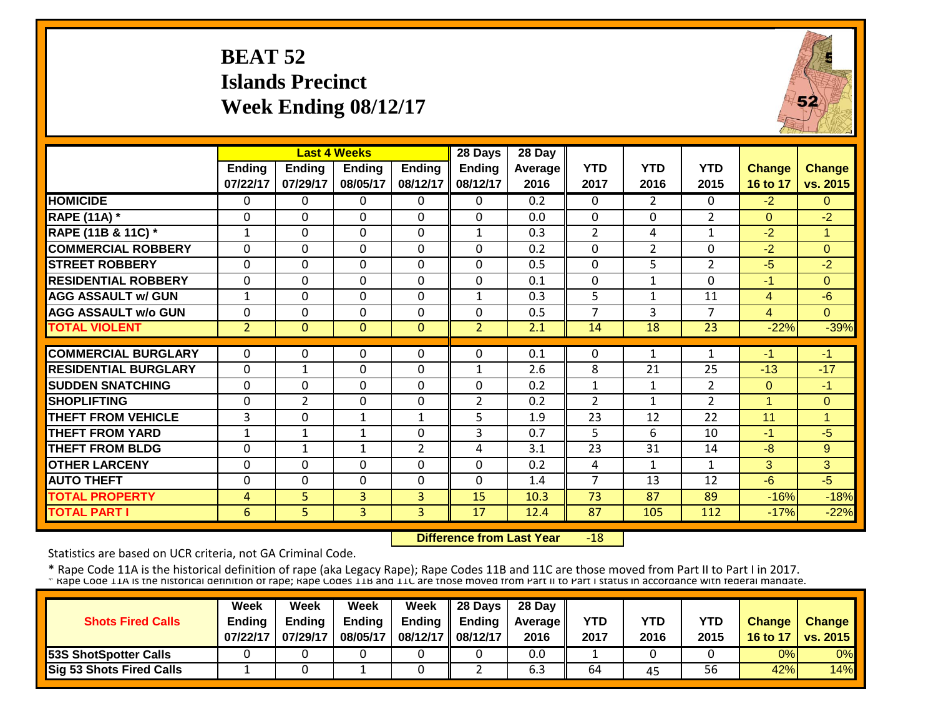# **BEAT 52 Islands Precinct Week Ending 08/12/17**



|                             |                    |                           | <b>Last 4 Weeks</b> |                           | 28 Days                   | 28 Day          |                    |                    |                    |                           |                           |
|-----------------------------|--------------------|---------------------------|---------------------|---------------------------|---------------------------|-----------------|--------------------|--------------------|--------------------|---------------------------|---------------------------|
|                             | Ending<br>07/22/17 | <b>Ending</b><br>07/29/17 | Ending<br>08/05/17  | <b>Ending</b><br>08/12/17 | <b>Ending</b><br>08/12/17 | Average<br>2016 | <b>YTD</b><br>2017 | <b>YTD</b><br>2016 | <b>YTD</b><br>2015 | <b>Change</b><br>16 to 17 | <b>Change</b><br>vs. 2015 |
| <b>HOMICIDE</b>             | $\Omega$           | 0                         | $\Omega$            | $\Omega$                  | $\Omega$                  | 0.2             | $\mathbf{0}$       | $\overline{2}$     | 0                  | $-2$                      | $\Omega$                  |
| <b>RAPE (11A)</b> *         | $\Omega$           | 0                         | $\Omega$            | $\Omega$                  | 0                         | 0.0             | $\Omega$           | $\Omega$           | $\overline{2}$     | $\Omega$                  | $-2$                      |
| RAPE (11B & 11C) *          | $\mathbf{1}$       | 0                         | $\Omega$            | $\Omega$                  | $\mathbf{1}$              | 0.3             | $\overline{2}$     | 4                  | $\mathbf{1}$       | $-2$                      | 1                         |
| <b>COMMERCIAL ROBBERY</b>   | $\mathbf{0}$       | 0                         | $\Omega$            | $\Omega$                  | $\Omega$                  | 0.2             | $\Omega$           | 2                  | 0                  | $-2$                      | $\Omega$                  |
| <b>STREET ROBBERY</b>       | $\mathbf 0$        | 0                         | $\mathbf{0}$        | $\mathbf 0$               | $\mathbf 0$               | 0.5             | $\mathbf 0$        | 5                  | $\overline{2}$     | $-5$                      | $-2$                      |
| <b>RESIDENTIAL ROBBERY</b>  | $\mathbf{0}$       | 0                         | 0                   | $\Omega$                  | $\mathbf 0$               | 0.1             | $\mathbf 0$        | $\mathbf{1}$       | 0                  | -1                        | $\Omega$                  |
| <b>AGG ASSAULT w/ GUN</b>   | $\mathbf{1}$       | 0                         | $\mathbf{0}$        | $\mathbf 0$               | $\mathbf{1}$              | 0.3             | 5                  | $\mathbf{1}$       | 11                 | $\overline{4}$            | $-6$                      |
| <b>AGG ASSAULT w/o GUN</b>  | $\mathbf{0}$       | 0                         | 0                   | 0                         | $\Omega$                  | 0.5             | $\overline{7}$     | 3                  | $\overline{7}$     | 4                         | $\Omega$                  |
| <b>TOTAL VIOLENT</b>        | $\overline{2}$     | $\Omega$                  | $\Omega$            | $\mathbf{0}$              | $\overline{2}$            | 2.1             | 14                 | 18                 | 23                 | $-22%$                    | $-39%$                    |
| <b>COMMERCIAL BURGLARY</b>  | $\mathbf{0}$       | 0                         | $\Omega$            | $\Omega$                  | $\Omega$                  | 0.1             | $\mathbf{0}$       |                    | 1                  | -1                        | $-1$                      |
|                             |                    |                           |                     |                           |                           |                 |                    | 1                  |                    |                           |                           |
| <b>RESIDENTIAL BURGLARY</b> | $\mathbf 0$        | $\mathbf{1}$              | $\mathbf{0}$        | 0                         | $\mathbf{1}$              | 2.6             | 8                  | 21                 | 25                 | $-13$                     | $-17$                     |
| <b>SUDDEN SNATCHING</b>     | $\mathbf{0}$       | 0                         | 0                   | 0                         | $\Omega$                  | 0.2             | $\mathbf{1}$       | $\mathbf{1}$       | $\overline{2}$     | $\Omega$                  | $-1$                      |
| <b>SHOPLIFTING</b>          | $\Omega$           | $\overline{2}$            | $\Omega$            | 0                         | $\overline{2}$            | 0.2             | $\overline{2}$     | $\mathbf{1}$       | $\overline{2}$     | $\blacktriangleleft$      | $\Omega$                  |
| <b>THEFT FROM VEHICLE</b>   | 3                  | 0                         | 1                   | $\mathbf{1}$              | 5                         | 1.9             | 23                 | 12                 | 22                 | 11                        | и                         |
| <b>THEFT FROM YARD</b>      | $\mathbf{1}$       | $\mathbf{1}$              | $\mathbf{1}$        | 0                         | 3                         | 0.7             | 5                  | 6                  | 10                 | -1                        | $-5$                      |
| <b>THEFT FROM BLDG</b>      | $\mathbf{0}$       | $\mathbf{1}$              | $\mathbf{1}$        | $\overline{2}$            | 4                         | 3.1             | 23                 | 31                 | 14                 | $-8$                      | 9                         |
| <b>OTHER LARCENY</b>        | $\Omega$           | 0                         | 0                   | $\Omega$                  | $\Omega$                  | 0.2             | 4                  | 1                  | $\mathbf{1}$       | 3                         | 3                         |
| <b>AUTO THEFT</b>           | $\Omega$           | 0                         | $\Omega$            | 0                         | $\Omega$                  | 1.4             | 7                  | 13                 | 12                 | $-6$                      | $-5$                      |
| <b>TOTAL PROPERTY</b>       | 4                  | 5.                        | 3                   | 3                         | 15                        | 10.3            | 73                 | 87                 | 89                 | $-16%$                    | $-18%$                    |
| <b>TOTAL PART I</b>         | 6                  | 5                         | $\overline{3}$      | 3                         | 17                        | 12.4            | 87                 | 105                | 112                | $-17%$                    | $-22%$                    |

 **Difference from Last Year** $-18$ 

Statistics are based on UCR criteria, not GA Criminal Code.

|                                 | <b>Week</b>   | Week     | Week          | Week     | 28 Days       | 28 Day            |      |      |      |               |                 |
|---------------------------------|---------------|----------|---------------|----------|---------------|-------------------|------|------|------|---------------|-----------------|
| <b>Shots Fired Calls</b>        | <b>Ending</b> | Endina   | <b>Ending</b> | Ending   | <b>Ending</b> | <b>Average II</b> | YTD  | YTD  | YTD  | <b>Change</b> | <b>Change</b>   |
|                                 | 07/22/17      | 07/29/17 | 08/05/17      | 08/12/17 | 08/12/17      | 2016              | 2017 | 2016 | 2015 | 16 to 17      | <b>VS. 2015</b> |
| <b>53S ShotSpotter Calls</b>    |               |          |               |          |               | 0.0               |      |      |      | 0%            | 0%              |
| <b>Sig 53 Shots Fired Calls</b> |               |          |               |          |               | b.3               | 64   | 45   | 56   | 42%           | 14%             |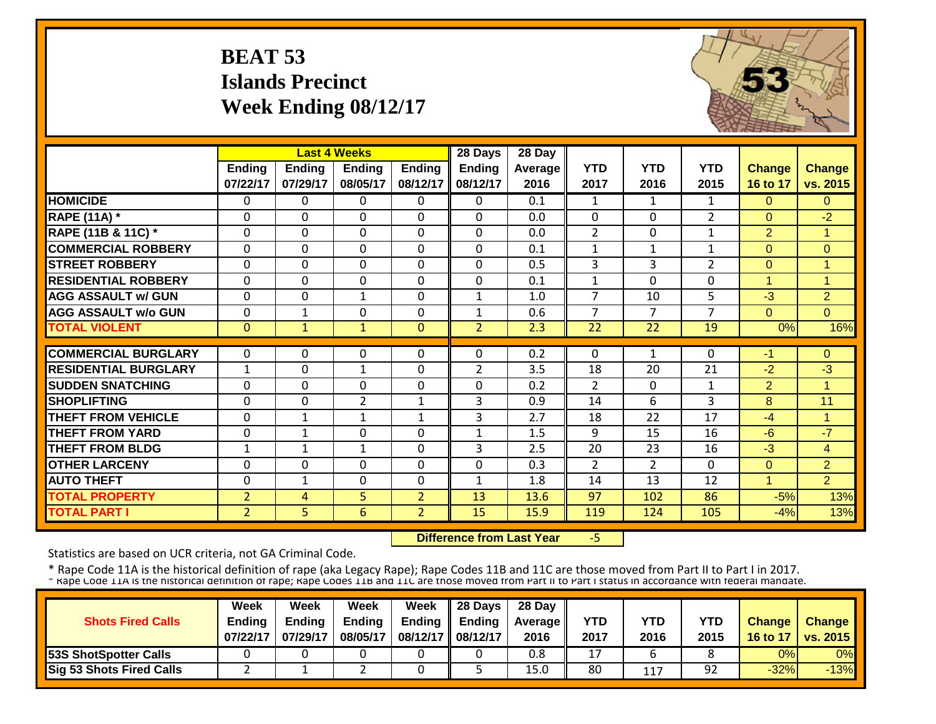# **BEAT 53 Islands Precinct Week Ending 08/12/17**



|                             |                          |                           | <b>Last 4 Weeks</b>       |                           | 28 Days                   | 28 Day                 |                    |                    |                    |                           |                           |
|-----------------------------|--------------------------|---------------------------|---------------------------|---------------------------|---------------------------|------------------------|--------------------|--------------------|--------------------|---------------------------|---------------------------|
|                             | Ending<br>07/22/17       | <b>Ending</b><br>07/29/17 | <b>Ending</b><br>08/05/17 | <b>Ending</b><br>08/12/17 | <b>Ending</b><br>08/12/17 | <b>Average</b><br>2016 | <b>YTD</b><br>2017 | <b>YTD</b><br>2016 | <b>YTD</b><br>2015 | <b>Change</b><br>16 to 17 | <b>Change</b><br>vs. 2015 |
| <b>HOMICIDE</b>             | $\Omega$                 | 0                         | 0                         | $\Omega$                  | 0                         | 0.1                    | 1                  | $\mathbf{1}$       | 1                  | $\Omega$                  | $\Omega$                  |
| <b>RAPE (11A)</b> *         | $\Omega$                 | 0                         | $\Omega$                  | $\Omega$                  | $\Omega$                  | 0.0                    | $\Omega$           | $\Omega$           | $\overline{2}$     | $\Omega$                  | $-2$                      |
| RAPE (11B & 11C) *          | $\Omega$                 | 0                         | $\Omega$                  | $\Omega$                  | $\Omega$                  | 0.0                    | $\overline{2}$     | $\Omega$           | 1                  | $\overline{2}$            | 1                         |
| <b>COMMERCIAL ROBBERY</b>   | $\Omega$                 | $\Omega$                  | $\Omega$                  | $\mathbf 0$               | $\Omega$                  | 0.1                    | $\mathbf{1}$       | $\mathbf{1}$       | $\mathbf{1}$       | $\Omega$                  | $\Omega$                  |
| <b>STREET ROBBERY</b>       | $\mathbf 0$              | 0                         | $\mathbf 0$               | $\mathbf 0$               | 0                         | 0.5                    | 3                  | 3                  | $\overline{2}$     | $\Omega$                  | 1                         |
| <b>RESIDENTIAL ROBBERY</b>  | $\mathbf{0}$             | 0                         | $\Omega$                  | $\Omega$                  | 0                         | 0.1                    | $\mathbf{1}$       | $\Omega$           | 0                  | $\overline{1}$            | $\mathbf{1}$              |
| <b>AGG ASSAULT w/ GUN</b>   | $\mathbf{0}$             | 0                         | 1                         | $\Omega$                  | $\mathbf{1}$              | 1.0                    | 7                  | 10                 | 5                  | $-3$                      | $\overline{2}$            |
| <b>AGG ASSAULT w/o GUN</b>  | $\Omega$                 | 1                         | $\Omega$                  | $\Omega$                  | 1                         | 0.6                    | 7                  | 7                  | 7                  | $\Omega$                  | $\Omega$                  |
| <b>TOTAL VIOLENT</b>        | $\mathbf{0}$             | $\mathbf{1}$              | 1                         | $\mathbf{0}$              | $\overline{2}$            | 2.3                    | 22                 | 22                 | 19                 | 0%                        | 16%                       |
| <b>COMMERCIAL BURGLARY</b>  | $\Omega$                 | 0                         | 0                         | $\Omega$                  | 0                         | 0.2                    | $\Omega$           | 1                  | $\Omega$           | -1                        | $\Omega$                  |
| <b>RESIDENTIAL BURGLARY</b> |                          | 0                         |                           | $\Omega$                  | $\overline{2}$            | 3.5                    | 18                 | 20                 | 21                 | $-2$                      | $-3$                      |
| <b>SUDDEN SNATCHING</b>     | $\mathbf{1}$<br>$\Omega$ | $\Omega$                  | $\mathbf 1$<br>$\Omega$   | $\Omega$                  | $\Omega$                  |                        | $\overline{2}$     |                    |                    |                           | 1                         |
|                             |                          |                           |                           |                           |                           | 0.2                    |                    | $\Omega$           | 1                  | $\overline{2}$            |                           |
| <b>SHOPLIFTING</b>          | $\Omega$                 | 0                         | $\overline{2}$            | 1                         | 3                         | 0.9                    | 14                 | 6                  | 3                  | 8                         | 11<br>1                   |
| <b>THEFT FROM VEHICLE</b>   | $\Omega$                 | $\mathbf 1$               | $\mathbf{1}$              | 1                         | 3                         | 2.7                    | 18                 | 22                 | 17                 | $-4$                      |                           |
| <b>THEFT FROM YARD</b>      | $\mathbf{0}$             | $\mathbf{1}$              | $\Omega$                  | $\Omega$                  | $\mathbf{1}$              | 1.5                    | 9                  | 15                 | 16                 | $-6$                      | $-7$                      |
| <b>THEFT FROM BLDG</b>      | 1                        | 1                         | $\mathbf{1}$              | $\Omega$                  | 3                         | 2.5                    | 20                 | 23                 | 16                 | $-3$                      | 4                         |
| <b>OTHER LARCENY</b>        | $\Omega$                 | 0                         | $\Omega$                  | $\Omega$                  | 0                         | 0.3                    | 2                  | $\overline{2}$     | $\Omega$           | $\Omega$                  | $\overline{2}$            |
| <b>AUTO THEFT</b>           | $\mathbf{0}$             | $\mathbf{1}$              | $\Omega$                  | $\Omega$                  | $\mathbf{1}$              | 1.8                    | 14                 | 13                 | 12                 | 4                         | $\overline{2}$            |
| <b>TOTAL PROPERTY</b>       | $\overline{2}$           | 4                         | 5                         | $\overline{2}$            | 13                        | 13.6                   | 97                 | 102                | 86                 | $-5%$                     | 13%                       |
| <b>TOTAL PART I</b>         | $\overline{2}$           | 5.                        | 6                         | $\overline{2}$            | 15                        | 15.9                   | 119                | 124                | 105                | $-4%$                     | 13%                       |

 **Difference from Last Year**‐5

Statistics are based on UCR criteria, not GA Criminal Code.

|                                 | Week          | Week          | Week          | <b>Week</b>         | $\parallel$ 28 Days       | 28 Day            |      |      |      |               |                 |
|---------------------------------|---------------|---------------|---------------|---------------------|---------------------------|-------------------|------|------|------|---------------|-----------------|
| <b>Shots Fired Calls</b>        | <b>Endina</b> | <b>Ending</b> | <b>Ending</b> |                     | Ending $\parallel$ Ending | <b>Average</b> II | YTD  | YTD  | YTD  | <b>Change</b> | <b>Change</b>   |
|                                 | 07/22/17      | 07/29/17      | 08/05/17      | 08/12/17   08/12/17 |                           | 2016              | 2017 | 2016 | 2015 | 16 to 17      | <b>vs. 2015</b> |
| <b>53S ShotSpotter Calls</b>    |               |               |               |                     |                           | 0.8               | 17   |      |      | 0%            | 0%              |
| <b>Sig 53 Shots Fired Calls</b> |               |               |               |                     |                           | 15.0              | 80   | 117  | 92   | $-32%$        | $-13%$          |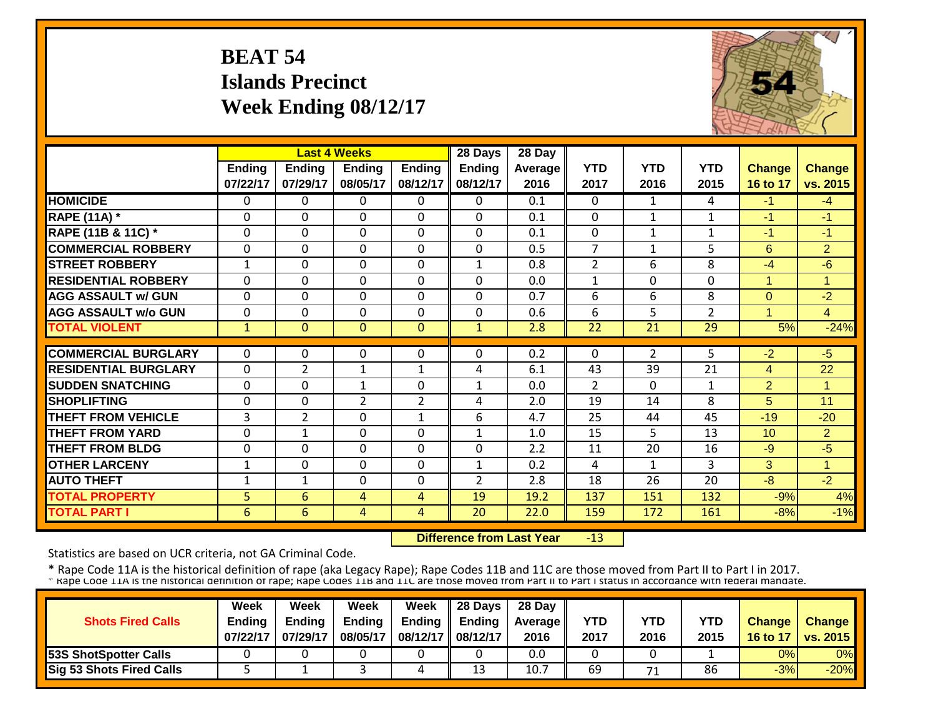# **BEAT 54 Islands Precinct Week Ending 08/12/17**



|                             |              |                | <b>Last 4 Weeks</b> |                | 28 Days        | 28 Day  |                |                |                |                      |                |
|-----------------------------|--------------|----------------|---------------------|----------------|----------------|---------|----------------|----------------|----------------|----------------------|----------------|
|                             | Ending       | <b>Ending</b>  | <b>Ending</b>       | <b>Ending</b>  | <b>Ending</b>  | Average | <b>YTD</b>     | <b>YTD</b>     | <b>YTD</b>     | <b>Change</b>        | Change         |
|                             | 07/22/17     | 07/29/17       | 08/05/17            | 08/12/17       | 08/12/17       | 2016    | 2017           | 2016           | 2015           | 16 to 17             | vs. 2015       |
| <b>HOMICIDE</b>             | $\mathbf{0}$ | 0              | 0                   | 0              | $\Omega$       | 0.1     | $\Omega$       | $\mathbf{1}$   | 4              | $-1$                 | $-4$           |
| <b>RAPE (11A) *</b>         | $\Omega$     | 0              | $\Omega$            | $\Omega$       | $\Omega$       | 0.1     | $\Omega$       | $\mathbf{1}$   | $\mathbf{1}$   | $-1$                 | $-1$           |
| RAPE (11B & 11C) *          | $\mathbf 0$  | 0              | $\mathbf 0$         | $\Omega$       | 0              | 0.1     | $\mathbf 0$    | $\mathbf{1}$   | $\mathbf{1}$   | $-1$                 | $-1$           |
| <b>COMMERCIAL ROBBERY</b>   | $\Omega$     | 0              | 0                   | 0              | $\Omega$       | 0.5     | $\overline{7}$ | $\mathbf{1}$   | 5              | 6                    | $\overline{2}$ |
| <b>STREET ROBBERY</b>       | $\mathbf{1}$ | 0              | 0                   | 0              | 1              | 0.8     | $\overline{2}$ | 6              | 8              | $-4$                 | $-6$           |
| <b>RESIDENTIAL ROBBERY</b>  | $\Omega$     | $\Omega$       | $\Omega$            | $\Omega$       | $\Omega$       | 0.0     | $\mathbf{1}$   | $\Omega$       | $\Omega$       | $\mathbf{1}$         | $\overline{1}$ |
| <b>AGG ASSAULT w/ GUN</b>   | $\Omega$     | 0              | 0                   | $\Omega$       | 0              | 0.7     | 6              | 6              | 8              | $\mathbf 0$          | $-2$           |
| <b>AGG ASSAULT w/o GUN</b>  | $\Omega$     | 0              | $\mathbf 0$         | $\Omega$       | $\Omega$       | 0.6     | 6              | 5              | $\overline{2}$ | $\blacktriangleleft$ | $\overline{4}$ |
| <b>TOTAL VIOLENT</b>        | $\mathbf{1}$ | $\overline{0}$ | $\Omega$            | $\Omega$       | $\mathbf{1}$   | 2.8     | 22             | 21             | 29             | 5%                   | $-24%$         |
|                             |              |                |                     |                |                |         |                |                |                |                      |                |
| <b>COMMERCIAL BURGLARY</b>  | $\Omega$     | 0              | 0                   | 0              | $\Omega$       | 0.2     | $\Omega$       | $\overline{2}$ | 5.             | $-2$                 | $-5$           |
| <b>RESIDENTIAL BURGLARY</b> | $\Omega$     | $\overline{2}$ | $\mathbf{1}$        | $\mathbf{1}$   | 4              | 6.1     | 43             | 39             | 21             | $\overline{4}$       | 22             |
| <b>SUDDEN SNATCHING</b>     | $\Omega$     | 0              | $\mathbf{1}$        | 0              | $\mathbf{1}$   | 0.0     | $\overline{2}$ | $\Omega$       | $\mathbf{1}$   | $\overline{2}$       | 1              |
| <b>SHOPLIFTING</b>          | $\Omega$     | 0              | $\overline{2}$      | $\overline{2}$ | 4              | 2.0     | 19             | 14             | 8              | 5                    | 11             |
| <b>THEFT FROM VEHICLE</b>   | 3            | $\overline{2}$ | $\mathbf 0$         | $\mathbf{1}$   | 6              | 4.7     | 25             | 44             | 45             | $-19$                | $-20$          |
| <b>THEFT FROM YARD</b>      | $\Omega$     | 1              | 0                   | $\Omega$       | 1              | 1.0     | 15             | 5              | 13             | 10                   | $\overline{2}$ |
| <b>THEFT FROM BLDG</b>      | $\Omega$     | 0              | $\Omega$            | $\Omega$       | $\Omega$       | 2.2     | 11             | 20             | 16             | $-9$                 | $-5$           |
| <b>OTHER LARCENY</b>        | $\mathbf{1}$ | 0              | 0                   | $\Omega$       | 1              | 0.2     | 4              | 1              | 3              | 3                    | 1              |
| <b>AUTO THEFT</b>           | 1            | 1              | $\Omega$            | $\Omega$       | $\overline{2}$ | 2.8     | 18             | 26             | 20             | $-8$                 | $-2$           |
| <b>TOTAL PROPERTY</b>       | 5            | 6              | 4                   | 4              | 19             | 19.2    | 137            | 151            | 132            | $-9%$                | 4%             |
| <b>TOTAL PART I</b>         | 6            | 6              | 4                   | $\overline{4}$ | 20             | 22.0    | 159            | 172            | 161            | $-8%$                | $-1%$          |

 **Difference from Last Year** $-13$ 

Statistics are based on UCR criteria, not GA Criminal Code.

|                                 | <b>Week</b>   | Week          | Week     | Week                | $\parallel$ 28 Days       | 28 Day            |            |      |      |               |                 |
|---------------------------------|---------------|---------------|----------|---------------------|---------------------------|-------------------|------------|------|------|---------------|-----------------|
| <b>Shots Fired Calls</b>        | <b>Endina</b> | <b>Ending</b> | Ending   |                     | Ending $\parallel$ Ending | <b>Average</b> II | <b>YTD</b> | YTD  | YTD  | <b>Change</b> | <b>Change</b>   |
|                                 | 07/22/17      | 07/29/17      | 08/05/17 | 08/12/17   08/12/17 |                           | 2016              | 2017       | 2016 | 2015 | 16 to 17      | <b>vs. 2015</b> |
| <b>53S ShotSpotter Calls</b>    |               |               |          |                     |                           | 0.0               |            |      |      | 0%            | 0%              |
| <b>Sig 53 Shots Fired Calls</b> |               |               |          |                     | 13                        | 10.7              | 69         |      | 86   | $-3%$         | $-20%$          |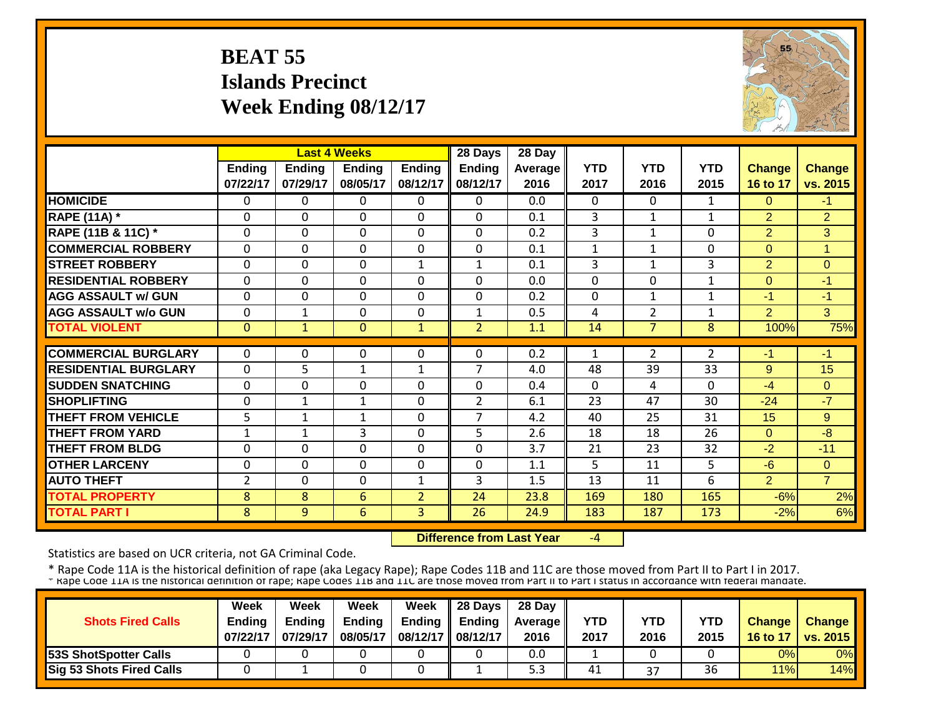# **BEAT 55 Islands Precinct Week Ending 08/12/17**



|                             |                |               | <b>Last 4 Weeks</b> |                | 28 Days        | 28 Day         |              |                |                |                |                |
|-----------------------------|----------------|---------------|---------------------|----------------|----------------|----------------|--------------|----------------|----------------|----------------|----------------|
|                             | <b>Ending</b>  | <b>Endina</b> | <b>Endina</b>       | <b>Ending</b>  | <b>Ending</b>  | <b>Average</b> | <b>YTD</b>   | <b>YTD</b>     | <b>YTD</b>     | <b>Change</b>  | <b>Change</b>  |
|                             | 07/22/17       | 07/29/17      | 08/05/17            | 08/12/17       | 08/12/17       | 2016           | 2017         | 2016           | 2015           | 16 to 17       | vs. 2015       |
| <b>HOMICIDE</b>             | $\mathbf{0}$   | 0             | $\Omega$            | $\Omega$       | $\Omega$       | 0.0            | $\Omega$     | $\Omega$       | $\mathbf{1}$   | $\Omega$       | $-1$           |
| <b>RAPE (11A) *</b>         | $\Omega$       | $\Omega$      | $\Omega$            | $\Omega$       | $\mathbf 0$    | 0.1            | 3            | $\mathbf{1}$   | $\mathbf{1}$   | $\overline{2}$ | $\overline{2}$ |
| RAPE (11B & 11C) *          | $\mathbf 0$    | 0             | $\mathbf 0$         | $\Omega$       | $\mathbf 0$    | 0.2            | 3            | $\mathbf{1}$   | 0              | $\overline{2}$ | 3              |
| <b>COMMERCIAL ROBBERY</b>   | $\Omega$       | 0             | $\Omega$            | $\Omega$       | $\Omega$       | 0.1            | $\mathbf{1}$ | 1              | 0              | $\Omega$       | 1              |
| <b>STREET ROBBERY</b>       | $\mathbf 0$    | 0             | $\mathbf 0$         | 1              | $\mathbf{1}$   | 0.1            | 3            | $\mathbf{1}$   | $\overline{3}$ | $\overline{2}$ | $\Omega$       |
| <b>RESIDENTIAL ROBBERY</b>  | $\Omega$       | 0             | $\Omega$            | $\mathbf 0$    | $\Omega$       | 0.0            | $\mathbf 0$  | $\Omega$       | $\mathbf{1}$   | $\Omega$       | $-1$           |
| <b>AGG ASSAULT w/ GUN</b>   | $\Omega$       | 0             | $\mathbf 0$         | 0              | $\mathbf 0$    | 0.2            | $\mathbf 0$  | $\mathbf{1}$   | $\mathbf{1}$   | $-1$           | $-1$           |
| <b>AGG ASSAULT w/o GUN</b>  | $\mathbf 0$    | 1             | 0                   | $\mathbf 0$    | $\mathbf{1}$   | 0.5            | 4            | $\overline{2}$ | $\mathbf 1$    | $\overline{2}$ | 3              |
| <b>TOTAL VIOLENT</b>        | $\mathbf{0}$   | $\mathbf{1}$  | $\Omega$            | 1              | $\overline{2}$ | 1.1            | 14           | $\overline{7}$ | 8              | 100%           | 75%            |
|                             |                |               |                     |                |                |                |              |                |                |                |                |
| <b>COMMERCIAL BURGLARY</b>  | $\mathbf{0}$   | 0             | 0                   | 0              | $\Omega$       | 0.2            | $\mathbf{1}$ | $\overline{2}$ | $\overline{2}$ | -1             | $-1$           |
| <b>RESIDENTIAL BURGLARY</b> | $\Omega$       | 5             | $\mathbf{1}$        | 1              | 7              | 4.0            | 48           | 39             | 33             | 9              | 15             |
| <b>SUDDEN SNATCHING</b>     | $\Omega$       | 0             | 0                   | 0              | $\Omega$       | 0.4            | $\Omega$     | 4              | $\Omega$       | $-4$           | $\Omega$       |
| <b>SHOPLIFTING</b>          | $\Omega$       | 1             | $\mathbf{1}$        | $\Omega$       | $\overline{2}$ | 6.1            | 23           | 47             | 30             | $-24$          | $-7$           |
| <b>THEFT FROM VEHICLE</b>   | 5              | $\mathbf{1}$  | $\mathbf{1}$        | 0              | 7              | 4.2            | 40           | 25             | 31             | 15             | 9              |
| <b>THEFT FROM YARD</b>      | $\mathbf{1}$   | 1             | 3                   | $\Omega$       | 5              | 2.6            | 18           | 18             | 26             | $\Omega$       | $-8$           |
| <b>THEFT FROM BLDG</b>      | $\Omega$       | $\Omega$      | $\Omega$            | $\Omega$       | 0              | 3.7            | 21           | 23             | 32             | $-2$           | $-11$          |
| <b>OTHER LARCENY</b>        | $\Omega$       | 0             | $\Omega$            | $\Omega$       | $\Omega$       | 1.1            | 5            | 11             | 5              | $-6$           | $\Omega$       |
| <b>AUTO THEFT</b>           | $\overline{2}$ | 0             | $\Omega$            | $\mathbf{1}$   | 3              | 1.5            | 13           | 11             | 6              | $\overline{2}$ | $\overline{7}$ |
| <b>TOTAL PROPERTY</b>       | 8              | 8             | 6                   | $\overline{2}$ | 24             | 23.8           | 169          | 180            | 165            | $-6%$          | 2%             |
| <b>TOTAL PART I</b>         | 8              | 9             | $6\phantom{1}$      | 3              | 26             | 24.9           | 183          | 187            | 173            | $-2%$          | 6%             |

 **Difference from Last Year**‐4

Statistics are based on UCR criteria, not GA Criminal Code.

|                              | <b>Week</b>   | Week          | Week          | Week              | $\parallel$ 28 Days       | 28 Day            |            |      |      |               |                 |
|------------------------------|---------------|---------------|---------------|-------------------|---------------------------|-------------------|------------|------|------|---------------|-----------------|
| <b>Shots Fired Calls</b>     | <b>Endina</b> | <b>Ending</b> | <b>Ending</b> |                   | Ending $\parallel$ Ending | <b>Average</b> II | <b>YTD</b> | YTD  | YTD  | <b>Change</b> | <b>Change</b>   |
|                              | 07/22/17      | 07/29/17      | 08/05/17      | 08/12/17 08/12/17 |                           | 2016              | 2017       | 2016 | 2015 | 16 to 17      | <b>vs. 2015</b> |
| <b>53S ShotSpotter Calls</b> |               |               |               |                   |                           | 0.0               |            |      |      | 0%            | 0%              |
| Sig 53 Shots Fired Calls     |               |               |               |                   |                           | د.ر               | 41         | 37   | 36   | 11%           | 14%             |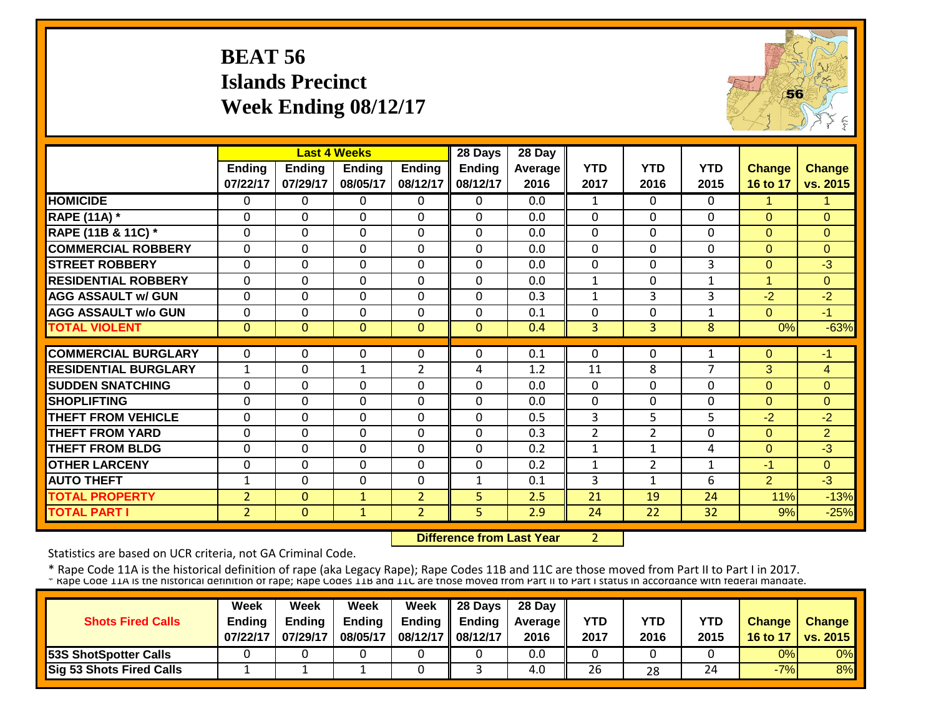# **BEAT 56 Islands Precinct Week Ending 08/12/17**



|                             |                | <b>Last 4 Weeks</b> |                |                | 28 Days       | 28 Day  |              |                |                |                |                |
|-----------------------------|----------------|---------------------|----------------|----------------|---------------|---------|--------------|----------------|----------------|----------------|----------------|
|                             | Ending         | <b>Ending</b>       | <b>Ending</b>  | Ending         | <b>Ending</b> | Average | <b>YTD</b>   | <b>YTD</b>     | <b>YTD</b>     | <b>Change</b>  | <b>Change</b>  |
|                             | 07/22/17       | 07/29/17            | 08/05/17       | 08/12/17       | 08/12/17      | 2016    | 2017         | 2016           | 2015           | 16 to 17       | vs. 2015       |
| <b>HOMICIDE</b>             | $\Omega$       | 0                   | $\mathbf{0}$   | 0              | 0             | 0.0     | $\mathbf{1}$ | $\Omega$       | 0              | $\mathbf{1}$   | 1              |
| <b>RAPE (11A) *</b>         | $\Omega$       | 0                   | $\Omega$       | $\Omega$       | $\Omega$      | 0.0     | $\Omega$     | $\Omega$       | 0              | $\Omega$       | $\Omega$       |
| RAPE (11B & 11C) *          | $\mathbf{0}$   | 0                   | $\mathbf 0$    | 0              | $\Omega$      | 0.0     | $\mathbf 0$  | $\Omega$       | 0              | $\Omega$       | $\Omega$       |
| <b>COMMERCIAL ROBBERY</b>   | $\Omega$       | 0                   | $\Omega$       | 0              | $\Omega$      | 0.0     | $\Omega$     | $\Omega$       | 0              | $\Omega$       | $\Omega$       |
| <b>STREET ROBBERY</b>       | $\overline{0}$ | 0                   | $\overline{0}$ | $\Omega$       | $\Omega$      | 0.0     | $\mathbf 0$  | $\Omega$       | 3              | $\mathbf{0}$   | $-3$           |
| <b>RESIDENTIAL ROBBERY</b>  | $\mathbf{0}$   | $\Omega$            | $\mathbf 0$    | $\mathbf 0$    | $\Omega$      | 0.0     | $\mathbf{1}$ | $\Omega$       | $\mathbf{1}$   | $\overline{1}$ | $\Omega$       |
| <b>AGG ASSAULT w/ GUN</b>   | $\mathbf{0}$   | $\Omega$            | $\mathbf 0$    | $\Omega$       | $\Omega$      | 0.3     | $\mathbf{1}$ | 3              | 3              | $-2$           | $-2$           |
| <b>AGG ASSAULT w/o GUN</b>  | $\mathbf{0}$   | 0                   | $\mathbf 0$    | $\mathbf 0$    | 0             | 0.1     | $\mathbf 0$  | 0              | $\mathbf{1}$   | $\mathbf{0}$   | $-1$           |
| <b>TOTAL VIOLENT</b>        | $\Omega$       | $\overline{0}$      | $\Omega$       | $\Omega$       | $\Omega$      | 0.4     | 3            | 3              | 8              | 0%             | $-63%$         |
|                             |                |                     |                |                |               |         |              |                |                |                |                |
| <b>COMMERCIAL BURGLARY</b>  | $\Omega$       | 0                   | $\mathbf 0$    | 0              | 0             | 0.1     | $\Omega$     | $\Omega$       | $\mathbf{1}$   | $\mathbf{0}$   | $-1$           |
| <b>RESIDENTIAL BURGLARY</b> | $\mathbf{1}$   | 0                   | $\mathbf 1$    | $\overline{2}$ | 4             | 1.2     | 11           | 8              | $\overline{7}$ | 3              | $\overline{4}$ |
| <b>SUDDEN SNATCHING</b>     | $\mathbf{0}$   | 0                   | $\mathbf 0$    | 0              | $\Omega$      | 0.0     | $\Omega$     | $\Omega$       | 0              | $\mathbf{0}$   | $\overline{0}$ |
| <b>SHOPLIFTING</b>          | $\Omega$       | $\Omega$            | 0              | $\Omega$       | $\Omega$      | 0.0     | $\Omega$     | $\Omega$       | 0              | $\Omega$       | $\Omega$       |
| <b>THEFT FROM VEHICLE</b>   | $\Omega$       | 0                   | $\Omega$       | $\Omega$       | $\Omega$      | 0.5     | 3            | 5              | 5              | $-2$           | $-2$           |
| <b>THEFT FROM YARD</b>      | $\Omega$       | $\Omega$            | 0              | $\Omega$       | $\Omega$      | 0.3     | 2            | $\overline{2}$ | 0              | $\Omega$       | $\overline{2}$ |
| <b>THEFT FROM BLDG</b>      | $\Omega$       | 0                   | 0              | $\Omega$       | $\Omega$      | 0.2     | $\mathbf{1}$ | $\mathbf{1}$   | 4              | $\Omega$       | $-3$           |
| <b>OTHER LARCENY</b>        | $\Omega$       | $\Omega$            | $\Omega$       | $\Omega$       | $\Omega$      | 0.2     | 1            | $\overline{2}$ | $\mathbf{1}$   | $-1$           | $\Omega$       |
| <b>AUTO THEFT</b>           | 1              | 0                   | $\Omega$       | 0              | 1             | 0.1     | 3            | 1              | 6              | 2              | $-3$           |
| <b>TOTAL PROPERTY</b>       | $\overline{2}$ | $\Omega$            | $\mathbf{1}$   | $\overline{2}$ | 5             | 2.5     | 21           | 19             | 24             | 11%            | $-13%$         |
| <b>TOTAL PART I</b>         | $\overline{2}$ | $\mathbf{0}$        | $\mathbf{1}$   | $\overline{2}$ | 5             | 2.9     | 24           | 22             | 32             | 9%             | $-25%$         |

 **Difference from Last Year**

2

Statistics are based on UCR criteria, not GA Criminal Code.

|                                 | Week          | Week          | Week          | <b>Week</b>         | $\parallel$ 28 Days       | 28 Day            |      |      |      |               |                 |
|---------------------------------|---------------|---------------|---------------|---------------------|---------------------------|-------------------|------|------|------|---------------|-----------------|
| <b>Shots Fired Calls</b>        | <b>Endina</b> | <b>Ending</b> | <b>Ending</b> |                     | Ending $\parallel$ Ending | <b>Average</b> II | YTD  | YTD  | YTD  | <b>Change</b> | <b>Change</b>   |
|                                 | 07/22/17      | 07/29/17      | 08/05/17      | 08/12/17   08/12/17 |                           | 2016              | 2017 | 2016 | 2015 | 16 to 17      | <b>vs. 2015</b> |
| <b>53S ShotSpotter Calls</b>    |               |               |               |                     |                           | 0.0               |      |      |      | 0%            | 0%              |
| <b>Sig 53 Shots Fired Calls</b> |               |               |               |                     |                           | 4.0               | 26   | 28   | 24   | $-7%$         | 8%              |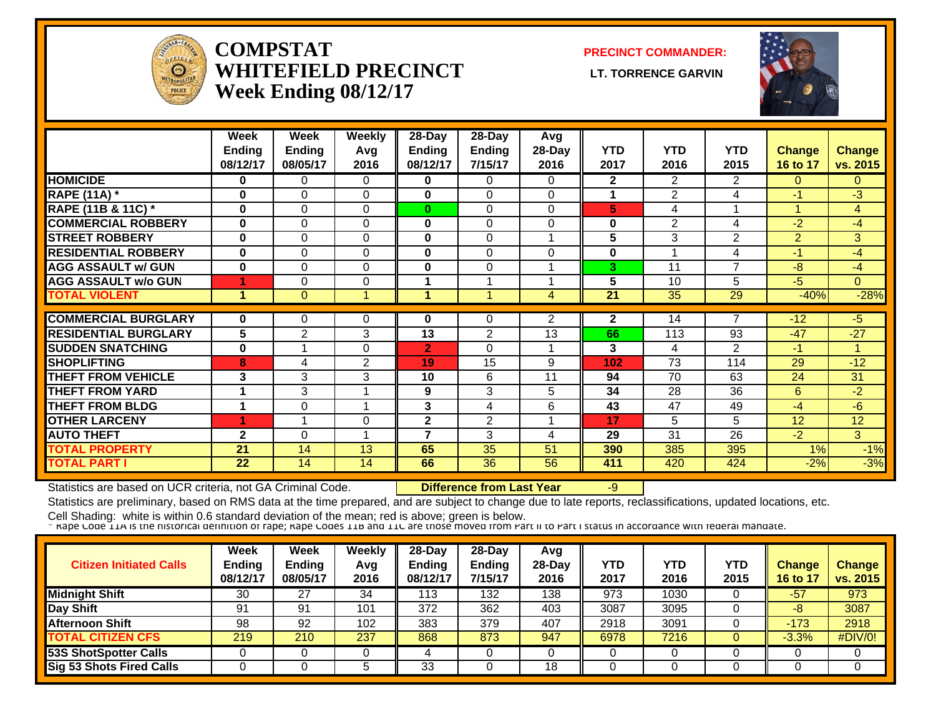

#### **COMPSTATWHITEFIELD PRECINCT Week Ending 08/12/17**

**PRECINCT COMMANDER:**

**LT. TORRENCE GARVIN** 



|                               | Week<br><b>Ending</b><br>08/12/17 | Week<br>Ending<br>08/05/17 | Weekly<br>Avg<br>2016 | $28 - Day$<br><b>Ending</b><br>08/12/17 | $28 - Day$<br><b>Ending</b><br>7/15/17 | Avg<br>28-Day<br>2016 | <b>YTD</b><br>2017 | <b>YTD</b><br>2016 | <b>YTD</b><br>2015      | <b>Change</b><br>16 to 17 | <b>Change</b><br>vs. 2015 |
|-------------------------------|-----------------------------------|----------------------------|-----------------------|-----------------------------------------|----------------------------------------|-----------------------|--------------------|--------------------|-------------------------|---------------------------|---------------------------|
| <b>HOMICIDE</b>               | 0                                 | 0                          | 0                     | 0                                       | $\Omega$                               | $\Omega$              | $\mathbf{2}$       | $\overline{2}$     | 2                       | $\Omega$                  | $\overline{0}$            |
| <b>RAPE (11A)</b> *           | $\bf{0}$                          | $\Omega$                   | $\Omega$              | 0                                       | $\Omega$                               | $\Omega$              | 1                  | $\overline{2}$     | 4                       | $-1$                      | $-3$                      |
| <b>RAPE (11B &amp; 11C) *</b> | $\bf{0}$                          | $\Omega$                   | $\Omega$              | $\bf{0}$                                | $\Omega$                               | $\Omega$              | 5                  | 4                  | $\overline{\mathbf{A}}$ | 4                         | $\overline{4}$            |
| <b>COMMERCIAL ROBBERY</b>     | $\mathbf 0$                       | $\Omega$                   | 0                     | 0                                       | $\Omega$                               | $\Omega$              | 0                  | 2                  | 4                       | $-2$                      | $-4$                      |
| <b>STREET ROBBERY</b>         | $\bf{0}$                          | $\Omega$                   | $\Omega$              | 0                                       | $\Omega$                               |                       | 5                  | 3                  | 2                       | $\overline{2}$            | 3                         |
| <b>RESIDENTIAL ROBBERY</b>    | $\bf{0}$                          | $\Omega$                   | $\Omega$              | 0                                       | $\Omega$                               | $\Omega$              | 0                  |                    | 4                       | $-1$                      | $-4$                      |
| <b>AGG ASSAULT w/ GUN</b>     | $\bf{0}$                          | $\Omega$                   | $\Omega$              | 0                                       | $\Omega$                               |                       | 3                  | 11                 | 7                       | $-8$                      | $-4$                      |
| <b>AGG ASSAULT w/o GUN</b>    | 4                                 | 0                          | $\Omega$              |                                         |                                        |                       | 5                  | 10                 | 5                       | $-5$                      | $\Omega$                  |
| <b>TOTAL VIOLENT</b>          | $\blacktriangleleft$              | $\Omega$                   | 1                     |                                         | 1                                      | 4                     | 21                 | 35                 | 29                      | $-40%$                    | $-28%$                    |
| <b>COMMERCIAL BURGLARY</b>    | $\bf{0}$                          | 0                          | 0                     | 0                                       | 0                                      | $\overline{2}$        | $\mathbf{2}$       | 14                 | 7                       | $-12$                     | -5                        |
| <b>RESIDENTIAL BURGLARY</b>   | 5                                 | $\overline{2}$             | 3                     | 13                                      | 2                                      | $1\overline{3}$       | 66                 | 113                | 93                      | $-47$                     | $-27$                     |
| <b>SUDDEN SNATCHING</b>       | $\bf{0}$                          |                            | $\Omega$              | $\overline{2}$                          | $\Omega$                               |                       | 3                  | 4                  | 2                       | $-1$                      | 4                         |
| <b>SHOPLIFTING</b>            | 8                                 | 4                          | $\overline{2}$        | 19                                      | 15                                     | 9                     | 102                | 73                 | 114                     | 29                        | $-12$                     |
| <b>THEFT FROM VEHICLE</b>     | 3                                 | 3                          | 3                     | 10                                      | 6                                      | 11                    | 94                 | 70                 | 63                      | 24                        | 31                        |
| <b>THEFT FROM YARD</b>        | 4                                 | 3                          |                       | 9                                       | 3                                      | 5                     | 34                 | 28                 | 36                      | 6                         | $-2$                      |
| <b>THEFT FROM BLDG</b>        | 1                                 | $\Omega$                   | 4                     | 3                                       | 4                                      | 6                     | 43                 | 47                 | 49                      | $-4$                      | -6                        |
| <b>OTHER LARCENY</b>          | 4                                 |                            | 0                     | $\overline{2}$                          | 2                                      |                       | 17                 | 5.                 | 5.                      | 12                        | 12                        |
| <b>AUTO THEFT</b>             | $\overline{2}$                    | $\Omega$                   | 4                     | 7                                       | 3                                      | 4                     | 29                 | 31                 | 26                      | $-2$                      | 3                         |
| <b>TOTAL PROPERTY</b>         | 21                                | 14                         | 13                    | 65                                      | 35                                     | 51                    | 390                | 385                | 395                     | 1%                        | $-1%$                     |
| <b>TOTAL PART I</b>           | 22                                | 14                         | 14                    | 66                                      | 36                                     | 56                    | 411                | 420                | 424                     | $-2%$                     | $-3%$                     |

Statistics are based on UCR criteria, not GA Criminal Code. **Difference from Last Year** -9

Statistics are preliminary, based on RMS data at the time prepared, and are subject to change due to late reports, reclassifications, updated locations, etc.

| <b>Citizen Initiated Calls</b>  | Week<br><b>Ending</b><br>08/12/17 | <b>Week</b><br><b>Ending</b><br>08/05/17 | Weekly<br>Avg<br>2016 | 28-Day<br>Endina<br>08/12/17 | $28$ -Dav<br><b>Ending</b><br>7/15/17 | Avg<br>$28-Day$<br>2016 | YTD<br>2017 | YTD<br>2016 | YTD<br>2015 | <b>Change</b><br>16 to 17 | <b>Change</b><br>vs. 2015 |
|---------------------------------|-----------------------------------|------------------------------------------|-----------------------|------------------------------|---------------------------------------|-------------------------|-------------|-------------|-------------|---------------------------|---------------------------|
| <b>Midnight Shift</b>           | 30                                | 27                                       | 34                    | 13                           | 132                                   | 138                     | 973         | 1030        |             | -57                       | 973                       |
| Day Shift                       | 91                                | 91                                       | 101                   | 372                          | 362                                   | 403                     | 3087        | 3095        |             | -8                        | 3087                      |
| <b>Afternoon Shift</b>          | 98                                | 92                                       | 102                   | 383                          | 379                                   | 407                     | 2918        | 3091        |             | $-173$                    | 2918                      |
| <b>TOTAL CITIZEN CFS</b>        | 219                               | 210                                      | 237                   | 868                          | 873                                   | 947                     | 6978        | 7216        |             | $-3.3%$                   | #DIV/0!                   |
| 53S ShotSpotter Calls           |                                   |                                          |                       |                              |                                       |                         | 0           |             |             |                           | 0                         |
| <b>Sig 53 Shots Fired Calls</b> |                                   |                                          |                       | 33                           |                                       | 18                      |             |             |             |                           |                           |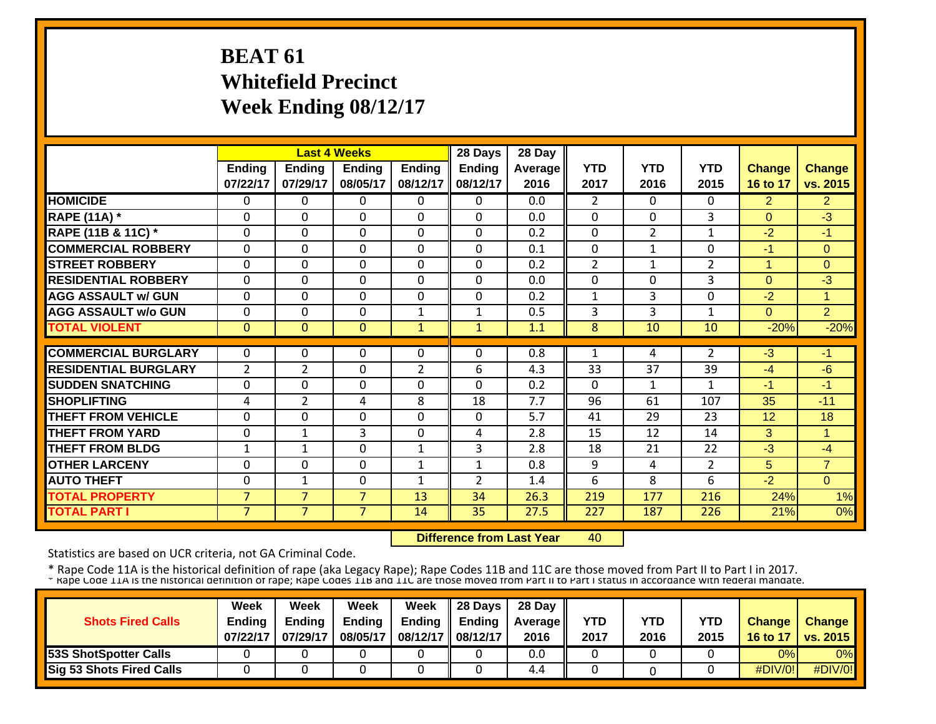# **BEAT 61 Whitefield Precinct Week Ending 08/12/17**

|                             |                |                | <b>Last 4 Weeks</b> |                | 28 Days        | 28 Day  |                |                |                |                      |                |
|-----------------------------|----------------|----------------|---------------------|----------------|----------------|---------|----------------|----------------|----------------|----------------------|----------------|
|                             | <b>Ending</b>  | <b>Ending</b>  | Endina              | <b>Ending</b>  | <b>Ending</b>  | Average | <b>YTD</b>     | <b>YTD</b>     | <b>YTD</b>     | <b>Change</b>        | <b>Change</b>  |
|                             | 07/22/17       | 07/29/17       | 08/05/17            | 08/12/17       | 08/12/17       | 2016    | 2017           | 2016           | 2015           | 16 to 17             | vs. 2015       |
| <b>HOMICIDE</b>             | $\Omega$       | 0              | $\Omega$            | $\Omega$       | $\Omega$       | 0.0     | $\overline{2}$ | $\Omega$       | $\Omega$       | $\overline{2}$       | $\overline{2}$ |
| <b>RAPE (11A) *</b>         | $\Omega$       | $\Omega$       | $\Omega$            | $\Omega$       | $\Omega$       | 0.0     | $\mathbf{0}$   | $\Omega$       | 3              | $\Omega$             | $-3$           |
| RAPE (11B & 11C) *          | $\Omega$       | $\Omega$       | $\Omega$            | $\Omega$       | $\mathbf{0}$   | 0.2     | $\Omega$       | $\overline{2}$ | $\mathbf{1}$   | $-2$                 | $-1$           |
| <b>COMMERCIAL ROBBERY</b>   | $\Omega$       | $\Omega$       | $\Omega$            | $\Omega$       | $\Omega$       | 0.1     | $\Omega$       | $\mathbf{1}$   | $\Omega$       | $-1$                 | $\Omega$       |
| <b>STREET ROBBERY</b>       | $\Omega$       | $\mathbf 0$    | $\Omega$            | $\Omega$       | $\Omega$       | 0.2     | $\overline{2}$ | $\mathbf{1}$   | $\overline{2}$ | $\blacktriangleleft$ | $\Omega$       |
| <b>RESIDENTIAL ROBBERY</b>  | $\Omega$       | $\Omega$       | $\Omega$            | $\Omega$       | 0              | 0.0     | 0              | $\Omega$       | 3              | $\Omega$             | $-3$           |
| <b>AGG ASSAULT w/ GUN</b>   | $\Omega$       | $\Omega$       | $\Omega$            | $\Omega$       | $\Omega$       | 0.2     | $\mathbf{1}$   | 3              | $\Omega$       | $-2$                 | $\mathbf{1}$   |
| <b>AGG ASSAULT w/o GUN</b>  | 0              | 0              | $\Omega$            | $\mathbf{1}$   | 1              | 0.5     | 3              | 3              | 1              | $\Omega$             | $\overline{2}$ |
| <b>TOTAL VIOLENT</b>        | $\mathbf{0}$   | $\Omega$       | $\Omega$            | $\mathbf{1}$   | $\mathbf{1}$   | 1.1     | 8              | 10             | 10             | $-20%$               | $-20%$         |
|                             |                |                |                     |                |                |         |                |                |                |                      |                |
| <b>COMMERCIAL BURGLARY</b>  | $\Omega$       | 0              | $\Omega$            | $\Omega$       | 0              | 0.8     | $\mathbf{1}$   | 4              | $\overline{2}$ | $-3$                 | $-1$           |
| <b>RESIDENTIAL BURGLARY</b> | $\overline{2}$ | $\overline{2}$ | $\Omega$            | $\overline{2}$ | 6              | 4.3     | 33             | 37             | 39             | $-4$                 | $-6$           |
| <b>SUDDEN SNATCHING</b>     | 0              | $\Omega$       | $\Omega$            | $\Omega$       | $\Omega$       | 0.2     | 0              | 1              | 1              | -1                   | $-1$           |
| <b>SHOPLIFTING</b>          | 4              | $\overline{2}$ | 4                   | 8              | 18             | 7.7     | 96             | 61             | 107            | 35                   | $-11$          |
| <b>THEFT FROM VEHICLE</b>   | $\Omega$       | $\Omega$       | $\Omega$            | $\Omega$       | $\Omega$       | 5.7     | 41             | 29             | 23             | 12                   | 18             |
| <b>THEFT FROM YARD</b>      | $\Omega$       | $\mathbf{1}$   | 3                   | $\Omega$       | 4              | 2.8     | 15             | 12             | 14             | 3                    | $\mathbf{1}$   |
| <b>THEFT FROM BLDG</b>      | $\mathbf{1}$   | $\mathbf{1}$   | $\Omega$            | $\mathbf{1}$   | 3              | 2.8     | 18             | 21             | 22             | $-3$                 | $-4$           |
| <b>OTHER LARCENY</b>        | $\Omega$       | $\mathbf 0$    | $\mathbf 0$         | $\mathbf{1}$   | $\mathbf{1}$   | 0.8     | 9              | 4              | $\overline{2}$ | 5                    | $\overline{7}$ |
| <b>AUTO THEFT</b>           | $\mathbf 0$    | $\mathbf{1}$   | $\Omega$            | $\mathbf{1}$   | $\overline{2}$ | 1.4     | 6              | 8              | 6              | $-2$                 | $\Omega$       |
| <b>TOTAL PROPERTY</b>       | $\overline{7}$ | $\overline{7}$ | $\overline{7}$      | 13             | 34             | 26.3    | 219            | 177            | 216            | 24%                  | 1%             |
| <b>TOTAL PART I</b>         | $\overline{7}$ | $\overline{7}$ | $\overline{7}$      | 14             | 35             | 27.5    | 227            | 187            | 226            | 21%                  | 0%             |

 **Difference from Last Year**40

Statistics are based on UCR criteria, not GA Criminal Code.

\* Rape Code 11A is the historical definition of rape (aka Legacy Rape); Rape Codes 11B and 11C are those moved from Part II to Part I in 2017.<br>\* Rape Code 11A is the historical definition of rape; Rape Codes 11B and 11C ar

| <b>Shots Fired Calls</b>        | Week<br><b>Ending</b><br>07/22/17 | Week<br><b>Ending</b><br>07/29/17 | Week<br><b>Ending</b><br>08/05/17 | Week<br><b>Ending</b><br>08/12/17 08/12/17 | 28 Days<br><b>Ending</b> | 28 Day<br><b>Average II</b><br>2016 | YTD<br>2017 | <b>YTD</b><br>2016 | <b>YTD</b><br>2015 | <b>Change</b><br>16 to 17 | <b>Change</b><br>$\vert$ vs. 2015 $\vert$ |
|---------------------------------|-----------------------------------|-----------------------------------|-----------------------------------|--------------------------------------------|--------------------------|-------------------------------------|-------------|--------------------|--------------------|---------------------------|-------------------------------------------|
| <b>53S ShotSpotter Calls</b>    |                                   |                                   |                                   |                                            |                          | 0.0                                 |             |                    |                    | 0%                        | $0\%$                                     |
| <b>Sig 53 Shots Fired Calls</b> |                                   |                                   |                                   |                                            |                          | 4.4                                 |             |                    |                    | #DIV/0!                   | #DIV/0!                                   |